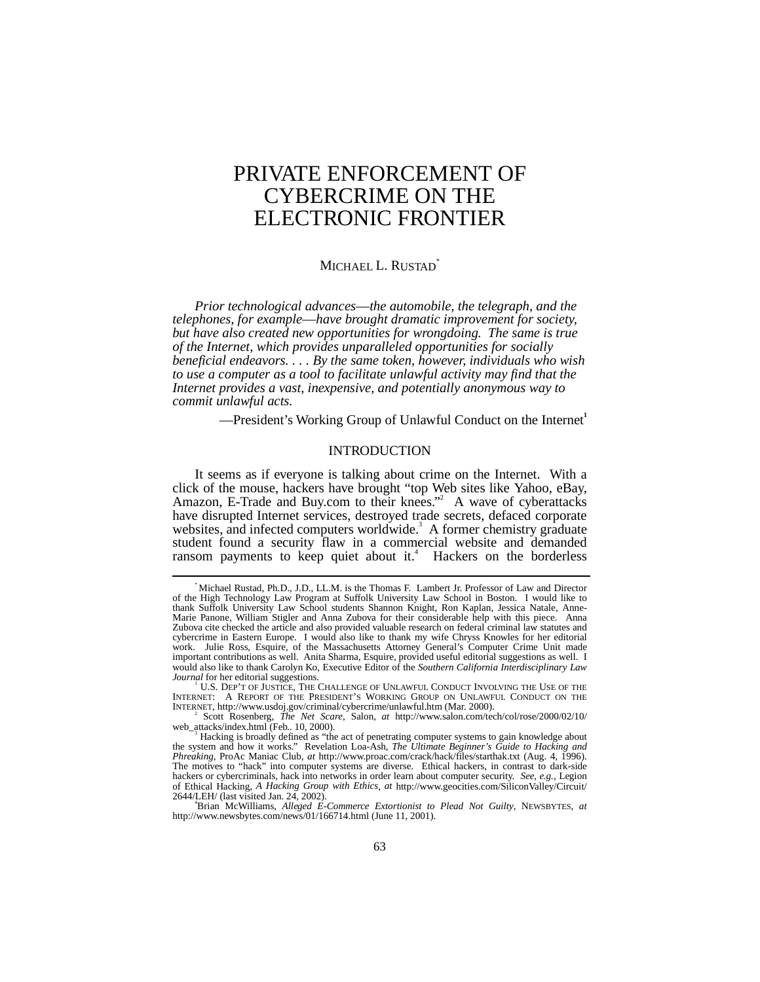# PRIVATE ENFORCEMENT OF CYBERCRIME ON THE ELECTRONIC FRONTIER

# MICHAEL L. RUSTAD<sup>\*</sup>

*Prior technological advances––the automobile, the telegraph, and the telephones, for example––have brought dramatic improvement for society, but have also created new opportunities for wrongdoing. The same is true of the Internet, which provides unparalleled opportunities for socially beneficial endeavors. . . . By the same token, however, individuals who wish to use a computer as a tool to facilitate unlawful activity may find that the Internet provides a vast, inexpensive, and potentially anonymous way to commit unlawful acts.*

––President's Working Group of Unlawful Conduct on the Internet**<sup>1</sup>**

# INTRODUCTION

It seems as if everyone is talking about crime on the Internet. With a click of the mouse, hackers have brought "top Web sites like Yahoo, eBay, Amazon, E-Trade and Buy.com to their knees."<sup>2</sup> A wave of cyberattacks have disrupted Internet services, destroyed trade secrets, defaced corporate websites, and infected computers worldwide.<sup>3</sup> A former chemistry graduate student found a security flaw in a commercial website and demanded ransom payments to keep quiet about it.<sup>4</sup> Hackers on the borderless

 <sup>\*</sup> Michael Rustad, Ph.D., J.D., LL.M. is the Thomas F. Lambert Jr. Professor of Law and Director of the High Technology Law Program at Suffolk University Law School in Boston. I would like to thank Suffolk University Law School students Shannon Knight, Ron Kaplan, Jessica Natale, Anne-Marie Panone, William Stigler and Anna Zubova for their considerable help with this piece. Anna Zubova cite checked the article and also provided valuable research on federal criminal law statutes and cybercrime in Eastern Europe. I would also like to thank my wife Chryss Knowles for her editorial work. Julie Ross, Esquire, of the Massachusetts Attorney General's Computer Crime Unit made important contributions as well. Anita Sharma, Esquire, provided useful editorial suggestions as well. I would also like to thank Carolyn Ko, Executive Editor of the *Southern California Interdisciplinary Law Journal* for her editorial suggestions.

U.S. DEP'T OF JUSTICE, THE CHALLENGE OF UNLAWFUL CONDUCT INVOLVING THE USE OF THE INTERNET: A REPORT OF THE PRESIDENT'S WORKING GROUP ON UNLAWFUL CONDUCT ON THE INTERNET, http://www.usdoj.gov/criminal/cybercrime/unlawful.htm (Mar. 2000). <sup>2</sup>

Scott Rosenberg, *The Net Scare*, Salon, *at* http://www.salon.com/tech/col/rose/2000/02/10/ web\_attacks/index.html (Feb.. 10, 2000).

Hacking is broadly defined as "the act of penetrating computer systems to gain knowledge about the system and how it works." Revelation Loa-Ash, *The Ultimate Beginner's Guide to Hacking and Phreaking*, ProAc Maniac Club, *at* http://www.proac.com/crack/hack/files/starthak.txt (Aug. 4, 1996). The motives to "hack" into computer systems are diverse. Ethical hackers, in contrast to dark-side hackers or cybercriminals, hack into networks in order learn about computer security. *See, e.g.*, Legion of Ethical Hacking, *A Hacking Group with Ethics*, *at* http://www.geocities.com/SiliconValley/Circuit/  $2644/\text{LEH}/$  (last visited Jan. 24, 2002).

Brian McWilliams, *Alleged E-Commerce Extortionist to Plead Not Guilty*, NEWSBYTES, *at* http://www.newsbytes.com/news/01/166714.html (June 11, 2001).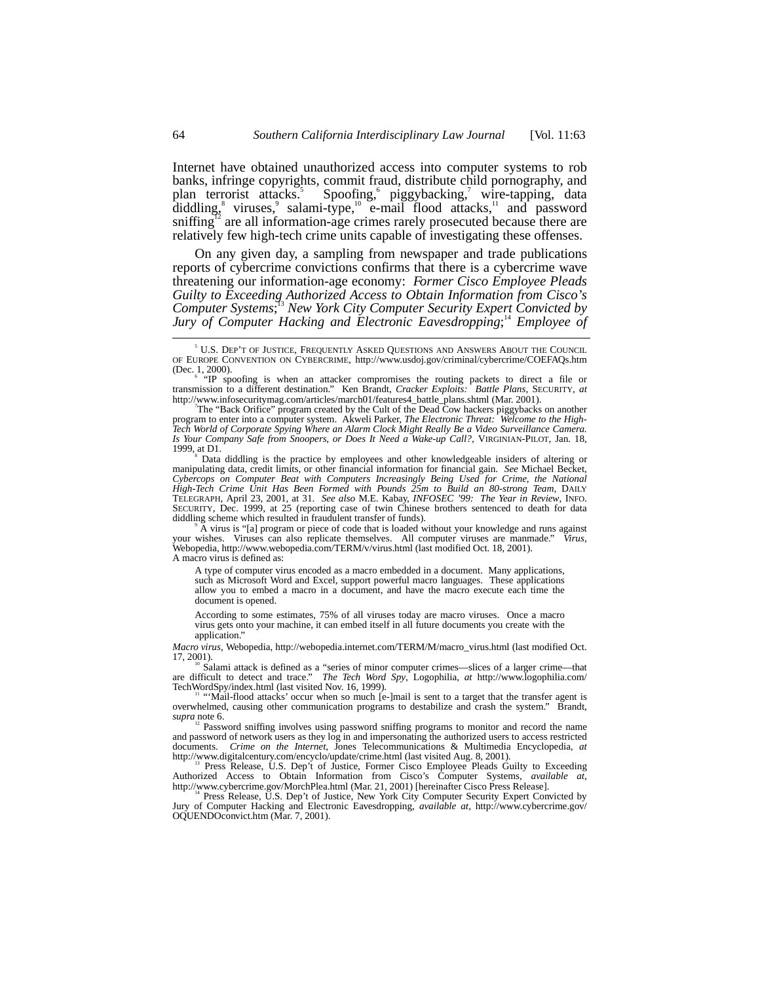Internet have obtained unauthorized access into computer systems to rob banks, infringe copyrights, commit fraud, distribute child pornography, and plan terrorist attacks.<sup>5</sup> Spoofing, piggybacking, wire-tapping, data diddling, viruses, salami-type,  $10$  e-mail flood attacks,  $11$  and password sniffing<sup>12</sup> are all information-age crimes rarely prosecuted because there are relatively few high-tech crime units capable of investigating these offenses.

On any given day, a sampling from newspaper and trade publications reports of cybercrime convictions confirms that there is a cybercrime wave threatening our information-age economy: *Former Cisco Employee Pleads Guilty to Exceeding Authorized Access to Obtain Information from Cisco's Computer Systems*; <sup>13</sup> *New York City Computer Security Expert Convicted by Jury of Computer Hacking and Electronic Eavesdropping*; <sup>14</sup> *Employee of*

 Data diddling is the practice by employees and other knowledgeable insiders of altering or manipulating data, credit limits, or other financial information for financial gain. *See* Michael Becket, *Cybercops on Computer Beat with Computers Increasingly Being Used for Crime, the National High-Tech Crime Unit Has Been Formed with Pounds 25m to Build an 80-strong Team*, DAILY TELEGRAPH, April 23, 2001, at 31. *See also* M.E. Kabay, *INFOSEC '99: The Year in Review*, INFO. SECURITY, Dec. 1999, at 25 (reporting case of twin Chinese brothers sentenced to death for data diddling scheme which resulted in fraudulent transfer of funds).

A virus is "[a] program or piece of code that is loaded without your knowledge and runs against vishes Virus, Nirus, your wishes. Viruses can also replicate themselves. All computer viruses are manmade." *Virus*, Webopedia, http://www.webopedia.com/TERM/v/virus.html (last modified Oct. 18, 2001). A macro virus is defined as:

A type of computer virus encoded as a macro embedded in a document. Many applications, such as Microsoft Word and Excel, support powerful macro languages. These applications allow you to embed a macro in a document, and have the macro execute each time the document is opened.

According to some estimates, 75% of all viruses today are macro viruses. Once a macro virus gets onto your machine, it can embed itself in all future documents you create with the application.

*Macro virus*, Webopedia, http://webopedia.internet.com/TERM/M/macro\_virus.html (last modified Oct. 17, 2001).<br><sup>10</sup> Salami attack is defined as a "series of minor computer crimes—slices of a larger crime—that

are difficult to detect and trace." *The Tech Word Spy*, Logophilia, *at* http://www.logophilia.com/ TechWordSpy/index.html (last visited Nov. 16, 1999).<br><sup>11</sup> "Mail-flood attacks' occur when so much [e-]mail is sent to a target that the transfer agent is

overwhelmed, causing other communication programs to destabilize and crash the system." Brandt, *supra* note 6.

12 Password sniffing involves using password sniffing programs to monitor and record the name and password of network users as they log in and impersonating the authorized users to access restricted documents. *Crime on the Internet*, Jones Telecommunications & Multimedia Encyclopedia, *at*

http://www.digitalcentury.com/encyclo/update/crime.html (last visited Aug. 8, 2001).<br><sup>13</sup> Press Release, U.S. Dep't of Justice, Former Cisco Employee Pleads Guilty to Exceeding Authorized Access to Obtain Information from http://www.cybercrime.gov/MorchPlea.html (Mar. 21, 2001) [hereinafter Cisco Press Release].

Jury of Computer Hacking and Electronic Eavesdropping, *available at*, http://www.cybercrime.gov/ OQUENDOconvict.htm (Mar. 7, 2001).

 $rac{1}{5}$  U.S. DEP'T OF JUSTICE, FREQUENTLY ASKED QUESTIONS AND ANSWERS ABOUT THE COUNCIL OF EUROPE CONVENTION ON CYBERCRIME, http://www.usdoj.gov/criminal/cybercrime/COEFAQs.htm (Dec. 1, 2000).

<sup>&</sup>quot;IP spoofing is when an attacker compromises the routing packets to direct a file or transmission to a different destination." Ken Brandt, *Cracker Exploits: Battle Plans*, SECURITY, *at* http://www.infosecuritymag.com/articles/march01/features4\_battle\_plans.shtml (Mar. 2001).

The "Back Orifice" program created by the Cult of the Dead Cow hackers piggybacks on another program to enter into a computer system. Akweli Parker, *The Electronic Threat: Welcome to the High-Tech World of Corporate Spying Where an Alarm Clock Might Really Be a Video Surveillance Camera. Is Your Company Safe from Snoopers, or Does It Need a Wake-up Call?*, VIRGINIAN-PILOT, Jan. 18, 1999, at  $D1$ .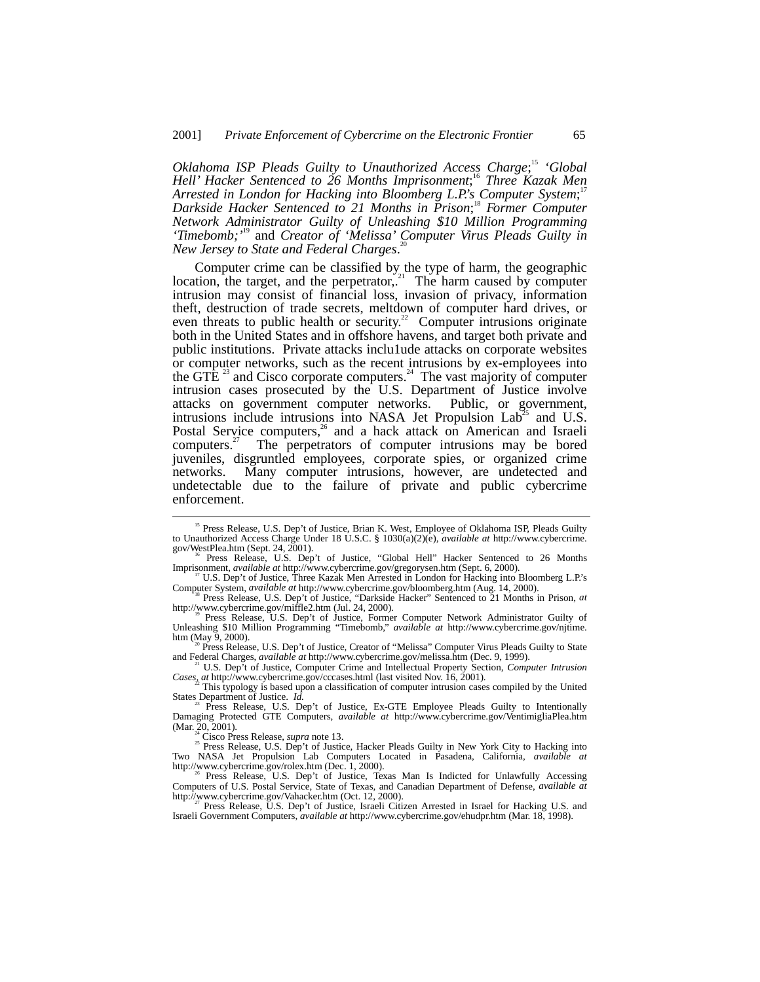*Oklahoma ISP Pleads Guilty to Unauthorized Access Charge*; <sup>15</sup> *'Global Hell' Hacker Sentenced to 26 Months Imprisonment*; <sup>16</sup> *Three Kazak Men Arrested in London for Hacking into Bloomberg L.P.'s Computer System*; 17 *Darkside Hacker Sentenced to 21 Months in Prison*; <sup>18</sup> *Former Computer Network Administrator Guilty of Unleashing \$10 Million Programming 'Timebomb;'*<sup>19</sup> and *Creator of 'Melissa' Computer Virus Pleads Guilty in New Jersey to State and Federal Charges*.

Computer crime can be classified by the type of harm, the geographic location, the target, and the perpetrator, $21$  The harm caused by computer intrusion may consist of financial loss, invasion of privacy, information theft, destruction of trade secrets, meltdown of computer hard drives, or even threats to public health or security.<sup>22</sup> Computer intrusions originate both in the United States and in offshore havens, and target both private and public institutions. Private attacks inclu1ude attacks on corporate websites or computer networks, such as the recent intrusions by ex-employees into the GTE<sup> $23$ </sup> and Cisco corporate computers.<sup>24</sup> The vast majority of computer intrusion cases prosecuted by the U.S. Department of Justice involve attacks on government computer networks. Public, or government, intrusions include intrusions into NASA Jet Propulsion  $Lab<sup>25</sup>$  and U.S. Postal Service computers,<sup>26</sup> and a hack attack on American and Israeli computers. $27$  The perpetrators of computer intrusions may be bored juveniles, disgruntled employees, corporate spies, or organized crime networks. Many computer intrusions, however, are undetected and undetectable due to the failure of private and public cybercrime enforcement.

htm (May 9, 2000).<br><sup>20</sup> Press Release, U.S. Dep't of Justice, Creator of "Melissa" Computer Virus Pleads Guilty to State<br>and Federal Charges, *available at* http://www.cybercrime.gov/melissa.htm (Dec. 9, 1999).

 <sup>15</sup> Press Release, U.S. Dep't of Justice, Brian K. West, Employee of Oklahoma ISP, Pleads Guilty to Unauthorized Access Charge Under 18 U.S.C. § 1030(a)(2)(e), *available at* http://www.cybercrime.

gov/WestPlea.htm (Sept. 24, 2001).<br><sup>16</sup> Press Release, U.S. Dep't of Justice, "Global Hell" Hacker Sentenced to 26 Months Imprisonment, *available at* http://www.cybercrime.gov/gregorysen.htm (Sept. 6, 2000).

<sup>&</sup>lt;sup>7</sup> U.S. Dep't of Justice, Three Kazak Men Arrested in London for Hacking into Bloomberg L.P.'s

Computer System, *available at* http://www.cybercrime.gov/bloomberg.htm (Aug. 14, 2000).<br><sup>18</sup> Press Release, U.S. Dep't of Justice, "Darkside Hacker" Sentenced to 21 Months in Prison, *at* http://www.cybercrime.gov/miffle2

http://www.cybercrime.gov/miffle2.htm (Jul. 24, 2000).<br><sup>19</sup> Press Release, U.S. Dep't of Justice, Former Computer Network Administrator Guilty of<br>Unleashing \$10 Million Programming "Timebomb," *available at* http://www.cyb

<sup>&</sup>lt;sup>21</sup> U.S. Dep't of Justice, Computer Crime and Intellectual Property Section, *Computer Intrusion* Cases<sub>s</sub> at http://www.cybercrime.gov/cccases.html (last visited Nov. 16, 2001).

<sup>&</sup>lt;sup>22</sup> This typology is based upon a classification of computer intrusion cases compiled by the United States Department of Justice. *Id.* 

States Department of Justice. *Id.*<br><sup>23</sup> Press Release, U.S. Dep't of Justice, Ex-GTE Employee Pleads Guilty to Intentionally<br>Damaging Protected GTE Computers, *available at* http://www.cybercrime.gov/VentimigliaPlea.htm

<sup>(</sup>Mar. 20, 2001).<br><sup>24</sup> Cisco Press Release, *supra* note 13.<br><sup>25</sup> Press Release, U.S. Dep't of Justice, Hacker Pleads Guilty in New York City to Hacking into Two NASA Jet Propulsion Lab Computers Located in Pasadena, California, *available at* http://www.cybercrime.gov/rolex.htm (Dec. 1, 2000). <sup>26</sup> Press Release, U.S. Dep't of Justice, Texas Man Is Indicted for Unlawfully Accessing

Computers of U.S. Postal Service, State of Texas, and Canadian Department of Defense, *available at* http://www.cybercrime.gov/Vahacker.htm (Oct. 12, 2000).<br><sup>27</sup> Press Release, U.S. Dep't of Justice, Israeli Citizen Arrested in Israel for Hacking U.S. and

Israeli Government Computers, *available at* http://www.cybercrime.gov/ehudpr.htm (Mar. 18, 1998).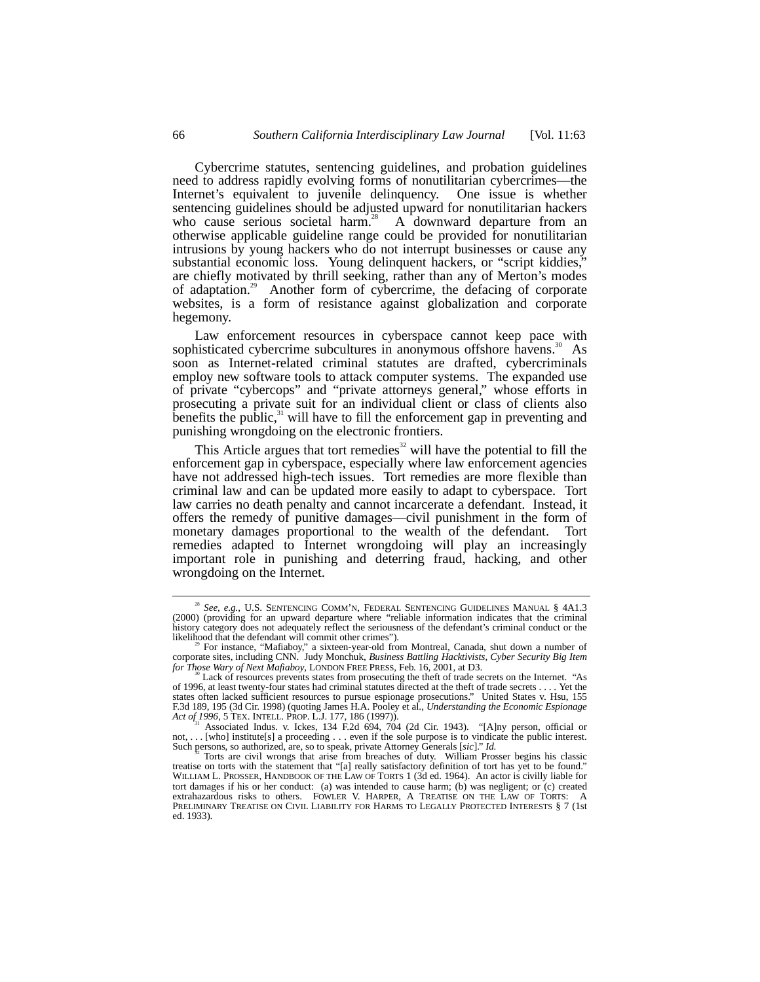Cybercrime statutes, sentencing guidelines, and probation guidelines need to address rapidly evolving forms of nonutilitarian cybercrimes––the Internet's equivalent to juvenile delinquency. One issue is whether sentencing guidelines should be adjusted upward for nonutilitarian hackers who cause serious societal harm.<sup>28</sup> A downward departure from an otherwise applicable guideline range could be provided for nonutilitarian intrusions by young hackers who do not interrupt businesses or cause any substantial economic loss. Young delinquent hackers, or "script kiddies," are chiefly motivated by thrill seeking, rather than any of Merton's modes of adaptation.29 Another form of cybercrime, the defacing of corporate websites, is a form of resistance against globalization and corporate hegemony.

Law enforcement resources in cyberspace cannot keep pace with sophisticated cybercrime subcultures in anonymous offshore havens.<sup>30</sup> As soon as Internet-related criminal statutes are drafted, cybercriminals employ new software tools to attack computer systems. The expanded use of private "cybercops" and "private attorneys general," whose efforts in prosecuting a private suit for an individual client or class of clients also benefits the public, $31$  will have to fill the enforcement gap in preventing and punishing wrongdoing on the electronic frontiers.

This Article argues that tort remedies $32$  will have the potential to fill the enforcement gap in cyberspace, especially where law enforcement agencies have not addressed high-tech issues. Tort remedies are more flexible than criminal law and can be updated more easily to adapt to cyberspace. Tort law carries no death penalty and cannot incarcerate a defendant. Instead, it offers the remedy of punitive damages––civil punishment in the form of monetary damages proportional to the wealth of the defendant. Tort remedies adapted to Internet wrongdoing will play an increasingly important role in punishing and deterring fraud, hacking, and other wrongdoing on the Internet.

<sup>&</sup>lt;sup>28</sup> See, e.g., U.S. SENTENCING COMM'N, FEDERAL SENTENCING GUIDELINES MANUAL § 4A1.3 (2000) (providing for an upward departure where "reliable information indicates that the criminal history category does not adequately reflect the seriousness of the defendant's criminal conduct or the likelihood that the defendant will commit other crimes").

likelihood that the defendant will commit other crimes").<br><sup>29</sup> For instance, "Mafiaboy," a sixteen-year-old from Montreal, Canada, shut down a number of<br>corporate sites, including CNN. Judy Monchuk, *Business Battling Hack for Those Wary of Next Mafiaboy*, LONDON FREE PRESS, Feb. 16, 2001, at D3.<br><sup>30</sup> Lack of resources prevents states from prosecuting the theft of trade secrets on the Internet. "As

of 1996, at least twenty-four states had criminal statutes directed at the theft of trade secrets . . . . Yet the states often lacked sufficient resources to pursue espionage prosecutions." United States v. Hsu, 155 F.3d 189, 195 (3d Cir. 1998) (quoting James H.A. Pooley et al., *Understanding the Economic Espionage Act of 1996*, 5 TEX. INTELL. PROP. L.J. 177, 186 (1997)).<br>*Act of 1996*, 5 TEX. INTELL. PROP. L.J. 177, 186 (1997)).<br><sup></sup>

not,... [who] institute[s] a proceeding ... even if the sole purpose is to vindicate the public interest.<br>Such persons, so authorized, are, so to speak, private Attorney Generals [sic]." *Id.*<br><sup>32</sup> Torts are civil wrongs

treatise on torts with the statement that "[a] really satisfactory definition of tort has yet to be found." WILLIAM L. PROSSER, HANDBOOK OF THE LAW OF TORTS 1 (3d ed. 1964). An actor is civilly liable for tort damages if his or her conduct: (a) was intended to cause harm; (b) was negligent; or (c) created extrahazardous risks to others. FOWLER V. HARPER, A TREATISE ON THE LAW OF TORTS: A PRELIMINARY TREATISE ON CIVIL LIABILITY FOR HARMS TO LEGALLY PROTECTED INTERESTS § 7 (1st ed. 1933).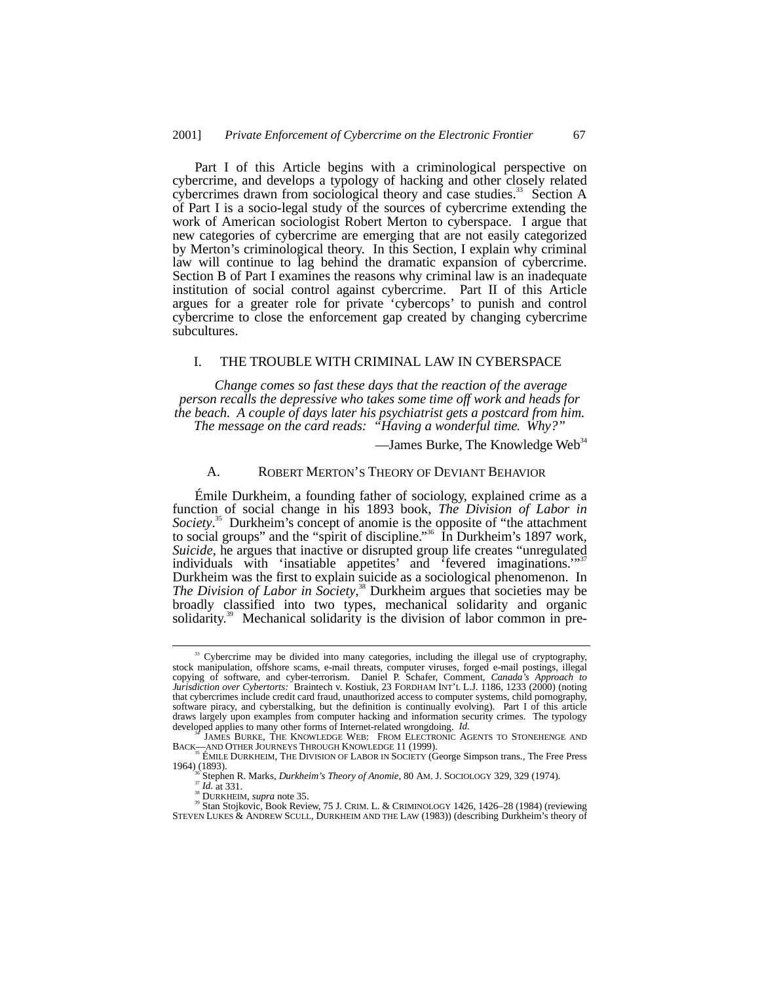Part I of this Article begins with a criminological perspective on cybercrime, and develops a typology of hacking and other closely related cybercrimes drawn from sociological theory and case studies.<sup>33</sup> Section A of Part I is a socio-legal study of the sources of cybercrime extending the work of American sociologist Robert Merton to cyberspace. I argue that new categories of cybercrime are emerging that are not easily categorized by Merton's criminological theory. In this Section, I explain why criminal law will continue to lag behind the dramatic expansion of cybercrime. Section B of Part I examines the reasons why criminal law is an inadequate institution of social control against cybercrime. Part II of this Article argues for a greater role for private 'cybercops' to punish and control cybercrime to close the enforcement gap created by changing cybercrime subcultures.

# I. THE TROUBLE WITH CRIMINAL LAW IN CYBERSPACE

*Change comes so fast these days that the reaction of the average person recalls the depressive who takes some time off work and heads for the beach. A couple of days later his psychiatrist gets a postcard from him. The message on the card reads: "Having a wonderful time. Why?"*

 $-$ James Burke, The Knowledge Web<sup>34</sup>

# A. ROBERT MERTON'S THEORY OF DEVIANT BEHAVIOR

Émile Durkheim, a founding father of sociology, explained crime as a function of social change in his 1893 book, *The Division of Labor in Society*. 35 Durkheim's concept of anomie is the opposite of "the attachment to social groups" and the "spirit of discipline."<sup>36</sup> In Durkheim's 1897 work, *Suicide*, he argues that inactive or disrupted group life creates "unregulated individuals with 'insatiable appetites' and 'fevered imaginations." Durkheim was the first to explain suicide as a sociological phenomenon. In *The Division of Labor in Society*, 38 Durkheim argues that societies may be broadly classified into two types, mechanical solidarity and organic solidarity.<sup>39</sup> Mechanical solidarity is the division of labor common in pre-

<sup>&</sup>lt;sup>33</sup> Cybercrime may be divided into many categories, including the illegal use of cryptography, stock manipulation, offshore scams, e-mail threats, computer viruses, forged e-mail postings, illegal copying of software, and cyber-terrorism. Daniel P. Schafer, Comment, *Canada's Approach to Jurisdiction over Cybertorts:* Braintech v. Kostiuk, 23 FORDHAM INT'L L.J. 1186, 1233 (2000) (noting that cybercrimes include credit card fraud, unauthorized access to computer systems, child pornography, software piracy, and cyberstalking, but the definition is continually evolving). Part I of this article draws largely upon examples from computer hacking and information security crimes. The typology developed applies to many other forms of Internet-related wrongdoing. Id.

JAMES BURKE, THE KNOWLEDGE WEB: FROM ELECTRONIC AGENTS TO STONEHENGE AND BACK—AND OTHER JOURNEYS THROUGH KNOWLEDGE 11 (1999).<br><sup>35</sup> ÉMILE DURKHEIM, THE DIVISION OF LABOR IN SOCIETY (George Simpson trans., The Free Press

<sup>1964) (1893).&</sup>lt;br>
<sup>35</sup> Stephen R. Marks, *Durkheim's Theory of Anomie*, 80 AM. J. Sociology 329, 329 (1974).<br>
<sup>37</sup> Id. at 331.<br>
<sup>38</sup> DURKHEIM, *supra* note 35.<br>
<sup>38</sup> Stan Stojkovic, Book Review, 75 J. CRIM. L. & CRIMINOLOGY

STEVEN LUKES & ANDREW SCULL, DURKHEIM AND THE LAW (1983)) (describing Durkheim's theory of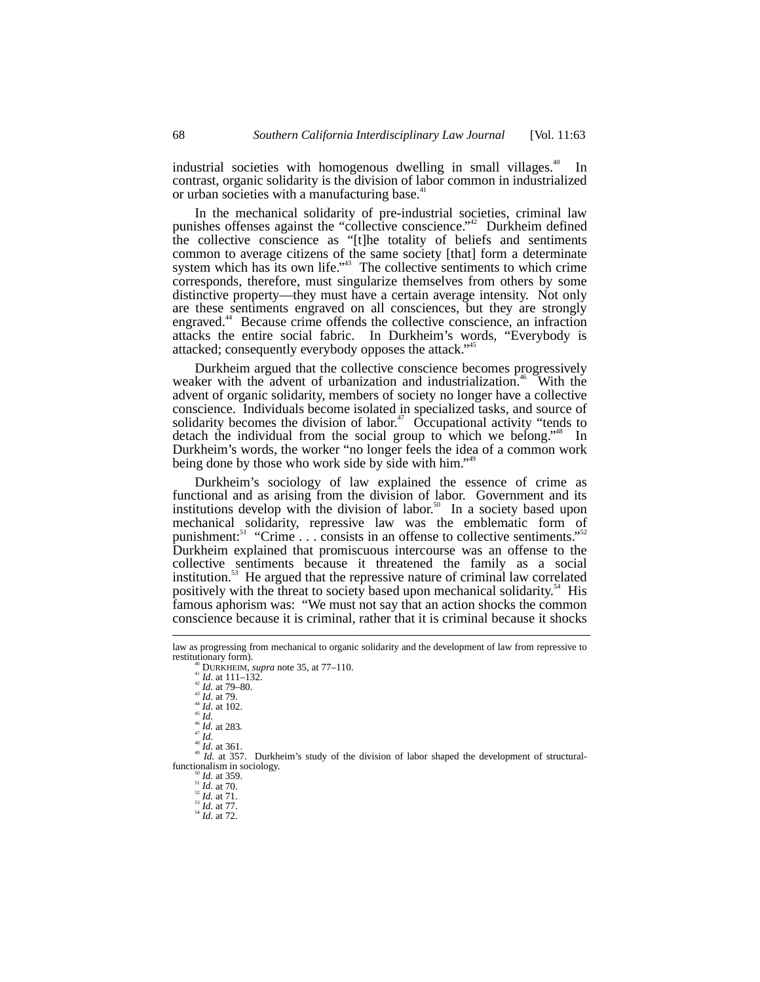industrial societies with homogenous dwelling in small villages.<sup>40</sup> In contrast, organic solidarity is the division of labor common in industrialized or urban societies with a manufacturing base.<sup>41</sup>

In the mechanical solidarity of pre-industrial societies, criminal law punishes offenses against the "collective conscience."<sup>42</sup> Durkheim defined the collective conscience as "[t]he totality of beliefs and sentiments common to average citizens of the same society [that] form a determinate system which has its own life."<sup>43</sup> The collective sentiments to which crime corresponds, therefore, must singularize themselves from others by some distinctive property––they must have a certain average intensity. Not only are these sentiments engraved on all consciences, but they are strongly engraved.<sup>44</sup> Because crime offends the collective conscience, an infraction attacks the entire social fabric. In Durkheim's words, "Everybody is attacked; consequently everybody opposes the attack."<sup>45</sup>

Durkheim argued that the collective conscience becomes progressively weaker with the advent of urbanization and industrialization.<sup>46</sup> With the advent of organic solidarity, members of society no longer have a collective conscience. Individuals become isolated in specialized tasks, and source of solidarity becomes the division of labor.<sup>47</sup> Occupational activity "tends to detach the individual from the social group to which we belong."<sup>48</sup> In Durkheim's words, the worker "no longer feels the idea of a common work being done by those who work side by side with him."<sup>49</sup>

Durkheim's sociology of law explained the essence of crime as functional and as arising from the division of labor. Government and its institutions develop with the division of labor.<sup>50</sup> In a society based upon mechanical solidarity, repressive law was the emblematic form of punishment:<sup>51</sup> "Crime . . . consists in an offense to collective sentiments." Durkheim explained that promiscuous intercourse was an offense to the collective sentiments because it threatened the family as a social institution.<sup>53</sup> He argued that the repressive nature of criminal law correlated positively with the threat to society based upon mechanical solidarity.<sup>34</sup> His famous aphorism was: "We must not say that an action shocks the common conscience because it is criminal, rather that it is criminal because it shocks

restitutionary form).<br>
<sup>41</sup> *IDURKHEIM, supra* note 35, at 77–110.<br>
<sup>41</sup> *Id.* at 110–132.<br>
<sup>43</sup> *Id.* at 79–80.<br>
<sup>44</sup> *Id.* at 79.<br>
<sup>44</sup> *Id.* at 102.<br>
<sup>45</sup> *Id.* at 283.<br>
<sup>47</sup> *Id.* at 361.<br>
<sup>47</sup> *Id.* at 361.<br>
<sup>49</sup> *Id* functionalism in sociology.<br><sup>51</sup> *Id.* at 359.<br><sup>52</sup> *Id.* at 70.<br><sup>52</sup> *Id.* at 71.<br><sup>54</sup> *Id.* at 72.

law as progressing from mechanical to organic solidarity and the development of law from repressive to restitutionary form).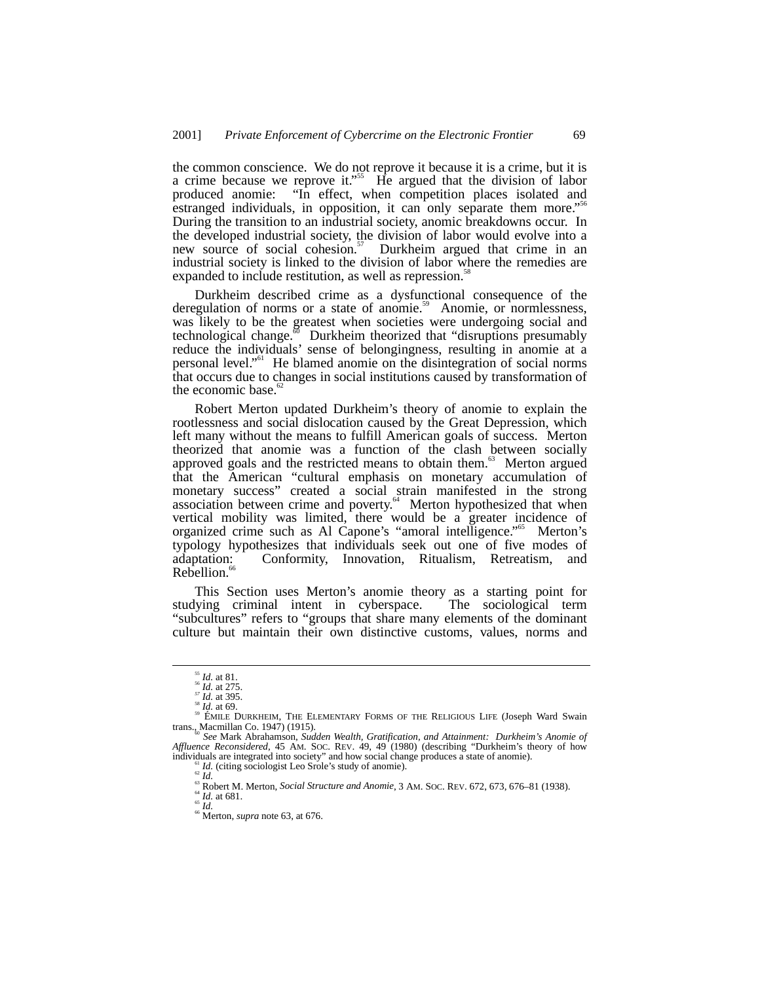the common conscience. We do not reprove it because it is a crime, but it is a crime because we reprove it." 55 He argued that the division of labor produced anomie: "In effect, when competition places isolated and estranged individuals, in opposition, it can only separate them more."<sup>56</sup> During the transition to an industrial society, anomic breakdowns occur. In the developed industrial society, the division of labor would evolve into a new source of social cohesion.<sup>57</sup> Durkheim argued that crime in an industrial society is linked to the division of labor where the remedies are expanded to include restitution, as well as repression.<sup>58</sup>

Durkheim described crime as a dysfunctional consequence of the deregulation of norms or a state of anomie.<sup>59</sup> Anomie, or normlessness, was likely to be the greatest when societies were undergoing social and technological change. $\degree$  Durkheim theorized that "disruptions presumably reduce the individuals' sense of belongingness, resulting in anomie at a personal level."<sup>61</sup> He blamed anomie on the disintegration of social norms that occurs due to changes in social institutions caused by transformation of the economic base.<sup>6</sup>

Robert Merton updated Durkheim's theory of anomie to explain the rootlessness and social dislocation caused by the Great Depression, which left many without the means to fulfill American goals of success. Merton theorized that anomie was a function of the clash between socially approved goals and the restricted means to obtain them.<sup>63</sup> Merton argued that the American "cultural emphasis on monetary accumulation of monetary success" created a social strain manifested in the strong association between crime and poverty.<sup>64</sup> Merton hypothesized that when vertical mobility was limited, there would be a greater incidence of organized crime such as Al Capone's "amoral intelligence."<sup>65</sup> Merton's typology hypothesizes that individuals seek out one of five modes of adaptation: Conformity, Innovation, Ritualism, Retreatism, and Rebellion.<sup>6</sup>

This Section uses Merton's anomie theory as a starting point for ving criminal intent in cyberspace. The sociological term studying criminal intent in cyberspace. "subcultures" refers to "groups that share many elements of the dominant culture but maintain their own distinctive customs, values, norms and

<sup>&</sup>lt;sup>55</sup> *Id.* at 81.<br><sup>56</sup> *Id.* at 275.<br><sup>57</sup> *Id.* at 395.<br><sup>58</sup> ÉMILE DURKHEIM, THE ELEMENTARY FORMS OF THE RELIGIOUS LIFE (Joseph Ward Swain<br>trans., Macmillan Co. 1947) (1915).

See Mark Abrahamson, Sudden Wealth, Gratification, and Attainment: Durkheim's Anomie of *Affluence Reconsidered*, 45 AM. SOC. REV. 49, 49 (1980) (describing "Durkheim's theory of how individuals are integrated into society" and how social change produces a state of anomie).

<sup>&</sup>lt;sup>61</sup> *Id.* (citing sociologist Leo Srole's study of anomie).<br>
<sup>62</sup> *Id.*<br>
<sup>63</sup> Robert M. Merton, *Social Structure and Anomie*, 3 AM. Soc. REV. 672, 673, 676–81 (1938).<br>
<sup>64</sup> *Id.* at 681.<br>
<sup>68</sup> Merton, *supra* note 63, a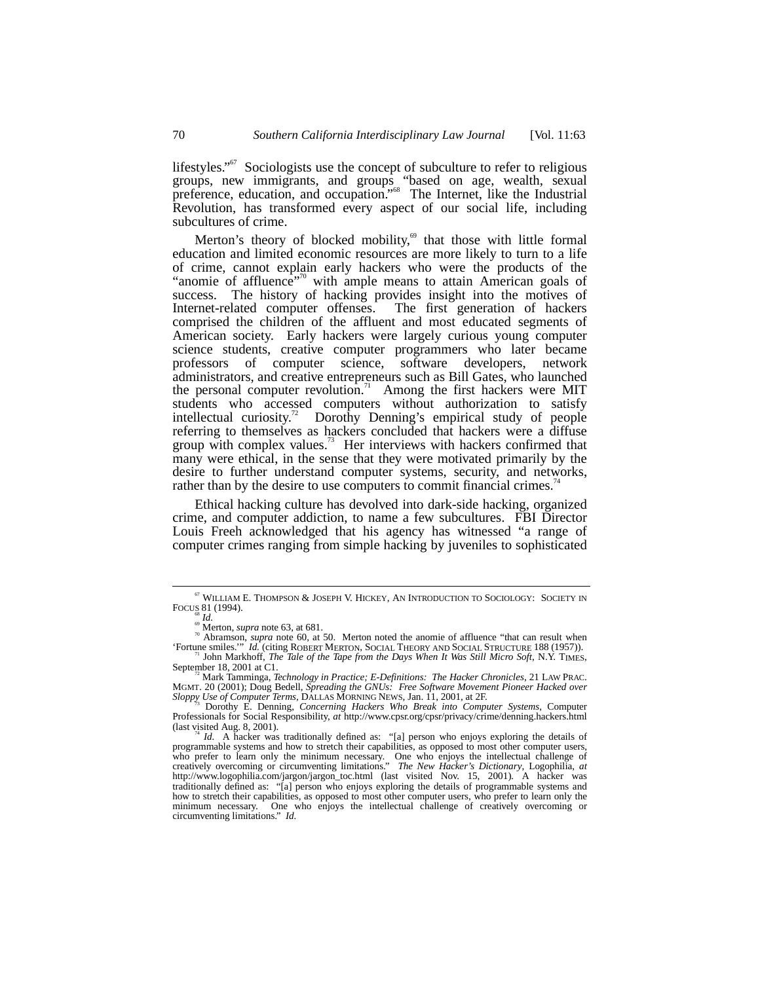lifestyles."<sup>67</sup> Sociologists use the concept of subculture to refer to religious groups, new immigrants, and groups "based on age, wealth, sexual preference, education, and occupation."<sup>68</sup> The Internet, like the Industrial Revolution, has transformed every aspect of our social life, including subcultures of crime.

Merton's theory of blocked mobility, $69$  that those with little formal education and limited economic resources are more likely to turn to a life of crime, cannot explain early hackers who were the products of the "anomie of affluence"<sup>70</sup> with ample means to attain American goals of success. The history of hacking provides insight into the motives of Internet-related computer offenses. The first generation of hackers comprised the children of the affluent and most educated segments of American society. Early hackers were largely curious young computer science students, creative computer programmers who later became professors of computer science, software developers, network administrators, and creative entrepreneurs such as Bill Gates, who launched the personal computer revolution.<sup>71</sup> Among the first hackers were MIT students who accessed computers without authorization to satisfy intellectual curiosity.72 Dorothy Denning's empirical study of people referring to themselves as hackers concluded that hackers were a diffuse group with complex values.<sup>73</sup> Her interviews with hackers confirmed that many were ethical, in the sense that they were motivated primarily by the desire to further understand computer systems, security, and networks, rather than by the desire to use computers to commit financial crimes.<sup>7</sup>

Ethical hacking culture has devolved into dark-side hacking, organized crime, and computer addiction, to name a few subcultures. FBI Director Louis Freeh acknowledged that his agency has witnessed "a range of computer crimes ranging from simple hacking by juveniles to sophisticated

 $^{67}$  WILLIAM E. THOMPSON & JOSEPH V. HICKEY, AN INTRODUCTION TO SOCIOLOGY: SOCIETY IN FOCUS 81 (1994). FOCUS 81 (1994).<br><sup>68</sup> *Id.* 69 *Id.* 69 Merton, *supra* note 63, at 681.<br><sup>70</sup> Abramson, *supra* note 60, at 50. Merton noted the anomie of affluence "that can result when

<sup>&#</sup>x27;Fortune smiles.'" *Id.* (citing ROBERT MERTON, SOCIAL THEORY AND SOCIAL STRUCTURE 188 (1957)).<br>The Tale of the *Tape from the Days When It Was Still Micro Soft*, N.Y. TIMES,<br>September 18, 2001 at C1.<br><sup>72</sup> Mark Tamminga,

Sloppy Use of Computer Terms, DALLAS MORNING NEWS, Jan. 11, 2001, at 2F.<br><sup>73</sup> Dorothy E. Denning, *Concerning Hackers Who Break into Computer Systems*, Computer<br>Professionals for Social Responsibility, *at* http://www.cpsr

<sup>(</sup>last visited Aug. 8, 2001).<br><sup>74</sup> *Id.* A hacker was traditionally defined as: "[a] person who enjoys exploring the details of programmable systems and how to stretch their capabilities, as opposed to most other computer programmation systems are to selectual challenge of<br>who prefer to learn only the minimum necessary. One who enjoys the intellectual challenge of<br>creatively overcoming or circumventing limitations." The New Hacker's Diction creatively overcoming or circumventing limitations." *The New Hacker's Dictionary*, Logophilia, *at* http://www.logophilia.com/jargon/jargon\_toc.html (last visited Nov. 15, 2001)*.* A hacker was traditionally defined as: "[a] person who enjoys exploring the details of programmable systems and how to stretch their capabilities, as opposed to most other computer users, who prefer to learn only the minimum necessary. One who enjoys the intellectual challenge of creatively overcoming or circumventing limitations."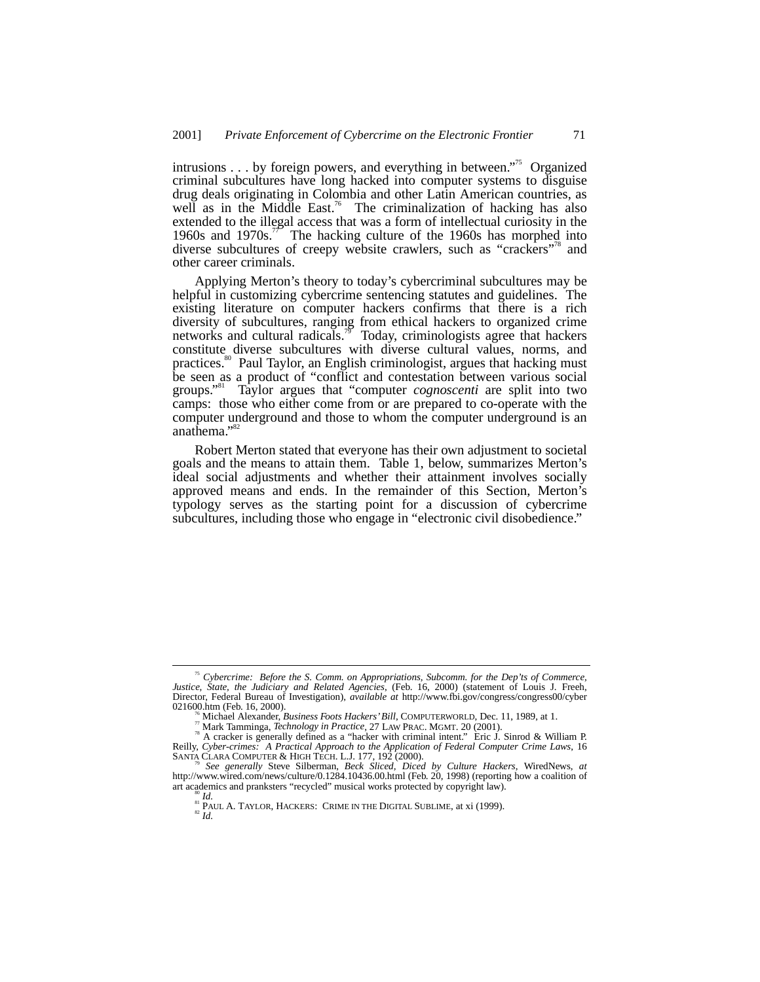intrusions . . . by foreign powers, and everything in between."<sup>75</sup> Organized criminal subcultures have long hacked into computer systems to disguise drug deals originating in Colombia and other Latin American countries, as well as in the Middle East.<sup>76</sup> The criminalization of hacking has also extended to the illegal access that was a form of intellectual curiosity in the 1960s and 1970s.<sup>77</sup> The hacking culture of the 1960s has morphed into diverse subcultures of creepy website crawlers, such as "crackers"<sup>78</sup> and other career criminals.

Applying Merton's theory to today's cybercriminal subcultures may be helpful in customizing cybercrime sentencing statutes and guidelines. The existing literature on computer hackers confirms that there is a rich diversity of subcultures, ranging from ethical hackers to organized crime networks and cultural radicals.<sup>79</sup> Today, criminologists agree that hackers constitute diverse subcultures with diverse cultural values, norms, and practices.<sup>80</sup> Paul Taylor, an English criminologist, argues that hacking must be seen as a product of "conflict and contestation between various social groups." 81 Taylor argues that "computer *cognoscenti* are split into two camps: those who either come from or are prepared to co-operate with the computer underground and those to whom the computer underground is an anathema." 82

Robert Merton stated that everyone has their own adjustment to societal goals and the means to attain them. Table 1, below, summarizes Merton's ideal social adjustments and whether their attainment involves socially approved means and ends. In the remainder of this Section, Merton's typology serves as the starting point for a discussion of cybercrime subcultures, including those who engage in "electronic civil disobedience."

 <sup>75</sup> *Cybercrime: Before the S. Comm. on Appropriations, Subcomm. for the Dep'ts of Commerce, Justice, State, the Judiciary and Related Agencies*, (Feb. 16, 2000) (statement of Louis J. Freeh, Director, Federal Bureau of Investigation), *available at* http://www.fbi.gov/congress/congress00/cyber

<sup>&</sup>lt;sup>76</sup> Michael Alexander, *Business Foots Hackers' Bill*, COMPUTERWORLD, Dec. 11, 1989, at 1.<br><sup>77</sup> Mark Tamminga, *Technology in Practice*, 27 LAW PRAC. MGMT. 20 (2001).<br><sup>78</sup> A cracker is generally defined as a "hacker with Reilly, *Cyber-crimes: A Practical Approach to the Application of Federal Computer Crime Laws*, 16

*See generally Steve Silberman, Beck Sliced, Diced by Culture Hackers, WiredNews, at*<br>http://www.wired.com/news/culture/0.1284.10436.00.html (Feb. 20, 1998) (reporting how a coalition of<br>art academics and pranksters "recyc

<sup>&</sup>lt;sup>80</sup> *Id.* 81 PAUL A. TAYLOR, HACKERS: CRIME IN THE DIGITAL SUBLIME, at xi (1999). 82  $H$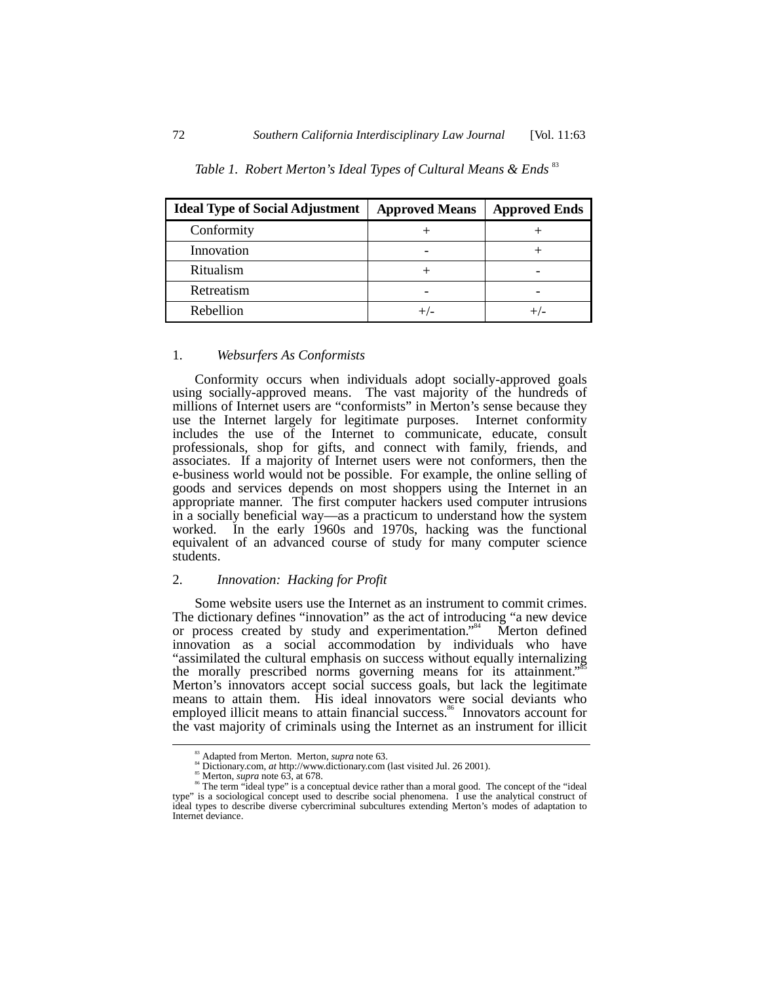| <b>Ideal Type of Social Adjustment</b> | <b>Approved Means</b> | <b>Approved Ends</b> |
|----------------------------------------|-----------------------|----------------------|
| Conformity                             |                       |                      |
| Innovation                             |                       |                      |
| Ritualism                              |                       |                      |
| Retreatism                             |                       |                      |
| Rebellion                              |                       |                      |

# Table 1. Robert Merton's Ideal Types of Cultural Means & Ends<sup>83</sup>

# 1. *Websurfers As Conformists*

Conformity occurs when individuals adopt socially-approved goals using socially-approved means. The vast majority of the hundreds of millions of Internet users are "conformists" in Merton's sense because they use the Internet largely for legitimate purposes. Internet conformity includes the use of the Internet to communicate, educate, consult professionals, shop for gifts, and connect with family, friends, and associates. If a majority of Internet users were not conformers, then the e-business world would not be possible. For example, the online selling of goods and services depends on most shoppers using the Internet in an appropriate manner. The first computer hackers used computer intrusions in a socially beneficial way—as a practicum to understand how the system worked. In the early 1960s and 1970s, hacking was the functional equivalent of an advanced course of study for many computer science students.

# 2. *Innovation: Hacking for Profit*

Some website users use the Internet as an instrument to commit crimes. The dictionary defines "innovation" as the act of introducing "a new device or process created by study and experimentation."<sup>84</sup> Merton defined innovation as a social accommodation by individuals who have "assimilated the cultural emphasis on success without equally internalizing the morally prescribed norms governing means for its attainment."<sup>55</sup> Merton's innovators accept social success goals, but lack the legitimate means to attain them. His ideal innovators were social deviants who employed illicit means to attain financial success.<sup>86</sup> Innovators account for the vast majority of criminals using the Internet as an instrument for illicit

<sup>&</sup>lt;sup>83</sup> Adapted from Merton. Merton, *supra* note 63.<br><sup>84</sup> Dictionary.com, *at* http://www.dictionary.com (last visited Jul. 26 2001).<br><sup>85</sup> Merton, *supra* note 63, at 678.<br><sup>86</sup> The term "ideal type" is a conceptual device r type" is a sociological concept used to describe social phenomena. I use the analytical construct of ideal types to describe diverse cybercriminal subcultures extending Merton's modes of adaptation to Internet deviance.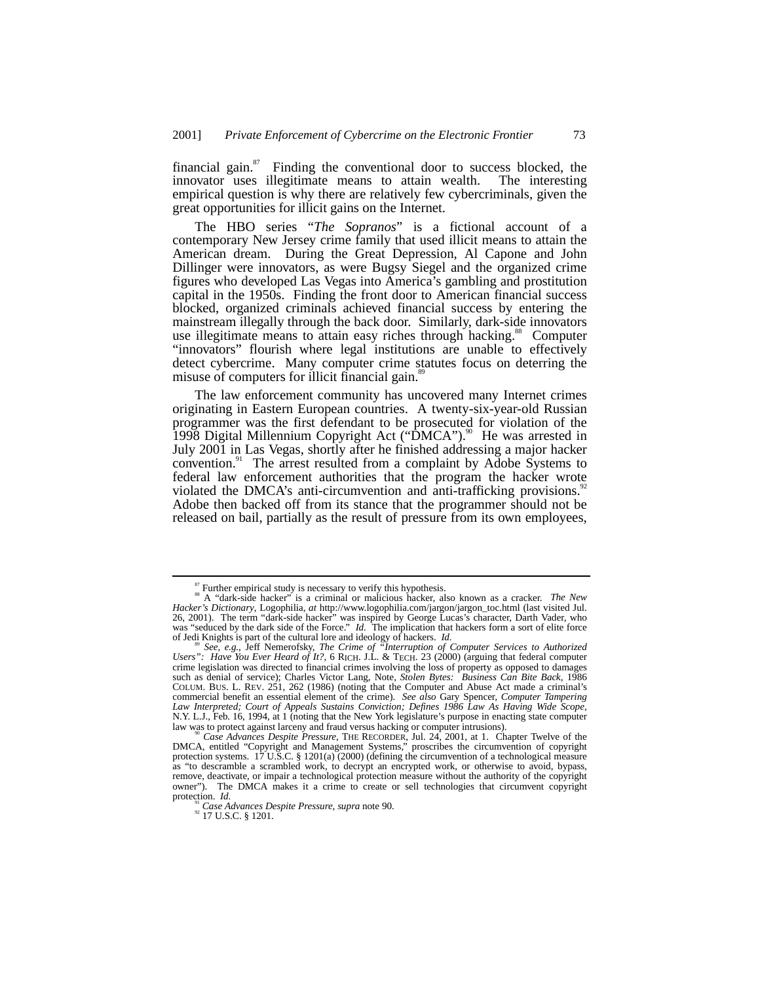financial gain. $s^7$  Finding the conventional door to success blocked, the innovator uses illegitimate means to attain wealth. The interesting empirical question is why there are relatively few cybercriminals, given the great opportunities for illicit gains on the Internet.

The HBO series "*The Sopranos*" is a fictional account of a contemporary New Jersey crime family that used illicit means to attain the American dream. During the Great Depression, Al Capone and John Dillinger were innovators, as were Bugsy Siegel and the organized crime figures who developed Las Vegas into America's gambling and prostitution capital in the 1950s. Finding the front door to American financial success blocked, organized criminals achieved financial success by entering the mainstream illegally through the back door. Similarly, dark-side innovators use illegitimate means to attain easy riches through hacking.<sup>88</sup> Computer "innovators" flourish where legal institutions are unable to effectively detect cybercrime. Many computer crime statutes focus on deterring the misuse of computers for illicit financial gain.<sup>89</sup>

The law enforcement community has uncovered many Internet crimes originating in Eastern European countries. A twenty-six-year-old Russian programmer was the first defendant to be prosecuted for violation of the 1998 Digital Millennium Copyright Act (" $\hat{D}MCA$ ").<sup>90</sup> He was arrested in July 2001 in Las Vegas, shortly after he finished addressing a major hacker convention.<sup>91</sup> The arrest resulted from a complaint by Adobe Systems to federal law enforcement authorities that the program the hacker wrote violated the DMCA's anti-circumvention and anti-trafficking provisions. Adobe then backed off from its stance that the programmer should not be released on bail, partially as the result of pressure from its own employees,

 <sup>87</sup> Further empirical study is necessary to verify this hypothesis. 88 A "dark-side hacker" is a criminal or malicious hacker, also known as a cracker. *The New Hacker's Dictionary*, Logophilia, *at* http://www.logophilia.com/jargon/jargon\_toc.html (last visited Jul. 26, 2001). The term "dark-side hacker" was inspired by George Lucas's character, Darth Vader, who was "seduced by the dark side of the Force." *Id.* The implication that hackers form a sort of elite force

of Jedi Knights is part of the cultural lore and ideology of hackers. *Id.*<br><sup>89</sup> See, e.g., Jeff Nemerofsky, *The Crime of "Interruption of Computer Services to Authorized*<br>*Users": Have You Ever Heard of It?*, 6 RICH. J.L crime legislation was directed to financial crimes involving the loss of property as opposed to damages such as denial of service); Charles Victor Lang, Note, *Stolen Bytes: Business Can Bite Back*, 1986 commercial benefit an essential element of the crime). *See also* Gary Spencer, *Computer Tampering Law Interpreted; Court of Appeals Sustains Conviction; Defines 1986 Law As Having Wide Scope, N.Y. L.J.*, Feb. 16, 1994, at 1 (noting that the New York legislature's purpose in enacting state computer law was to protect against larceny and fraud versus hacking or computer intrusions).

law was to protect against larceny and fraud versus hacking or computer intrusions).<br><sup>90</sup> Case Advances Despite Pressure, THE RECORDER, Jul. 24, 2001, at 1. Chapter Twelve of the DMCA, entitled "Copyright and Management Sy protection systems.  $17 \text{ U.S.C. }$  §  $1201(a)(2000)$  (defining the circumvention of a technological measure as "to descramble a scrambled work, to decrypt an encrypted work, or otherwise to avoid, bypass, remove, deactivate, or impair a technological protection measure without the authority of the copyright owner"). The DMCA makes it a crime to create or sell technologies that circumvent copyright protection. *Id.* 

<sup>&</sup>lt;sup>91</sup> Case Advances Despite Pressure, *supra* note 90.<br><sup>92</sup> 17 U.S.C. § 1201.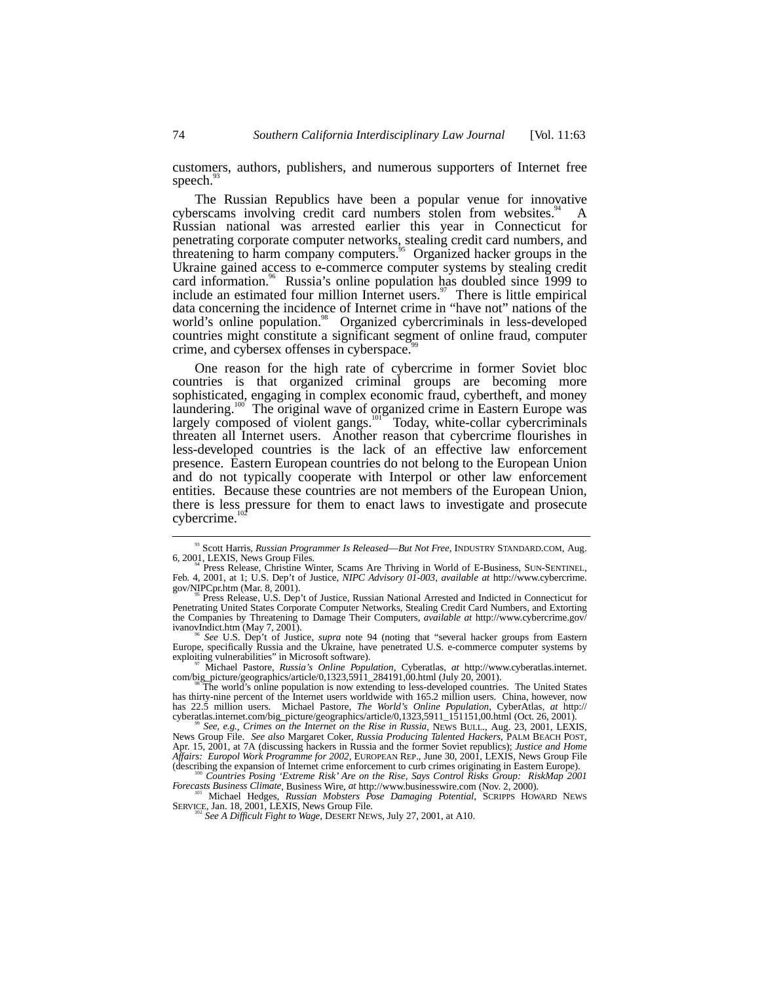customers, authors, publishers, and numerous supporters of Internet free speech.

The Russian Republics have been a popular venue for innovative cyberscams involving credit card numbers stolen from websites. $4^{\circ}$  A Russian national was arrested earlier this year in Connecticut for penetrating corporate computer networks, stealing credit card numbers, and threatening to harm company computers.<sup>95</sup> Organized hacker groups in the Ukraine gained access to e-commerce computer systems by stealing credit card information.<sup>96</sup> Russia's online population has doubled since 1999 to include an estimated four million Internet users. $\frac{97}{10}$  There is little empirical data concerning the incidence of Internet crime in "have not" nations of the world's online population.<sup>98</sup> Organized cybercriminals in less-developed countries might constitute a significant segment of online fraud, computer crime, and cybersex offenses in cyberspace.<sup>9</sup>

One reason for the high rate of cybercrime in former Soviet bloc countries is that organized criminal groups are becoming more sophisticated, engaging in complex economic fraud, cybertheft, and money laundering.<sup>100</sup> The original wave of organized crime in Eastern Europe was  $\mu$ <sup>00</sup> The original wave of organized crime in Eastern Europe was largely composed of violent gangs.<sup>101</sup> Today, white-collar cybercriminals threaten all Internet users. Another reason that cybercrime flourishes in less-developed countries is the lack of an effective law enforcement presence. Eastern European countries do not belong to the European Union and do not typically cooperate with Interpol or other law enforcement entities. Because these countries are not members of the European Union, there is less pressure for them to enact laws to investigate and prosecute cybercrime.<sup>102</sup>

<sup>97</sup> Michael Pastore, *Russia's Online Population*, Cyberatlas, *at* http://www.cyberatlas.internet.<br>com/big\_picture/geographics/article/0,1323,5911\_284191,00.html (July 20, 2001).

News Group File. *See also* Margaret Coker, *Russia Producing Talented Hackers*, PALM BEACH POST, Apr. 15, 2001, at 7A (discussing hackers in Russia and the former Soviet republics); *Justice and Home Affairs: Europol Work Programme for 2002*, EUROPEAN REP., June 30, 2001, LEXIS, News Group File (describing the expansion of Internet crime enforcement to curb crimes originating in Eastern Europe).

*Forecasts Business Climates, Business Wire, Business Pose Damaging Potential*, SCRIPPS HOWARD NEWS SERVICE, Jan. 18, 2001, LEXIS, News Group File.

<sup>93</sup> Scott Harris, *Russian Programmer Is Released—But Not Free*, INDUSTRY STANDARD.COM, Aug. 6, 2001, LEXIS, News Group Files.<br><sup>94</sup> Press Release, Christine Winter, Scams Are Thriving in World of E-Business, SUN-SENTINEL,

Feb. 4, 2001, at 1; U.S. Dep't of Justice, *NIPC Advisory 01-003*, *available at* http://www.cybercrime.

Press Release, U.S. Dep't of Justice, Russian National Arrested and Indicted in Connecticut for Penetrating United States Corporate Computer Networks, Stealing Credit Card Numbers, and Extorting the Companies by Threatening to Damage Their Computers, *available at* http://www.cybercrime.gov/

See U.S. Dep't of Justice, *supra* note 94 (noting that "several hacker groups from Eastern Europe, specifically Russia and the Ukraine, have penetrated U.S. e-commerce computer systems by

The world's online population is now extending to less-developed countries. The United States has thirty-nine percent of the Internet users worldwide with 165.2 million users. China, however, now has 22.5 million users. Michael Pastore, *The World's Online Population*, CyberAtlas, *at* http:// cyberatlas.internet.com/big\_picture/geographics/article/0,1323,5911\_151151,00.html (Oct. 26, 2001). <sup>99</sup> *See, e.g.*, *Crimes on the Internet on the Rise in Russia*, NEWS BULL., Aug. 23, 2001, LEXIS,

<sup>(</sup>describing the expansion of Internet crime enforcement to curb crimes originating in Eastern Europe). <sup>100</sup> *Countries Posing 'Extreme Risk' Are on the Rise*, *Says Control Risks Group: RiskMap 2001*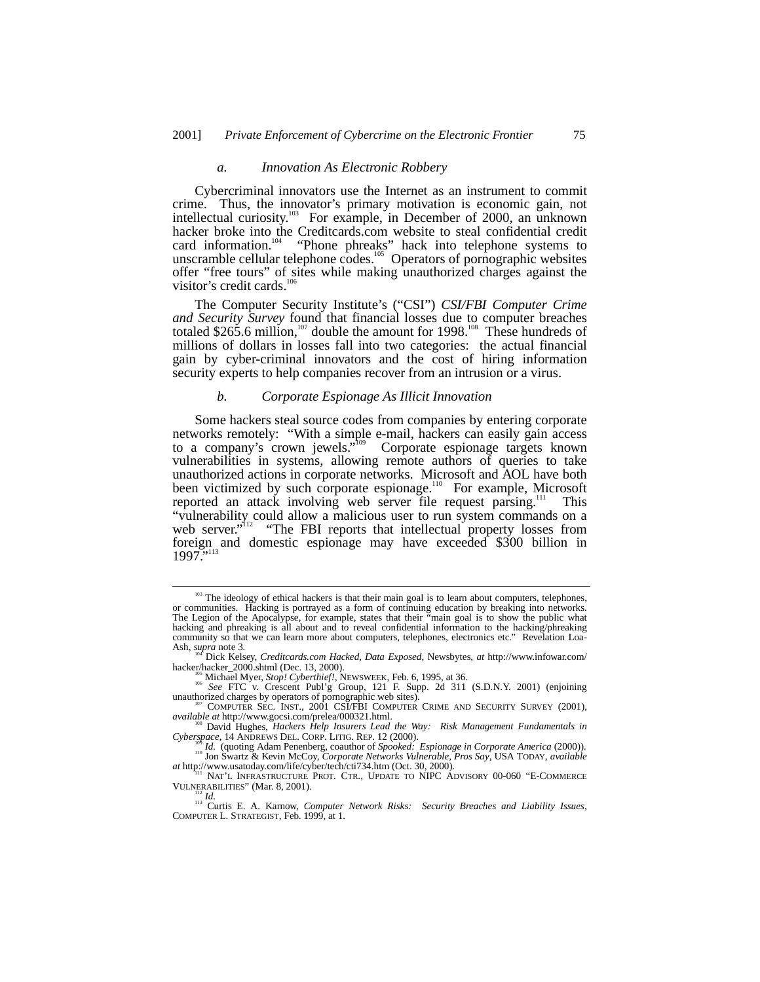#### *a. Innovation As Electronic Robbery*

Cybercriminal innovators use the Internet as an instrument to commit crime. Thus, the innovator's primary motivation is economic gain, not intellectual curiosity.<sup>103</sup> For example, in December of 2000, an unknown hacker broke into the Creditcards.com website to steal confidential credit card information.<sup>104</sup> "Phone phreaks" hack into telephone systems to unscramble cellular telephone codes.<sup>105</sup> Operators of pornographic websites offer "free tours" of sites while making unauthorized charges against the visitor's credit cards. $10$ 

The Computer Security Institute's ("CSI") *CSI/FBI Computer Crime and Security Survey* found that financial losses due to computer breaches totaled \$265.6 million,<sup>107</sup> double the amount for 1998.<sup>108</sup> These hundreds of millions of dollars in losses fall into two categories: the actual financial gain by cyber-criminal innovators and the cost of hiring information security experts to help companies recover from an intrusion or a virus.

#### *b. Corporate Espionage As Illicit Innovation*

Some hackers steal source codes from companies by entering corporate networks remotely: "With a simple e-mail, hackers can easily gain access to a company's crown jewels." Corporate espionage targets known vulnerabilities in systems, allowing remote authors of queries to take unauthorized actions in corporate networks. Microsoft and AOL have both been victimized by such corporate espionage.<sup>110</sup> For example, Microsoft reported an attack involving web server file request parsing.<sup>111</sup> This reported an attack involving web server file request parsing.<sup>111</sup> This "vulnerability could allow a malicious user to run system commands on a web server."<sup>112</sup> "The FBI reports that intellectual property losses from foreign and domestic espionage may have exceeded \$300 billion in 1997."

<sup>&</sup>lt;sup>103</sup> The ideology of ethical hackers is that their main goal is to learn about computers, telephones, or communities. Hacking is portrayed as a form of continuing education by breaking into networks. The Legion of the Apocalypse, for example, states that their "main goal is to show the public what hacking and phreaking is all about and to reveal confidential information to the hacking/phreaking community so that we can learn more about computers, telephones, electronics etc." Revelation Loa-Ash, *supra* note 3.

<sup>&</sup>lt;sup>106</sup> Dick Kelsey, *Creditcards.com Hacked*, *Data Exposed*, Newsbytes, *at* http://www.infowar.com/hacker/hacker\_2000.shtml (Dec. 13, 2000).

hacker.<sup>165</sup> Michael Myer, *Stop! Cyberthief!*, NEWSWEEK, Feb. 6, 1995, at 36. <sup>106</sup> *See* FTC v. Crescent Publ'g Group, 121 F. Supp. 2d 311 (S.D.N.Y. 2001) (enjoining unauthorized charges by operators of pornographic web

 $u^{\text{107}}$  COMPUTER SEC. INST., 2001 CSI/FBI COMPUTER CRIME AND SECURITY SURVEY (2001), *available at* http://www.gocsi.com/prelea/000321.html.

David Hughes, *Hackers Help Insurers Lead the Way: Risk Management Fundamentals in* 

Cyberspace, 14 ANDREWS DEL. CORP. LITIG. REP. 12 (2000).<br><sup>110</sup> Id. (quoting Adam Penenberg, coauthor of Spooked: Espionage in Corporate America (2000)).<br><sup>110</sup> Jon Swartz & Kevin McCoy, Corporate Networks Vulnerable, Pros S

*at* http://www.usatoday.com/life/cyber/tech/cti734.htm (Oct. 30, 2000).<br>
<sup>111</sup> NAT'L INFRASTRUCTURE PROT. CTR., UPDATE TO NIPC ADVISORY 00-060 "E-COMMERCE VULNERABILITIES" (Mar. 8, 2001).

<sup>&</sup>lt;sup>112</sup> Id.<br><sup>113</sup> Curtis E. A. Karnow, *Computer Network Risks: Security Breaches and Liability Issues*, COMPUTER L. STRATEGIST, Feb. 1999, at 1.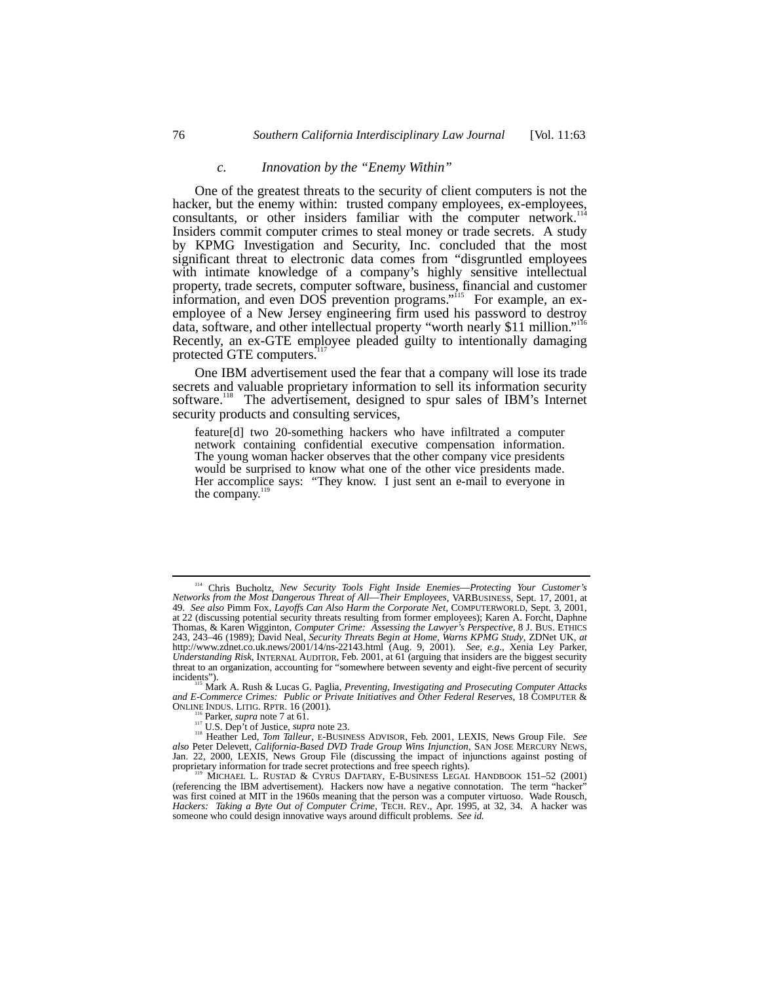## *c. Innovation by the "Enemy Within"*

One of the greatest threats to the security of client computers is not the hacker, but the enemy within: trusted company employees, ex-employees, consultants, or other insiders familiar with the computer network.<sup>114</sup> Insiders commit computer crimes to steal money or trade secrets. A study by KPMG Investigation and Security, Inc. concluded that the most significant threat to electronic data comes from "disgruntled employees with intimate knowledge of a company's highly sensitive intellectual property, trade secrets, computer software, business, financial and customer information, and even DOS prevention programs."<sup>115</sup> For example, an exemployee of a New Jersey engineering firm used his password to destroy data, software, and other intellectual property "worth nearly \$11 million." 116 Recently, an ex-GTE employee pleaded guilty to intentionally damaging protected GTE computers.<sup>1</sup>

One IBM advertisement used the fear that a company will lose its trade secrets and valuable proprietary information to sell its information security software.<sup>118</sup> The advertisement, designed to spur sales of IBM's Internet security products and consulting services,

feature[d] two 20-something hackers who have infiltrated a computer network containing confidential executive compensation information. The young woman hacker observes that the other company vice presidents would be surprised to know what one of the other vice presidents made. Her accomplice says: "They know. I just sent an e-mail to everyone in the company. $\frac{1}{1}$ 

Mark A. Rush & Lucas G. Paglia, *Preventing, Investigating and Prosecuting Computer Attacks and E-Commerce Crimes: Public or Private Initiatives and Other Federal Reserves*, 18 COMPUTER &

<sup>114</sup> Chris Bucholtz, *New Security Tools Fight Inside Enemies––Protecting Your Customer's Networks from the Most Dangerous Threat of All––Their Employees*, VARBUSINESS, Sept. 17, 2001, at 49. *See also* Pimm Fox, *Layoffs Can Also Harm the Corporate Net*, COMPUTERWORLD, Sept. 3, 2001, at 22 (discussing potential security threats resulting from former employees); Karen A. Forcht, Daphne Thomas, & Karen Wigginton, *Computer Crime: Assessing the Lawyer's Perspective*, 8 J. BUS. ETHICS 243, 243–46 (1989); David Neal, *Security Threats Begin at Home, Warns KPMG Study*, ZDNet UK, *at* http://www.zdnet.co.uk.news/2001/14/ns-22143.html (Aug. 9, 2001). *See, e.g*., Xenia Ley Parker, *Understanding Risk*, INTERNAL AUDITOR, Feb. 2001, at 61 (arguing that insiders are the biggest security threat to an organization, accounting for "somewhere between seventy and eight-five percent of security incidents").

<sup>&</sup>lt;sup>116</sup> Parker, *supra* note 7 at 61.<br><sup>117</sup> U.S. Dep't of Justice, *supra* note 23.<br><sup>118</sup> Heather Led, *Tom Talleur*, E-BUSINESS ADVISOR, Feb. 2001, LEXIS, News Group File. See *also* Peter Delevett, *California-Based DVD Trade Group Wins Injunction*, SAN JOSE MERCURY NEWS, Jan. 22, 2000, LEXIS, News Group File (discussing the impact of injunctions against posting of proprietary information for trade secret protections and free speech rights).<br>
<sup>119</sup> MICHAEL L. RUSTAD & CYRUS DAFTARY, E-BUSINESS LEGAL HANDBOOK 151–52 (2001)

<sup>(</sup>referencing the IBM advertisement). Hackers now have a negative connotation. The term "hacker" was first coined at MIT in the 1960s meaning that the person was a computer virtuoso. Wade Rousch, *Hackers: Taking a Byte Out of Computer Crime*, TECH. REV., Apr. 1995, at 32, 34. A hacker was someone who could design innovative ways around difficult problems. *See id.*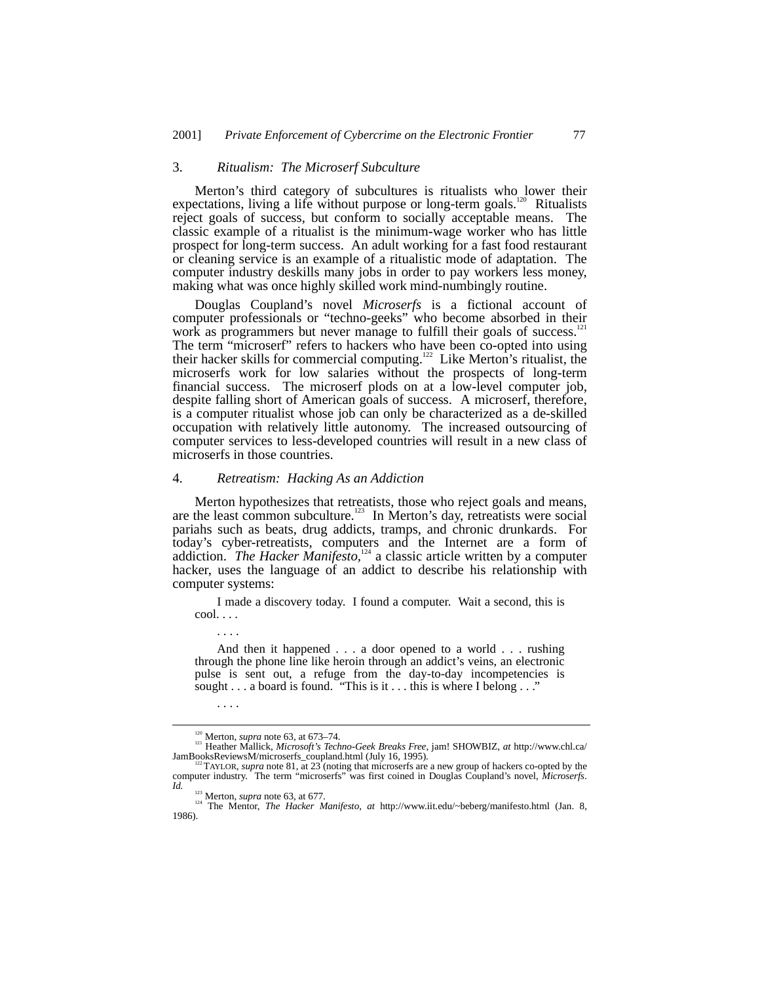### 3. *Ritualism: The Microserf Subculture*

Merton's third category of subcultures is ritualists who lower their expectations, living a life without purpose or long-term goals.<sup>120</sup> Ritualists reject goals of success, but conform to socially acceptable means. The classic example of a ritualist is the minimum-wage worker who has little prospect for long-term success. An adult working for a fast food restaurant or cleaning service is an example of a ritualistic mode of adaptation. The computer industry deskills many jobs in order to pay workers less money, making what was once highly skilled work mind-numbingly routine.

Douglas Coupland's novel *Microserfs* is a fictional account of computer professionals or "techno-geeks" who become absorbed in their work as programmers but never manage to fulfill their goals of success.<sup>121</sup> The term "microserf" refers to hackers who have been co-opted into using their hacker skills for commercial computing.122 Like Merton's ritualist, the microserfs work for low salaries without the prospects of long-term financial success. The microserf plods on at a low-level computer job, despite falling short of American goals of success. A microserf, therefore, is a computer ritualist whose job can only be characterized as a de-skilled occupation with relatively little autonomy. The increased outsourcing of computer services to less-developed countries will result in a new class of microserfs in those countries.

# 4. *Retreatism: Hacking As an Addiction*

Merton hypothesizes that retreatists, those who reject goals and means, are the least common subculture.<sup>123</sup> In Merton's day, retreatists were social pariahs such as beats, drug addicts, tramps, and chronic drunkards. For today's cyber-retreatists, computers and the Internet are a form of addiction. *The Hacker Manifesto,*124 a classic article written by a computer hacker, uses the language of an addict to describe his relationship with computer systems:

I made a discovery today. I found a computer. Wait a second, this is cool. . . .

And then it happened . . . a door opened to a world . . . rushing through the phone line like heroin through an addict's veins, an electronic pulse is sent out, a refuge from the day-to-day incompetencies is sought . . . a board is found. "This is it . . . this is where I belong . . ."

. . . .

. . . .

<sup>&</sup>lt;sup>120</sup> Merton, *supra* note 63, at 673–74.<br><sup>121</sup> Heather Mallick, *Microsoft's Techno-Geek Breaks Free*, jam! SHOWBIZ, *at* http://www.chl.ca/<br>JamBooksReviewsM/microserfs\_coupland.html (July 16, 1995).

FIAYLOR, *supra* note 81, at 23 (noting that microserfs are a new group of hackers co-opted by the computer industry. The term "microserfs" was first coined in Douglas Coupland's novel, *Microserfs*.

Id.  $\frac{123}{124}$  Merton, *supra* note 63, at 677.<br><sup>124</sup> The Mentor, *The Hacker Manifesto*, *at* http://www.iit.edu/~beberg/manifesto.html (Jan. 8, 1986).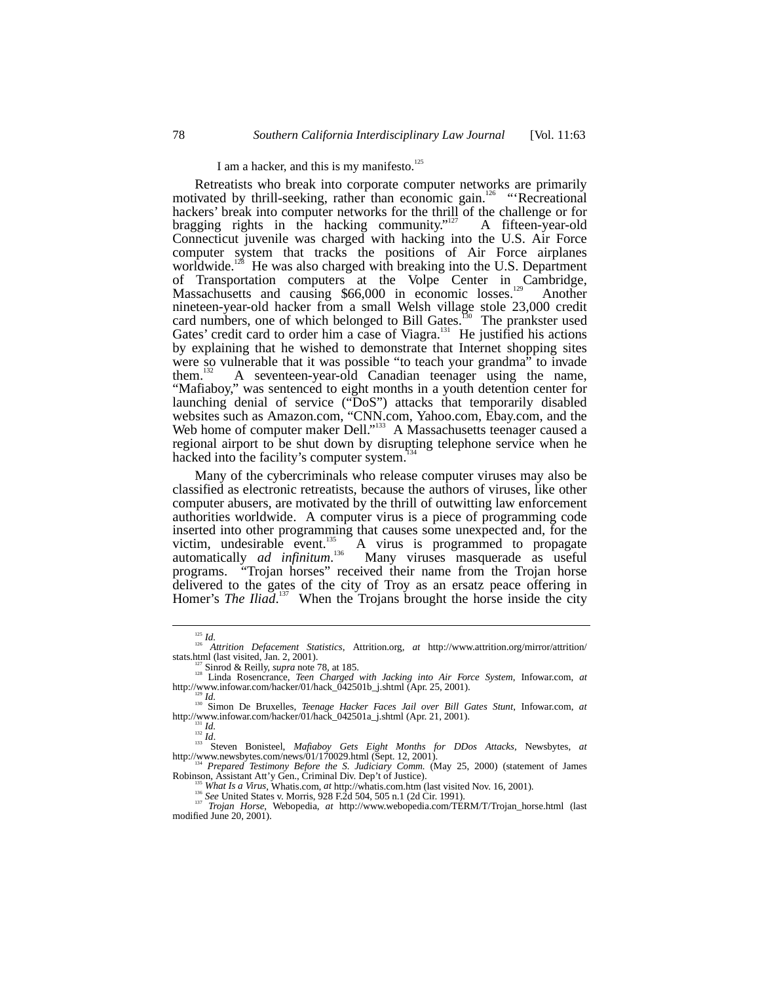# I am a hacker, and this is my manifesto.<sup>125</sup>

Retreatists who break into corporate computer networks are primarily motivated by thrill-seeking, rather than economic gain.<sup>126</sup> "Recreational hackers' break into computer networks for the thrill of the challenge or for bragging rights in the hacking community."<sup>127</sup> A fifteen-year-old Connecticut juvenile was charged with hacking into the U.S. Air Force computer system that tracks the positions of Air Force airplanes worldwide.<sup>128</sup> He was also charged with breaking into the U.S. Department of Transportation computers at the Volpe Center in Cambridge, Massachusetts and causing \$66,000 in economic losses.<sup>129</sup> Another nineteen-year-old hacker from a small Welsh village stole 23,000 credit card numbers, one of which belonged to Bill Gates.<sup>150</sup> The prankster used Gates' credit card to order him a case of Viagra.<sup>131</sup> He justified his actions by explaining that he wished to demonstrate that Internet shopping sites were so vulnerable that it was possible "to teach your grandma" to invade them.<sup>132</sup> A seventeen-year-old Canadian teenager using the name, them.132 A seventeen-year-old Canadian teenager using the name, "Mafiaboy," was sentenced to eight months in a youth detention center for launching denial of service ("DoS") attacks that temporarily disabled websites such as Amazon.com, "CNN.com, Yahoo.com, Ebay.com, and the Web home of computer maker Dell."<sup>133</sup> A Massachusetts teenager caused a regional airport to be shut down by disrupting telephone service when he hacked into the facility's computer system.<sup>1</sup>

Many of the cybercriminals who release computer viruses may also be classified as electronic retreatists, because the authors of viruses, like other computer abusers, are motivated by the thrill of outwitting law enforcement authorities worldwide. A computer virus is a piece of programming code inserted into other programming that causes some unexpected and, for the victim, undesirable event. $\frac{135}{100}$  A virus is programmed to propagate automatically *ad infinitum*. 136 Many viruses masquerade as useful programs. "Trojan horses" received their name from the Trojan horse delivered to the gates of the city of Troy as an ersatz peace offering in Homer's *The Iliad*.<sup>137</sup> When the Trojans brought the horse inside the city

<sup>125</sup> *Id.* <sup>126</sup> *Attrition Defacement Statistics*, Attrition.org, *at* http://www.attrition.org/mirror/attrition/

stats.html (last visited, Jan. 2, 2001).<br>
<sup>123</sup> Sinrod & Reilly, *supra* note 78, at 185.<br>
<sup>123</sup> Linda Rosencrance, *Teen Charged with Jacking into Air Force System*, Infowar.com, *at*<br>
http://www.infowar.com/hacker/01/ha

<sup>&</sup>lt;sup>134</sup> *Prepared Testimony Before the S. Judiciary Comm.* (May 25, 2000) (statement of James Robinson, Assistant Att'y Gen., Criminal Div. Dep't of Justice). Robinson, Assistant Att'y Gen., Criminal Div. Dep't of Justice).<br>
<sup>135</sup> *What Is a Virus*, Whatis.com, *at* http://whatis.com.htm (last visited Nov. 16, 2001).<br>
<sup>136</sup> *See* United States v. Morris, 928 F.2d 504, 505 n.1 (2

modified June 20, 2001).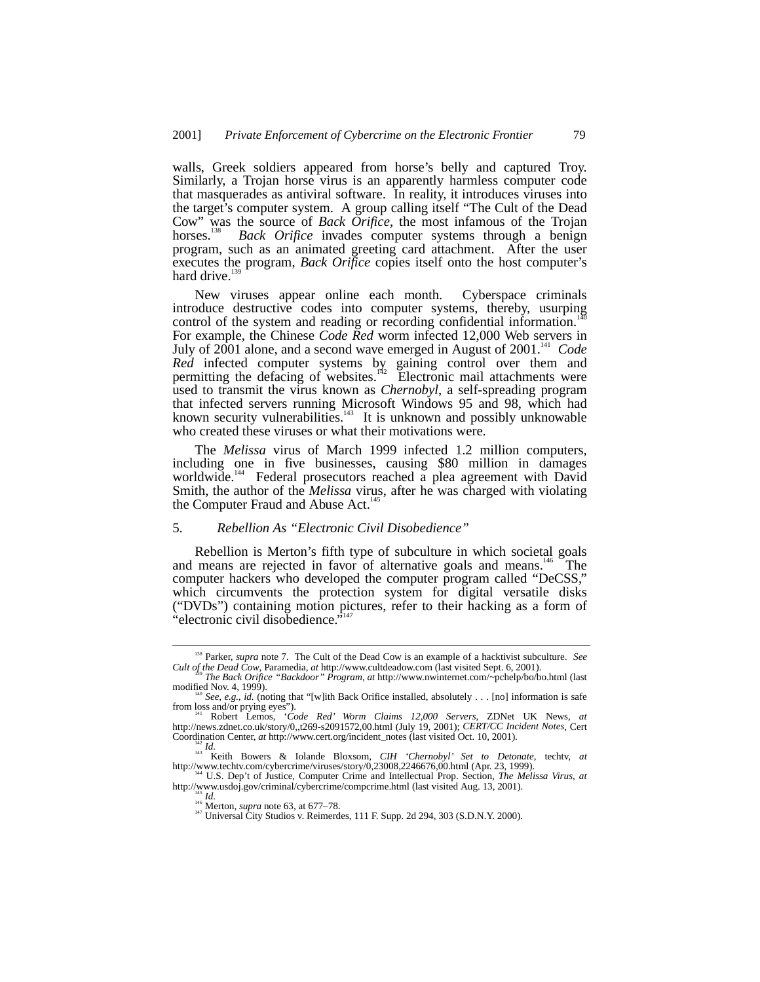walls, Greek soldiers appeared from horse's belly and captured Troy. Similarly, a Trojan horse virus is an apparently harmless computer code that masquerades as antiviral software. In reality, it introduces viruses into the target's computer system. A group calling itself "The Cult of the Dead Cow" was the source of *Back Orifice*, the most infamous of the Trojan horses.<sup>138</sup> *Back Orifice* invades computer systems through a benign program, such as an animated greeting card attachment. After the user executes the program, *Back Orifice* copies itself onto the host computer's hard drive.<sup>1</sup>

New viruses appear online each month. Cyberspace criminals introduce destructive codes into computer systems, thereby, usurping control of the system and reading or recording confidential information.<sup>14</sup> For example, the Chinese *Code Red* worm infected 12,000 Web servers in July of 2001 alone, and a second wave emerged in August of 2001.<sup>141</sup> *Code Red* infected computer systems by gaining control over them and permitting the defacing of websites.<sup>142</sup> Electronic mail attachments were used to transmit the virus known as *Chernobyl*, a self-spreading program that infected servers running Microsoft Windows 95 and 98, which had known security vulnerabilities. $143$  It is unknown and possibly unknowable who created these viruses or what their motivations were.

The *Melissa* virus of March 1999 infected 1.2 million computers, including one in five businesses, causing \$80 million in damages worldwide.<sup>144</sup> Federal prosecutors reached a plea agreement with David Smith, the author of the *Melissa* virus, after he was charged with violating the Computer Fraud and Abuse Act.<sup>1</sup>

### 5. *Rebellion As "Electronic Civil Disobedience"*

Rebellion is Merton's fifth type of subculture in which societal goals and means are rejected in favor of alternative goals and means.<sup>146</sup> The computer hackers who developed the computer program called "DeCSS," which circumvents the protection system for digital versatile disks ("DVDs") containing motion pictures, refer to their hacking as a form of "algebraic sixil discharges"<sup>147</sup> "electronic civil disobedience."

<sup>&</sup>lt;sup>138</sup> Parker, *supra* note 7. The Cult of the Dead Cow is an example of a hacktivist subculture. *See* Cult of the Dead Cow, Paramedia, at http://www.cultdeadow.com (last visited Sept. 6, 2001).

<sup>&</sup>lt;sup>Ts9</sup> The Back Orifice "Backdoor" Program, at http://www.nwinternet.com/~pchelp/bo/bo.html (last modified Nov. 4, 1999).

<sup>&</sup>lt;sup>40</sup> See, e.g., *id.* (noting that "[w]ith Back Orifice installed, absolutely . . . [no] information is safe from loss and/or prying eyes"). 141 Robert Lemos, '*Code Red' Worm Claims 12,000 Servers*, ZDNet UK News, *at*

http://news.zdnet.co.uk/story/0,,t269-s2091572,00.html (July 19, 2001); *CERT/CC Incident Notes*, Cert

<sup>&</sup>lt;sup>142</sup> Id.<br><sup>143</sup> Keith Bowers & Iolande Bloxsom, *CIH 'Chernobyl' Set to Detonate*, techtv, *at* 

http://www.techtv.com/cybercrime/viruses/story/0,23008,2246676,00.html (Apr. 23, 1999).<br><sup>144</sup> U.S. Dep't of Justice, Computer Crime and Intellectual Prop. Section, *The Melissa Virus*, *at*<br>http://www.usdoj.gov/criminal/cy

<sup>&</sup>lt;sup>145</sup> *Id.*<br><sup>146</sup> Merton, *supra* note 63, at 677–78.<br><sup>147</sup> Universal City Studios v. Reimerdes, 111 F. Supp. 2d 294, 303 (S.D.N.Y. 2000).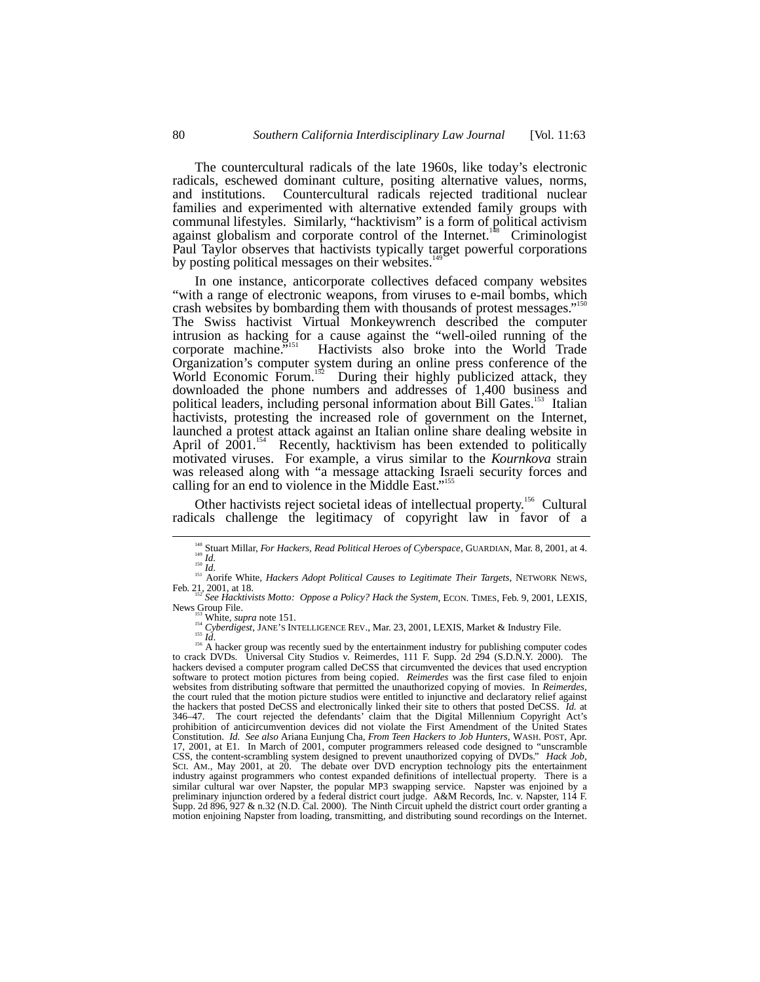The countercultural radicals of the late 1960s, like today's electronic radicals, eschewed dominant culture, positing alternative values, norms, and institutions. Countercultural radicals rejected traditional nuclear families and experimented with alternative extended family groups with communal lifestyles. Similarly, "hacktivism" is a form of political activism against globalism and corporate control of the Internet.<sup>148</sup> Criminologist Paul Taylor observes that hactivists typically target powerful corporations by posting political messages on their websites.<sup>1</sup>

In one instance, anticorporate collectives defaced company websites "with a range of electronic weapons, from viruses to e-mail bombs, which crash websites by bombarding them with thousands of protest messages."<sup>150</sup> The Swiss hactivist Virtual Monkeywrench described the computer intrusion as hacking for a cause against the "well-oiled running of the corporate machine.<sup>5151</sup> 151 Hactivists also broke into the World Trade Organization's computer system during an online press conference of the World Economic Forum.<sup>152</sup> During their highly publicized attack, they During their highly publicized attack, they downloaded the phone numbers and addresses of 1,400 business and political leaders, including personal information about Bill Gates.<sup>153</sup> Italian hactivists, protesting the increased role of government on the Internet, launched a protest attack against an Italian online share dealing website in April of  $2001$ .<sup>154</sup> Recently, hacktivism has been extended to politically motivated viruses. For example, a virus similar to the *Kournkova* strain was released along with "a message attacking Israeli security forces and calling for an end to violence in the Middle East." 155

Other hactivists reject societal ideas of intellectual property.<sup>156</sup> Cultural radicals challenge the legitimacy of copyright law in favor of a

<sup>&</sup>lt;sup>148</sup> Stuart Millar, *For Hackers, Read Political Heroes of Cyberspace*, GUARDIAN, Mar. 8, 2001, at 4.<br><sup>149</sup> *Id.*<br><sup>150</sup> *Id.*<br><sup>151</sup> Aorife White, *Hackers Adopt Political Causes to Legitimate Their Targets*, NETWORK NEWS

<sup>&</sup>lt;sup>152</sup> *See Hacktivists Motto: Oppose a Policy? Hack the System*, ECON. TIMES, Feb. 9, 2001, LEXIS, News Group File.

News Group File.<br>
<sup>153</sup> White, *supra* note 151.<br>
<sup>154</sup> White, *supra* note 151.<br>
<sup>154</sup> *Cyberdigest*, JANE's INTELLIGENCE REV., Mar. 23, 2001, LEXIS, Market & Industry File.<br>
<sup>156</sup> *A* hacker group was recently sued by t hackers devised a computer program called DeCSS that circumvented the devices that used encryption software to protect motion pictures from being copied. *Reimerdes* was the first case filed to enjoin websites from distributing software that permitted the unauthorized copying of movies. In *Reimerdes*, the court ruled that the motion picture studios were entitled to injunctive and declaratory relief against the hackers that posted DeCSS and electronically linked their site to others that posted DeCSS. *Id.* at 346–47. The court rejected the defendants' claim that the Digital Millennium Copyright Act's prohibition of anticircumvention devices did not violate the First Amendment of the United States Constitution. *Id. See also* Ariana Eunjung Cha, *From Teen Hackers to Job Hunters*, WASH. POST, Apr. 17, 2001, at E1. In March of 2001, computer programmers released code designed to "unscramble CSS, the content-scrambling system designed to prevent unauthorized copying of DVDs." *Hack Job*, SCI. AM., May 2001, at 20. The debate over DVD encryption technology pits the entertainment industry against programmers who contest expanded definitions of intellectual property. There is a similar cultural war over Napster, the popular MP3 swapping service. Napster was enjoined by a preliminary injunction ordered by a federal district court judge. A&M Records, Inc. v. Napster, 114 F. Supp. 2d 896, 927 & n.32 (N.D. Cal. 2000). The Ninth Circuit upheld the district court order granting a motion enjoining Napster from loading, transmitting, and distributing sound recordings on the Internet.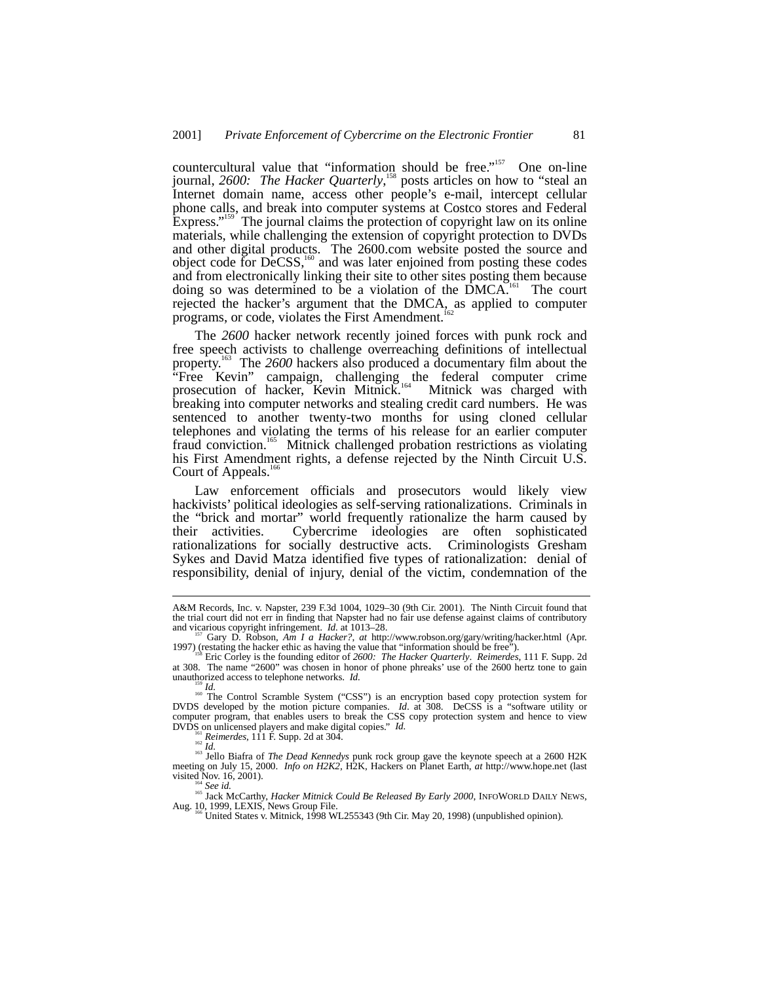countercultural value that "information should be free."<sup>157</sup> One on-line journal, 2600: The Hacker Quarterly,<sup>158</sup> posts articles on how to "steal an Internet domain name, access other people's e-mail, intercept cellular phone calls, and break into computer systems at Costco stores and Federal Express." 159 The journal claims the protection of copyright law on its online materials, while challenging the extension of copyright protection to DVDs and other digital products. The 2600.com website posted the source and object code for DeCSS,<sup>160</sup> and was later enjoined from posting these codes and from electronically linking their site to other sites posting them because doing so was determined to be a violation of the DMCA.<sup>161</sup> The court rejected the hacker's argument that the DMCA, as applied to computer programs, or code, violates the First Amendment.<sup>162</sup>

The *2600* hacker network recently joined forces with punk rock and free speech activists to challenge overreaching definitions of intellectual property.163 The *2600* hackers also produced a documentary film about the "Free Kevin" campaign, challenging the federal computer crime prosecution of hacker, Kevin Mitnick.<sup>164</sup> Mitnick was charged with breaking into computer networks and stealing credit card numbers. He was sentenced to another twenty-two months for using cloned cellular telephones and violating the terms of his release for an earlier computer fraud conviction.165 Mitnick challenged probation restrictions as violating his First Amendment rights, a defense rejected by the Ninth Circuit U.S. Court of Appeals.<sup>1</sup>

Law enforcement officials and prosecutors would likely view hackivists' political ideologies as self-serving rationalizations. Criminals in the "brick and mortar" world frequently rationalize the harm caused by their activities. Cybercrime ideologies are often sophisticated Cybercrime ideologies are often sophisticated rationalizations for socially destructive acts. Criminologists Gresham Sykes and David Matza identified five types of rationalization: denial of responsibility, denial of injury, denial of the victim, condemnation of the

A&M Records, Inc. v. Napster, 239 F.3d 1004, 1029–30 (9th Cir. 2001). The Ninth Circuit found that the trial court did not err in finding that Napster had no fair use defense against claims of contributory and vigarious copyright infringement.  $Id$  at 1013–28.

Gary D. Robson, *Am I a Hacker?*, *at* http://www.robson.org/gary/writing/hacker.html (Apr. 1997) (restating the hacker ethic as having the value that "information should be free"). 158 Eric Corley is the founding editor of *2600: The Hacker Quarterly*. *Reimerdes*, 111 F. Supp. 2d

at 308. The name "2600" was chosen in honor of phone phreaks' use of the 2600 hertz tone to gain unauthorized access to telephone networks. *Id*.

IS *Id.* 159 *Id.* 159 *Id.* 160 *I*<sup>160</sup> *Id.* 160 *I*<sup>160</sup> COSS<sup>"</sup>) is an encryption based copy protection system for  $\frac{1}{160}$  The Control Scramble System ("CSS") is an encryption based copy protection system for DVDS developed by the motion picture companies. *Id*. at 308. DeCSS is a "software utility or computer program, that enables users to break the CSS copy protection system and hence to view DVDS on unlicensed players and make digital copies." *Id.* 161 **Identify** *Reimerdes*, 111 F. Supp. 2d at 304. 163 *Idl.* 163 Jello Biafra of *The Dead Kennedys* punk rock group gave the keynote speech at a 2600 H2K

meeting on July 15, 2000. *Info on H2K2*, H2K, Hackers on Planet Earth, *at* http://www.hope.net (last visited Nov. 16, 2001).

<sup>&</sup>lt;sup>164</sup> See id.<br><sup>165</sup> Jack McCarthy, *Hacker Mitnick Could Be Released By Early 2000*, INFOWORLD DAILY NEWS,<br>Aug. 10, 1999, LEXIS, News Group File.<br><sup>166</sup> United States v. Mitnick, 1998 WL255343 (9th Cir. May 20, 1998) (unpub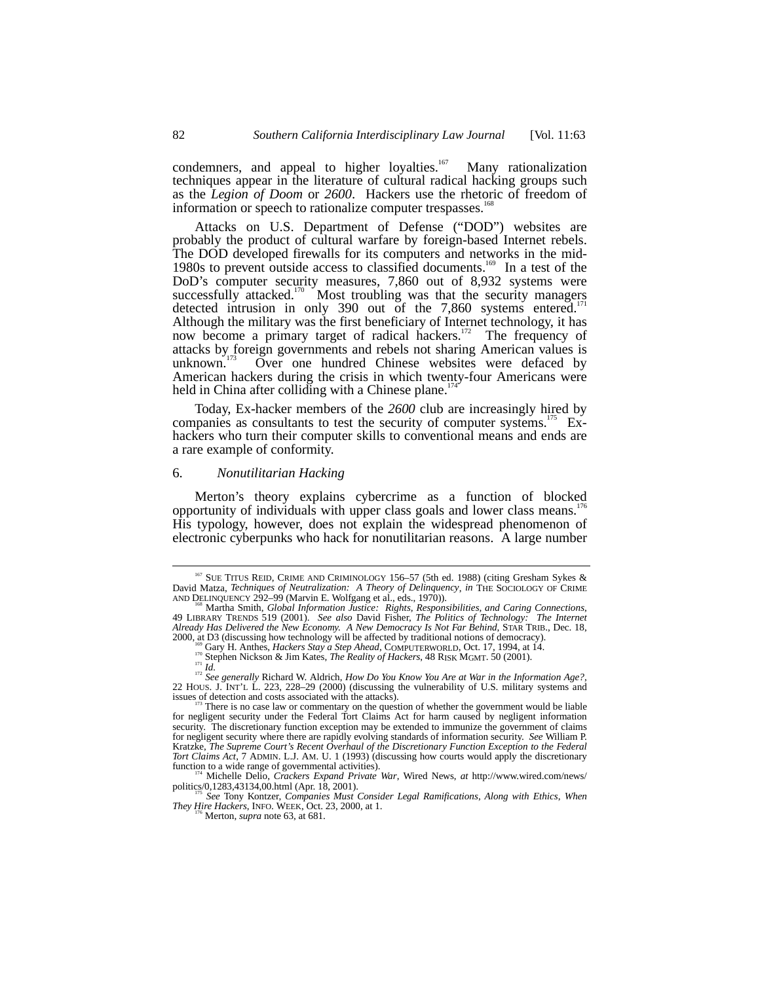condemners, and appeal to higher loyalties.<sup>167</sup> Many rationalization techniques appear in the literature of cultural radical hacking groups such as the *Legion of Doom* or *2600*. Hackers use the rhetoric of freedom of information or speech to rationalize computer trespasses.

Attacks on U.S. Department of Defense ("DOD") websites are probably the product of cultural warfare by foreign-based Internet rebels. The DOD developed firewalls for its computers and networks in the mid-1980s to prevent outside access to classified documents.<sup>169</sup> In a test of the DoD's computer security measures, 7,860 out of 8,932 systems were successfully attacked.<sup>170</sup> Most troubling was that the security managers detected intrusion in only 390 out of the  $7,860$  systems entered.<sup>1</sup> Although the military was the first beneficiary of Internet technology, it has now become a primary target of radical hackers.<sup>172</sup> The frequency of attacks by foreign governments and rebels not sharing American values is unknown. $1/3$  Over one hundred Chinese websites were defaced by American hackers during the crisis in which twenty-four Americans were held in China after colliding with a Chinese plane.<sup>1</sup>

Today, Ex-hacker members of the *2600* club are increasingly hired by companies as consultants to test the security of computer systems.<sup>175</sup> Exhackers who turn their computer skills to conventional means and ends are a rare example of conformity.

#### 6. *Nonutilitarian Hacking*

Merton's theory explains cybercrime as a function of blocked opportunity of individuals with upper class goals and lower class means.<sup>1</sup> His typology, however, does not explain the widespread phenomenon of electronic cyberpunks who hack for nonutilitarian reasons. A large number

*They Hire Hackers*, INFO. WEEK, Oct. 23, 2000, at 1.  $^{176}$  Merton, *supra* note 63, at 681.

<sup>&</sup>lt;sup>167</sup> SUE TITUS REID, CRIME AND CRIMINOLOGY 156-57 (5th ed. 1988) (citing Gresham Sykes  $\&$ David Matza, *Techniques of Neutralization: A Theory of Delinquency*, *in* THE SOCIOLOGY OF CRIME AND DELINQUENCY 292–99 (Marvin E. Wolfgang et al., eds., 1970)).<br><sup>168</sup> Martha Smith, *Global Information Justice: Rights, Responsibilities, and Caring Connections*,

<sup>49</sup> LIBRARY TRENDS 519 (2001). *See also* David Fisher, *The Politics of Technology: The Internet Already Has Delivered the New Economy. A New Democracy Is Not Far Behind*, STAR TRIB., Dec. 18, 2000, at D3 (discussing how technology will be affected by traditional notions of democracy).

<sup>&</sup>lt;sup>169</sup> Gary H. Anthes, *Hackers Stay a Step Ahead*, COMPUTERWORLD, Oct. 17, 1994, at 14.<br><sup>17</sup> Stephen Nickson & Jim Kates, *The Reality of Hackers*, 48 RISK MGMT. 50 (2001).<br><sup>17</sup> *Id.*<br><sup>171</sup> *See generally Richard W. Aldri* 

There is no case law or commentary on the question of whether the government would be liable for negligent security under the Federal Tort Claims Act for harm caused by negligent information security. The discretionary function exception may be extended to immunize the government of claims for negligent security where there are rapidly evolving standards of information security. *See* William P. Kratzke, *The Supreme Court's Recent Overhaul of the Discretionary Function Exception to the Federal Tort Claims Act*, 7 ADMIN. L.J. AM. U. 1 (1993) (discussing how courts would apply the discretionary function to a wide range of governmental activities).

function to a wide range of governmental activities war, Wired News, *at* http://www.wired.com/news/<br>politics/0,1283,43134,00.html (Apr. 18, 2001). politics/0,1283,43134,00.html (Apr. 18, 2001). <sup>175</sup> *See* Tony Kontzer, *Companies Must Consider Legal Ramifications*, *Along with Ethics*, *When*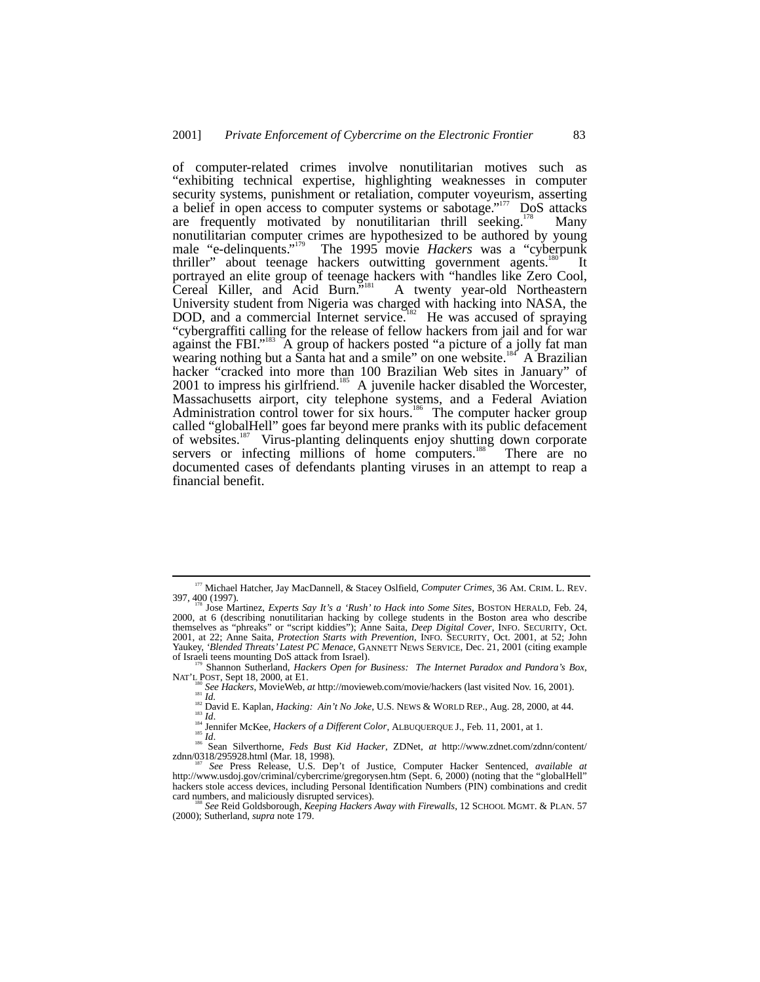of computer-related crimes involve nonutilitarian motives such as "exhibiting technical expertise, highlighting weaknesses in computer security systems, punishment or retaliation, computer voyeurism, asserting a belief in open access to computer systems or sabotage."<sup>177</sup> DoS attacks are frequently motivated by nonutilitarian thrill seeking.<sup>178</sup> Many nonutilitarian computer crimes are hypothesized to be authored by young male "e-delinquents."<sup>179</sup> The 1995 movie *Hackers* was a "cyberpunk thriller" about teenage hackers outwitting government agents.<sup>180</sup> It portrayed an elite group of teenage hackers with "handles like Zero Cool, Cereal Killer, and Acid Burn."<sup>181</sup> A twenty year-old Northeastern University student from Nigeria was charged with hacking into NASA, the DOD, and a commercial Internet service.<sup>182</sup> He was accused of spraying "cybergraffiti calling for the release of fellow hackers from jail and for war against the FBI."<sup>183</sup> A group of hackers posted "a picture of a jolly fat man wearing nothing but a Santa hat and a smile" on one website.<sup>184</sup> A Brazilian hacker "cracked into more than 100 Brazilian Web sites in January" of 2001 to impress his girlfriend.<sup>185</sup> A juvenile hacker disabled the Worcester, Massachusetts airport, city telephone systems, and a Federal Aviation Administration control tower for six hours.<sup>186</sup> The computer hacker group called "globalHell" goes far beyond mere pranks with its public defacement of websites.187 Virus-planting delinquents enjoy shutting down corporate servers or infecting millions of home computers.<sup>188</sup> There are no documented cases of defendants planting viruses in an attempt to reap a financial benefit.

<sup>&</sup>lt;sup>177</sup> Michael Hatcher, Jay MacDannell, & Stacey Oslfield, *Computer Crimes*, 36 AM. CRIM. L. REV.<br>397, 400 (1997). 178 Jose Martinez, *Experts Say It's a 'Rush' to Hack into Some Sites*, BOSTON HERALD, Feb. 24,

<sup>2000,</sup> at 6 (describing nonutilitarian hacking by college students in the Boston area who describe themselves as "phreaks" or "script kiddies"); Anne Saita, *Deep Digital Cover*, INFO. SECURITY, Oct. 2001, at 22; Anne Saita, *Protection Starts with Prevention*, INFO. SECURITY, Oct. 2001, at 52; John Yaukey, *'Blended Threats' Latest PC Menace*, GANNETT NEWS SERVICE, Dec. 21, 2001 (citing example of Israeli teens mounting DoS attack from Israel).<br><sup>179</sup> Shannon Sutherland, *Hackers Open for Business: The Internet Parado* 

NAT'L POST, Sept 18, 2000, at E1.<br>
<sup>180</sup> See Hackers, MovieWeb, at http://movieweb.com/movie/hackers (last visited Nov. 16, 2001).<br>
<sup>181</sup> Id.<br>
<sup>181</sup> Ignid E. Kaplan, *Hacking: Ain't No Joke*, U.S. NEWS & WORLD REP., Aug. 2

zdnn/0318/295928.html (Mar. 18, 1998).<br><sup>187</sup> See Press Release, U.S. Dep't of Justice, Computer Hacker Sentenced, *available at*<br>http://www.usdoj.gov/criminal/cybercrime/gregorysen.htm (Sept. 6, 2000) (noting that the "glo hackers stole access devices, including Personal Identification Numbers (PIN) combinations and credit card numbers, and maliciously disrupted services).

card numbers, and maliciously disrupted services). <sup>188</sup> *See* Reid Goldsborough, *Keeping Hackers Away with Firewalls*, 12 SCHOOL MGMT. & PLAN. 57 (2000); Sutherland, *supra* note 179.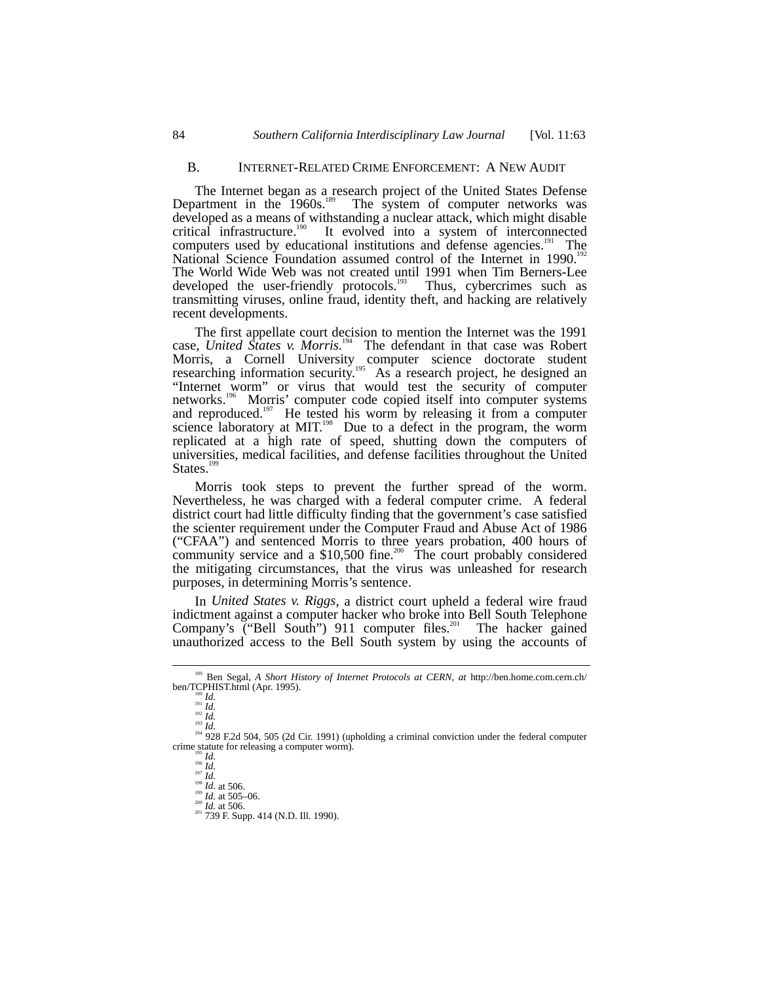#### B. INTERNET-RELATED CRIME ENFORCEMENT: A NEW AUDIT

The Internet began as a research project of the United States Defense Department in the 1960s.<sup>189</sup> The system of computer networks was developed as a means of withstanding a nuclear attack, which might disable critical infrastructure.<sup>190</sup> It evolved into a system of interconnected It evolved into a system of interconnected computers used by educational institutions and defense agencies.<sup>191</sup> The National Science Foundation assumed control of the Internet in 1990.<sup>192</sup> The World Wide Web was not created until 1991 when Tim Berners-Lee developed the user-friendly protocols.<sup>193</sup> Thus, cybercrimes such as transmitting viruses, online fraud, identity theft, and hacking are relatively recent developments.

The first appellate court decision to mention the Internet was the 1991 case, *United States v. Morris.*<sup>194</sup>The defendant in that case was Robert Morris, a Cornell University computer science doctorate student researching information security.<sup>195</sup> As a research project, he designed an "Internet worm" or virus that would test the security of computer networks.<sup>196</sup> Morris' computer code copied itself into computer systems and reproduced.<sup>197</sup> He tested his worm by releasing it from a computer science laboratory at MIT.<sup>198</sup> Due to a defect in the program, the worm replicated at a high rate of speed, shutting down the computers of universities, medical facilities, and defense facilities throughout the United States.<sup>1</sup>

Morris took steps to prevent the further spread of the worm. Nevertheless, he was charged with a federal computer crime. A federal district court had little difficulty finding that the government's case satisfied the scienter requirement under the Computer Fraud and Abuse Act of 1986 ("CFAA") and sentenced Morris to three years probation, 400 hours of community service and a  $$10,500$  fine.<sup>200</sup> The court probably considered the mitigating circumstances, that the virus was unleashed for research purposes, in determining Morris's sentence.

In *United States v. Riggs*, a district court upheld a federal wire fraud indictment against a computer hacker who broke into Bell South Telephone Company's  $\check{C}$ "Bell South") 911 computer files.<sup>201</sup> The hacker gained unauthorized access to the Bell South system by using the accounts of

<sup>&</sup>lt;sup>189</sup> Ben Segal, *A Short History of Internet Protocols at CERN*, *at* http://ben.home.com.cern.ch/<br>ben/TCPHIST.html (Apr. 1995).

ben/TCPHIST.html (Apr. 1995).<br>
190 *Id.*<br>
191 *Id.*<br>
194 928 F.2d 504, 505 (2d Cir. 1991) (upholding a criminal conviction under the federal computer<br>
crime statute for releasing a computer worm).

e statute for releasing a computer worm<br>
<sup>196</sup> *Id.*<br>
<sup>196</sup> *Id.* 197 *Id.*<br>
<sup>198</sup> *Id.* at 506.<br>
<sup>200</sup> *Id.* at 505–06.<br>
<sup>201</sup> 739 F. Supp. 414 (N.D. III. 1990).<br>
<sup>201</sup> 739 F. Supp. 414 (N.D. III. 1990).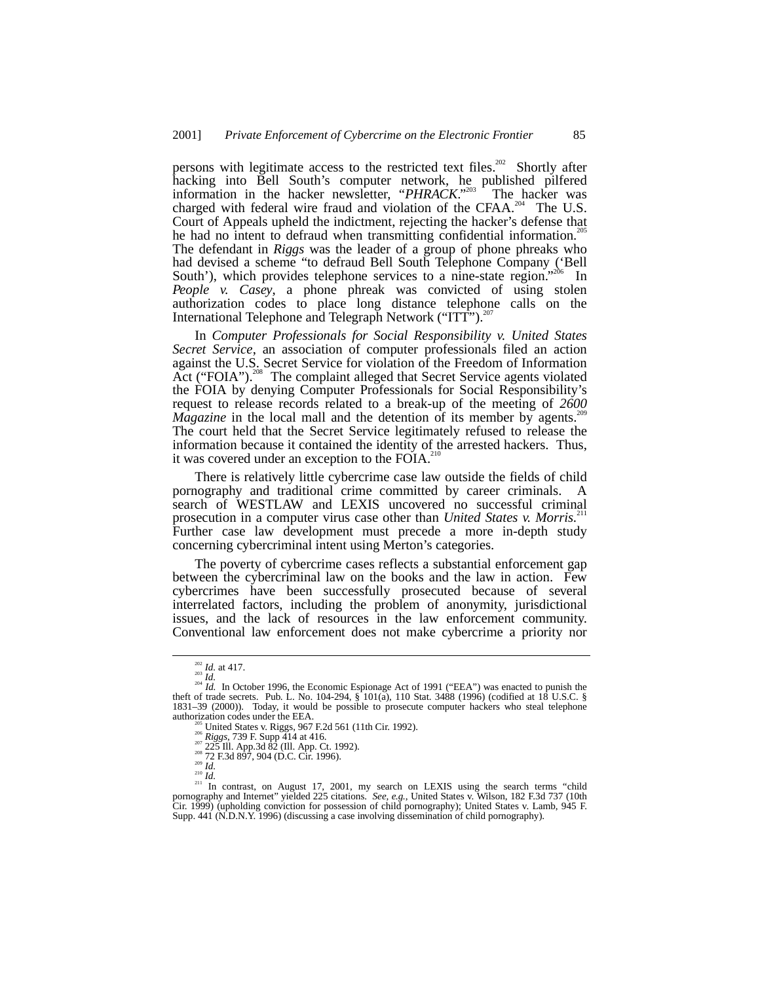persons with legitimate access to the restricted text files.<sup>202</sup> Shortly after hacking into Bell South's computer network, he published pilfered information in the hacker newsletter, "PHRACK."<sup>203</sup> The hacker was information in the hacker newsletter, " $PHRACK$ ."<sup>203</sup> The hacker was charged with federal wire fraud and violation of the CFAA.<sup>204</sup> The U.S. Court of Appeals upheld the indictment, rejecting the hacker's defense that he had no intent to defraud when transmitting confidential information.<sup>2</sup> The defendant in *Riggs* was the leader of a group of phone phreaks who had devised a scheme "to defraud Bell South Telephone Company ('Bell South'), which provides telephone services to a nine-state region." In *People v. Casey*, a phone phreak was convicted of using stolen authorization codes to place long distance telephone calls on the International Telephone and Telegraph Network ("ITT").<sup>207</sup>

In *Computer Professionals for Social Responsibility v. United States Secret Service*, an association of computer professionals filed an action against the U.S. Secret Service for violation of the Freedom of Information Act ("FOIA").<sup>208</sup> The complaint alleged that Secret Service agents violated the FOIA by denying Computer Professionals for Social Responsibility's request to release records related to a break-up of the meeting of *2600 Magazine* in the local mall and the detention of its member by agents.<sup>2</sup> The court held that the Secret Service legitimately refused to release the information because it contained the identity of the arrested hackers. Thus, it was covered under an exception to the FOIA.<sup>210</sup>

There is relatively little cybercrime case law outside the fields of child pornography and traditional crime committed by career criminals. A search of WESTLAW and LEXIS uncovered no successful criminal prosecution in a computer virus case other than *United States v. Morris.*<sup>21</sup> Further case law development must precede a more in-depth study concerning cybercriminal intent using Merton's categories.

The poverty of cybercrime cases reflects a substantial enforcement gap between the cybercriminal law on the books and the law in action. Few cybercrimes have been successfully prosecuted because of several interrelated factors, including the problem of anonymity, jurisdictional issues, and the lack of resources in the law enforcement community. Conventional law enforcement does not make cybercrime a priority nor

<sup>&</sup>lt;sup>202</sup> *Id.* at 417.<br><sup>203</sup> *Id.* In October 1996, the Economic Espionage Act of 1991 ("EEA") was enacted to punish the theft of trade secrets. Pub. L. No. 104-294, § 101(a), 110 Stat. 3488 (1996) (codified at 18 U.S.C. § 1831–39 (2000)). Today, it would be possible to prosecute computer hackers who steal telephone

authorization codes under the EEA.<br>
<sup>2015</sup> United States v. Riggs, 967 F.2d 561 (11th Cir. 1992).<br>
<sup>2026</sup> *Riggs*, 739 F. Supp 414 at 416.<br>
<sup>202</sup> 225 Ill. App. 2d 897, 904 (D.C. Cir. 1996).<br>
<sup>2016</sup> *Id.*<br>
<sup>210</sup> *Id.*<br>
<sup>21</sup> pornography and Internet" yielded 225 citations. *See, e.g.*, United States v. Wilson, 182 F.3d 737 (10th Cir. 1999) (upholding conviction for possession of child pornography); United States v. Lamb, 945 F. Supp. 441 (N.D.N.Y. 1996) (discussing a case involving dissemination of child pornography).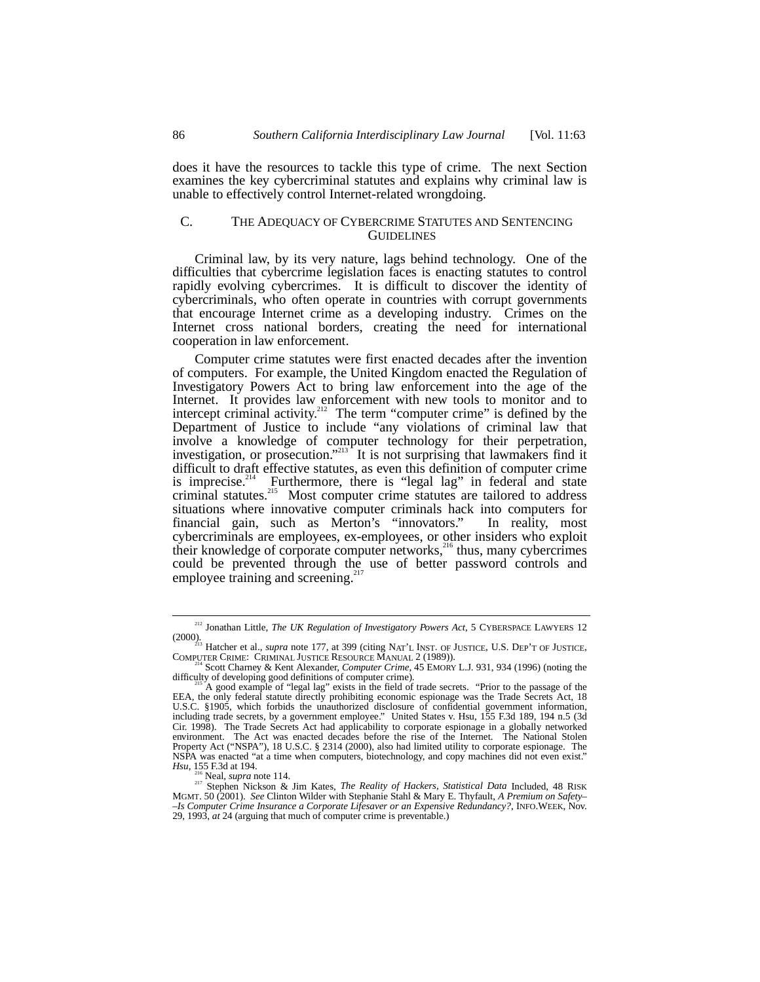does it have the resources to tackle this type of crime. The next Section examines the key cybercriminal statutes and explains why criminal law is unable to effectively control Internet-related wrongdoing.

# C. THE ADEQUACY OF CYBERCRIME STATUTES AND SENTENCING **GUIDELINES**

Criminal law, by its very nature, lags behind technology. One of the difficulties that cybercrime legislation faces is enacting statutes to control rapidly evolving cybercrimes. It is difficult to discover the identity of cybercriminals, who often operate in countries with corrupt governments that encourage Internet crime as a developing industry. Crimes on the Internet cross national borders, creating the need for international cooperation in law enforcement.

Computer crime statutes were first enacted decades after the invention of computers. For example, the United Kingdom enacted the Regulation of Investigatory Powers Act to bring law enforcement into the age of the Internet. It provides law enforcement with new tools to monitor and to intercept criminal activity.<sup>212</sup> The term "computer crime" is defined by the Department of Justice to include "any violations of criminal law that involve a knowledge of computer technology for their perpetration, investigation, or prosecution."<sup>213</sup> It is not surprising that lawmakers find it difficult to draft effective statutes, as even this definition of computer crime is imprecise.<sup>214</sup> Furthermore, there is "legal lag" in federal and state criminal statutes.<sup>215</sup> Most computer crime statutes are tailored to address situations where innovative computer criminals hack into computers for financial gain, such as Merton's "innovators." In reality, most cybercriminals are employees, ex-employees, or other insiders who exploit their knowledge of corporate computer networks,<sup>216</sup> thus, many cybercrimes could be prevented through the use of better password controls and employee training and screening.<sup>21</sup>

 <sup>212</sup> Jonathan Little, *The UK Regulation of Investigatory Powers Act*, 5 CYBERSPACE LAWYERS 12

<sup>(2000).&</sup>lt;br>
<sup>213</sup> Hatcher et al., *supra* note 177, at 399 (citing NAT'L INST. OF JUSTICE, U.S. DEP'T OF JUSTICE,<br>
COMPUTER CRIME: CRIMINAL JUSTICE RESOURCE MANUAL 2 (1989)).<br>
<sup>214</sup> Scott Charney & Kent Alexander, *Computer C* 

A good example of "legal lag" exists in the field of trade secrets. "Prior to the passage of the EEA, the only federal statute directly prohibiting economic espionage was the Trade Secrets Act, 18 U.S.C. §1905, which forbids the unauthorized disclosure of confidential government information, including trade secrets, by a government employee." United States v. Hsu, 155 F.3d 189, 194 n.5 (3d Cir. 1998). The Trade Secrets Act had applicability to corporate espionage in a globally networked environment. The Act was enacted decades before the rise of the Internet. The National Stolen Property Act ("NSPA"), 18 U.S.C. § 2314 (2000), also had limited utility to corporate espionage. The NSPA was enacted "at a time when computers, biotechnology, and copy machines did not even exist."

*Hsu*, 155 F.3d at 194.<br><sup>216</sup> Neal, *supra* note 114.<br><sup>217</sup> Stephen Nickson & Jim Kates, *The Reality of Hackers, Statistical Data* Included, 48 RISK<br>MGMT. 50 (2001). *See* Clinton Wilder with Stephanie Stahl & Mary E. Th MGMT. 50 (2001). *See* Clinton Wilder with Stephanie Stahl & Mary E. Thyfault, *A Premium on Safety– –Is Computer Crime Insurance a Corporate Lifesaver or an Expensive Redundancy?*, INFO.WEEK, Nov. 29, 1993, *at* 24 (arguing that much of computer crime is preventable.)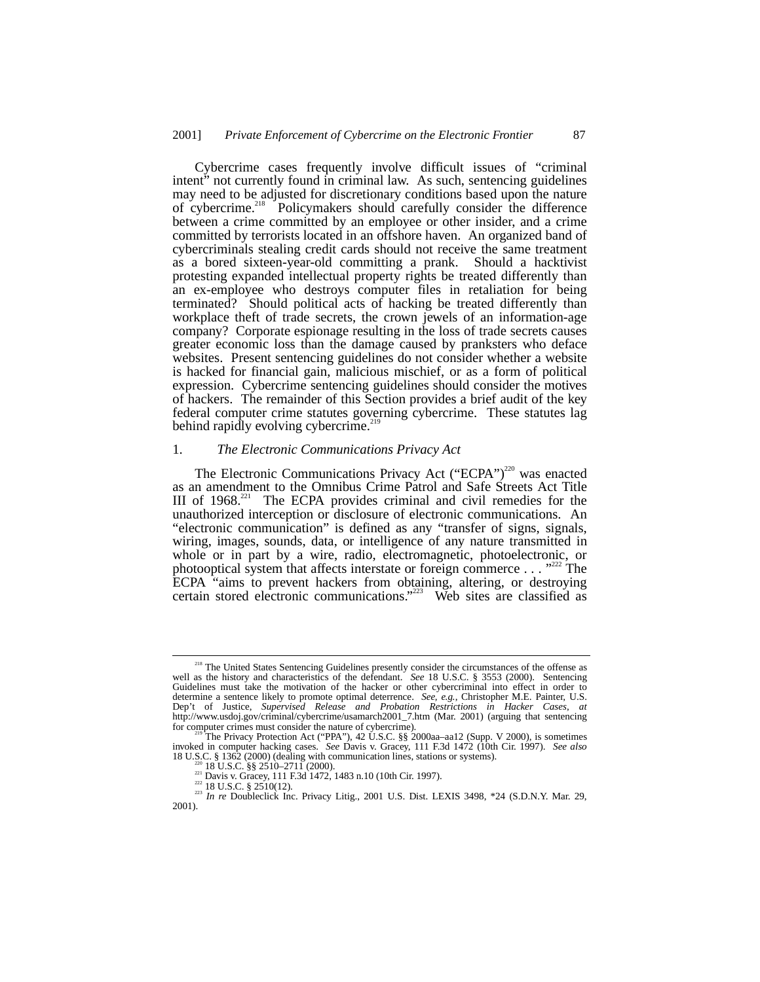Cybercrime cases frequently involve difficult issues of "criminal intent" not currently found in criminal law. As such, sentencing guidelines may need to be adjusted for discretionary conditions based upon the nature of cybercrime.<sup>218</sup> Policymakers should carefully consider the difference  $\delta$  Policymakers should carefully consider the difference between a crime committed by an employee or other insider, and a crime committed by terrorists located in an offshore haven. An organized band of cybercriminals stealing credit cards should not receive the same treatment as a bored sixteen-year-old committing a prank. Should a hacktivist protesting expanded intellectual property rights be treated differently than an ex-employee who destroys computer files in retaliation for being terminated? Should political acts of hacking be treated differently than workplace theft of trade secrets, the crown jewels of an information-age company? Corporate espionage resulting in the loss of trade secrets causes greater economic loss than the damage caused by pranksters who deface websites. Present sentencing guidelines do not consider whether a website is hacked for financial gain, malicious mischief, or as a form of political expression. Cybercrime sentencing guidelines should consider the motives of hackers. The remainder of this Section provides a brief audit of the key federal computer crime statutes governing cybercrime. These statutes lag behind rapidly evolving cybercrime.<sup>21</sup>

# 1. *The Electronic Communications Privacy Act*

The Electronic Communications Privacy Act ("ECPA")<sup>220</sup> was enacted as an amendment to the Omnibus Crime Patrol and Safe Streets Act Title III of  $1968$ <sup>221</sup> The ECPA provides criminal and civil remedies for the unauthorized interception or disclosure of electronic communications. An "electronic communication" is defined as any "transfer of signs, signals, wiring, images, sounds, data, or intelligence of any nature transmitted in whole or in part by a wire, radio, electromagnetic, photoelectronic, or photooptical system that affects interstate or foreign commerce . . . "<sup>222</sup> The ECPA "aims to prevent hackers from obtaining, altering, or destroying certain stored electronic communications."<sup>223</sup> Web sites are classified as

<sup>&</sup>lt;sup>218</sup> The United States Sentencing Guidelines presently consider the circumstances of the offense as well as the history and characteristics of the defendant. *See* 18 U.S.C. § 3553 (2000). Sentencing Guidelines must take the motivation of the hacker or other cybercriminal into effect in order to determine a sentence likely to promote optimal deterrence. *See, e.g.*, Christopher M.E. Painter, U.S. Dep't of Justice, *Supervised Release and Probation Restrictions in Hacker Cases*, *at* http://www.usdoj.gov/criminal/cybercrime/usamarch2001\_7.htm (Mar. 2001) (arguing that sentencing for computer crimes must consider the

The Privacy Protection Act ("PPA"), 42 U.S.C. §§ 2000aa-aa12 (Supp. V 2000), is sometimes invoked in computer hacking cases. *See* Davis v. Gracey, 111 F.3d 1472 (10th Cir. 1997). *See also*

<sup>220 18</sup> U.S.C. § § 2510–2711 (2000).<br>
<sup>221</sup> 18 U.S.C. § § 2510–2711 (2000).<br>
<sup>221</sup> Davis v. Gracey, 111 F.3d 1472, 1483 n.10 (10th Cir. 1997).<br>
<sup>222</sup> 18 U.S.C. § 2510(12).<br>
<sup>223</sup> *In re* Doubleclick Inc. Privacy Litig., 20 2001).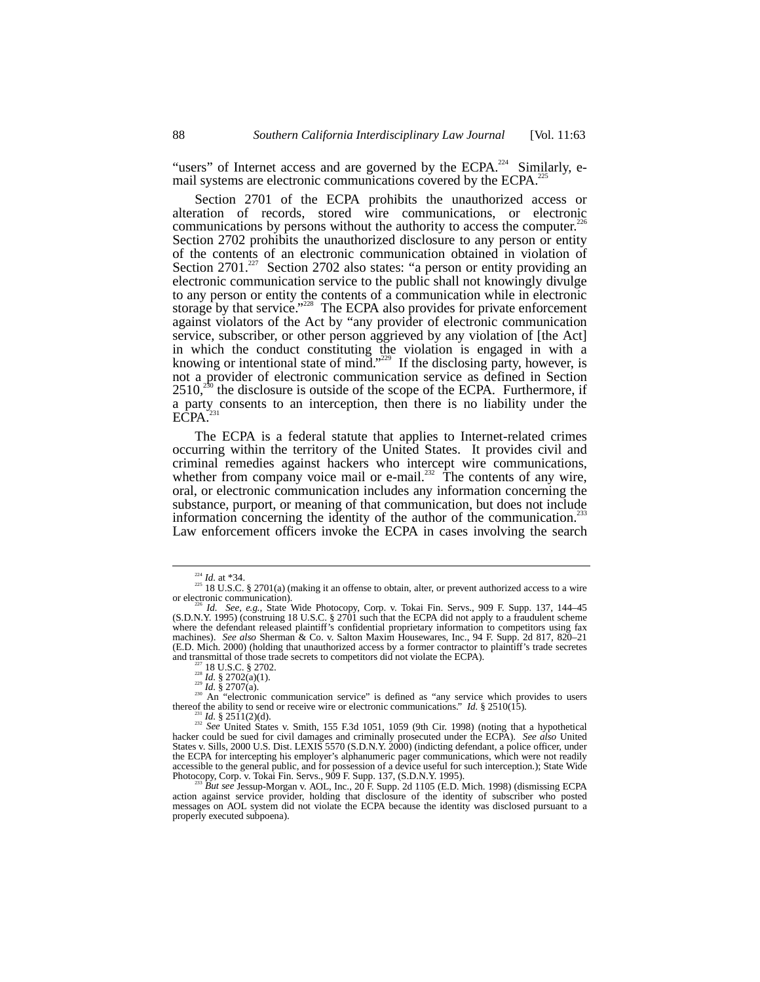"users" of Internet access and are governed by the ECPA.<sup>224</sup> Similarly, email systems are electronic communications covered by the ECPA.<sup>2</sup>

Section 2701 of the ECPA prohibits the unauthorized access or alteration of records, stored wire communications, or electronic communications by persons without the authority to access the computer.<sup>226</sup> Section 2702 prohibits the unauthorized disclosure to any person or entity of the contents of an electronic communication obtained in violation of Section 2701.<sup>227</sup> Section 2702 also states: "a person or entity providing an electronic communication service to the public shall not knowingly divulge to any person or entity the contents of a communication while in electronic storage by that service."<sup>228</sup> The ECPA also provides for private enforcement against violators of the Act by "any provider of electronic communication service, subscriber, or other person aggrieved by any violation of [the Act] in which the conduct constituting the violation is engaged in with a knowing or intentional state of mind."<sup>229</sup> If the disclosing party, however, is not a provider of electronic communication service as defined in Section  $2510<sup>230</sup>$  the disclosure is outside of the scope of the ECPA. Furthermore, if a party consents to an interception, then there is no liability under the ECPA.<sup>3</sup>

The ECPA is a federal statute that applies to Internet-related crimes occurring within the territory of the United States. It provides civil and criminal remedies against hackers who intercept wire communications, whether from company voice mail or e-mail.<sup>232</sup> The contents of any wire, oral, or electronic communication includes any information concerning the substance, purport, or meaning of that communication, but does not include information concerning the identity of the author of the communication.<sup>23</sup> Law enforcement officers invoke the ECPA in cases involving the search

<sup>&</sup>lt;sup>224</sup> *Id.* at \*34.  $\frac{225}{18}$  U.S.C. § 2701(a) (making it an offense to obtain, alter, or prevent authorized access to a wire or electronic communication).<br><sup>226</sup> *Id. See, e.g.*, State Wide Photocopy, Corp. v. Tokai Fin. Servs., 909 F. Supp. 137, 144–45

<sup>(</sup>S.D.N.Y. 1995) (construing 18 U.S.C. § 2701 such that the ECPA did not apply to a fraudulent scheme where the defendant released plaintiff's confidential proprietary information to competitors using fax machines). *See also* Sherman & Co. v. Salton Maxim Housewares, Inc., 94 F. Supp. 2d 817, 820–21 (E.D. Mich. 2000) (holding that unauthorized access by a former contractor to plaintiff's trade secretes

<sup>227 18</sup> U.S.C. § 2702.<br>
<sup>228</sup> *Id.* § 2702(a)(1).<br>
<sup>229</sup> *Id.* § 2702(a)(1).<br>
<sup>229</sup> *Id.* § 2707(a).<br>
<sup>229</sup> *Id.* § 2707(a).<br>
<sup>230</sup> An "electronic communication service" is defined as "any service which provides to users<br>

 $^{231}_{222}$  *Id.* § 2511(2)(d).<br><sup>232</sup> *See* United States v. Smith, 155 F.3d 1051, 1059 (9th Cir. 1998) (noting that a hypothetical hacker could be sued for civil damages and criminally prosecuted under the ECPA). *See also* United States v. Sills, 2000 U.S. Dist. LEXIS 5570 (S.D.N.Y. 2000) (indicting defendant, a police officer, under the ECPA for intercepting his employer's alphanumeric pager communications, which were not readily accessible to the general public, and for possession of a device useful for such interception.); State Wide Photocopy, Corp. v. Tokai Fin. Servs., 909 F. Supp. 137, (S.D.N.Y. 1995).<br><sup>233</sup> *But see Jessup-Morgan v. AOL, Inc* 

action against service provider, holding that disclosure of the identity of subscriber who posted messages on AOL system did not violate the ECPA because the identity was disclosed pursuant to a properly executed subpoena).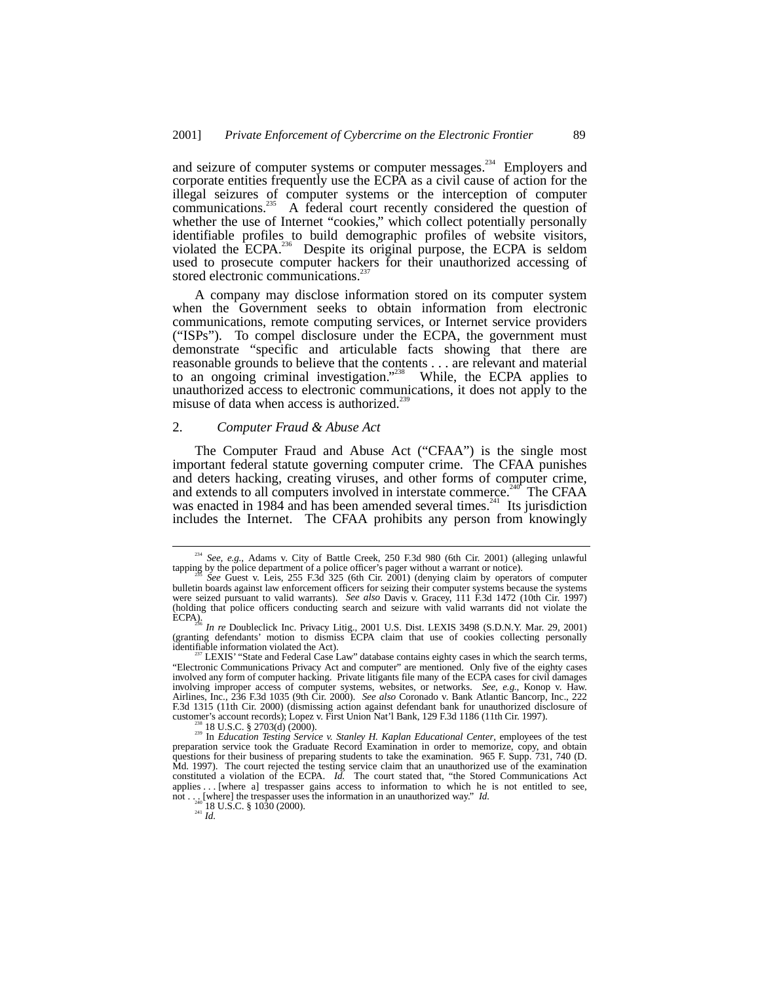and seizure of computer systems or computer messages.<sup>234</sup> Employers and corporate entities frequently use the ECPA as a civil cause of action for the illegal seizures of computer systems or the interception of computer communications.<sup>235</sup> A federal court recently considered the question of <sup>3</sup> A federal court recently considered the question of whether the use of Internet "cookies," which collect potentially personally identifiable profiles to build demographic profiles of website visitors, violated the  $ECPA$ <sup>236</sup> Despite its original purpose, the ECPA is seldom used to prosecute computer hackers for their unauthorized accessing of stored electronic communications.<sup>2</sup>

A company may disclose information stored on its computer system when the Government seeks to obtain information from electronic communications, remote computing services, or Internet service providers ("ISPs"). To compel disclosure under the ECPA, the government must demonstrate "specific and articulable facts showing that there are reasonable grounds to believe that the contents . . . are relevant and material to an ongoing criminal investigation." While, the ECPA applies to unauthorized access to electronic communications, it does not apply to the misuse of data when access is authorized.<sup>2</sup>

### 2. *Computer Fraud & Abuse Act*

The Computer Fraud and Abuse Act ("CFAA") is the single most important federal statute governing computer crime. The CFAA punishes and deters hacking, creating viruses, and other forms of computer crime, and extends to all computers involved in interstate commerce.<sup>240</sup> The CFAA was enacted in 1984 and has been amended several times.<sup>241</sup> Its jurisdiction includes the Internet. The CFAA prohibits any person from knowingly

<sup>&</sup>lt;sup>234</sup> *See, e.g.*, Adams v. City of Battle Creek, 250 F.3d 980 (6th Cir. 2001) (alleging unlawful tapping by the police department of a police officer's pager without a warrant or notice).

See Guest v. Leis, 255 F.3d 325 (6th Cir. 2001) (denying claim by operators of computer bulletin boards against law enforcement officers for seizing their computer systems because the systems were seized pursuant to valid warrants). *See also* Davis v. Gracey, 111 F.3d 1472 (10th Cir. 1997) (holding that police officers conducting search and seizure with valid warrants did not violate the

ECPA). <sup>236</sup> *In re* Doubleclick Inc. Privacy Litig., 2001 U.S. Dist. LEXIS 3498 (S.D.N.Y. Mar. 29, 2001) (granting defendants' motion to dismiss ECPA claim that use of cookies collecting personally

identifiable information violated the Act).<br><sup>237</sup> LEXIS' "State and Federal Case Law" database contains eighty cases in which the search terms,<br>"Electronic Communications Privacy Act and computer" are mentioned. Only five involved any form of computer hacking. Private litigants file many of the ECPA cases for civil damages involving improper access of computer systems, websites, or networks. *See, e.g.*, Konop v. Haw. Airlines, Inc., 236 F.3d 1035 (9th Cir. 2000). *See also* Coronado v. Bank Atlantic Bancorp, Inc., 222 F.3d 1315 (11th Cir. 2000) (dismissing action against defendant bank for unauthorized disclosure of

customer's account records); Lopez v. First Union Nat'l Bank, 129 F.3d 1186 (11th Cir. 1997).<br><sup>238</sup> 18 U.S.C. § 2703(d) (2000).<br><sup>239</sup> In *Education Testing Service v. Stanley H. Kaplan Educational Center*, employees of the questions for their business of preparing students to take the examination. 965 F. Supp. 731, 740 (D. Md. 1997). The court rejected the testing service claim that an unauthorized use of the examination constituted a violation of the ECPA. *Id.* The court stated that, "the Stored Communications Act applies . . . [where a] trespasser gains access to information to which he is not entitled to see, not . . . [where] the trespasser uses the information in an unauthorized way." *Id.*  $\frac{^{240}}{^{241}}$  *Id. Id. Id. Id. Id. Id. Id. Id. Id. Id. Id. Id. Id. Id. Id. Id. Id. Id. Id. Id.*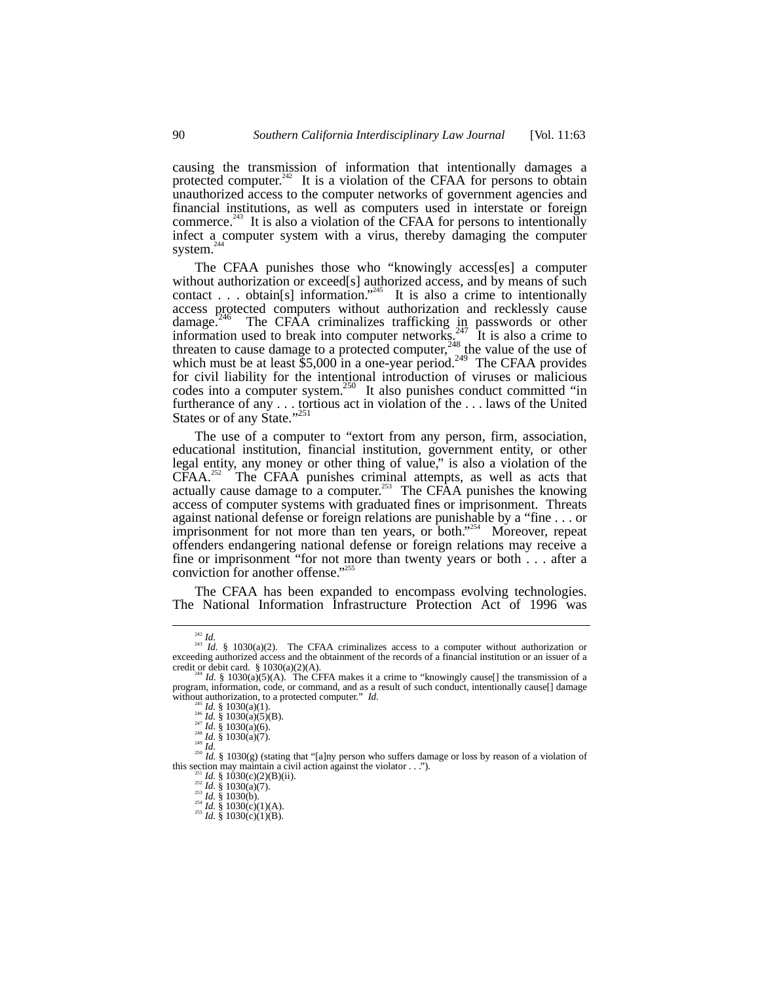causing the transmission of information that intentionally damages a protected computer.<sup>242</sup> It is a violation of the CFAA for persons to obtain unauthorized access to the computer networks of government agencies and financial institutions, as well as computers used in interstate or foreign commerce. $^{243}$  It is also a violation of the CFAA for persons to intentionally infect a computer system with a virus, thereby damaging the computer system.<sup>2</sup>

The CFAA punishes those who "knowingly access[es] a computer without authorization or exceed[s] authorized access, and by means of such contact . . . obtain[s] information."<sup>245</sup> It is also a crime to intentionally access protected computers without authorization and recklessly cause damage.<sup>246</sup> The CFAA criminalizes trafficking in passwords or other information used to break into computer networks.<sup>247</sup> It is also a crime to threaten to cause damage to a protected computer,<sup>248</sup> the value of the use of which must be at least  $$5,000$  in a one-year period.<sup>249</sup> The CFAA provides for civil liability for the intentional introduction of viruses or malicious codes into a computer system.<sup>250</sup> It also punishes conduct committed "in furtherance of any . . . tortious act in violation of the . . . laws of the United States or of any State."<sup>251</sup>

The use of a computer to "extort from any person, firm, association, educational institution, financial institution, government entity, or other legal entity, any money or other thing of value," is also a violation of the  $CFAA$ <sup>252</sup> The CFAA punishes criminal attempts, as well as acts that actually cause damage to a computer.<sup>253</sup> The CFAA punishes the knowing access of computer systems with graduated fines or imprisonment. Threats against national defense or foreign relations are punishable by a "fine . . . or imprisonment for not more than ten years, or both."<sup>254</sup> Moreover, repeat offenders endangering national defense or foreign relations may receive a fine or imprisonment "for not more than twenty years or both . . . after a conviction for another offense."<sup>255</sup>

The CFAA has been expanded to encompass evolving technologies. The National Information Infrastructure Protection Act of 1996 was

<sup>&</sup>lt;sup>242</sup> *Id.*<br><sup>243</sup> *Id.* § 1030(a)(2). The CFAA criminalizes access to a computer without authorization or exceeding authorized access and the obtainment of the records of a financial institution or an issuer of a credit or debit card. § 1030(a)(2)(A).<br><sup>244</sup> *Id.* § 1030(a)(5)(A). The CFFA makes it a crime to "knowingly cause[] the transmission of a

program, information, code, or command, and as a result of such conduct, intentionally cause[] damage without authorization, to a protected computer."  $Id$ . without authorization, to a protected computer." *Id.*<br>
<sup>245</sup> *Id.* § 1030(a)(1).<br>
<sup>246</sup> *Id.* § 1030(a)(5)(B).<br>
<sup>247</sup> *Id.* § 1030(a)(6).<br>
<sup>249</sup> *Id.* § 1030(a)(7).<br>
<sup>249</sup> *Id.* § 1030(g) (stating that "[a]ny person who

this section may maintain a civil action against the violator . . .").<br>
<sup>231</sup> Id. § 1030(c)(2)(B)(ii).<br>
<sup>232</sup> Id. § 1030(a)(7).<br>
<sup>233</sup> Id. § 1030(b).<br>
<sup>235</sup> Id. § 1030(c)(1)(A).<br>
<sup>235</sup> Id. § 1030(c)(1)(B).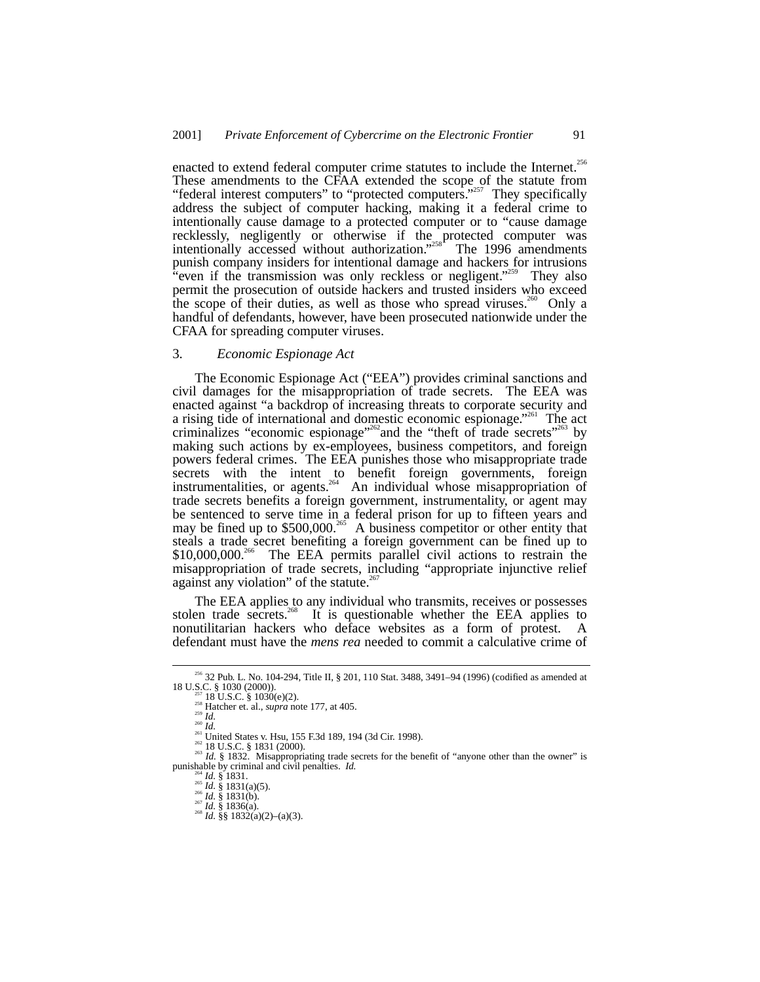enacted to extend federal computer crime statutes to include the Internet.<sup>256</sup> These amendments to the CFAA extended the scope of the statute from "federal interest computers" to "protected computers."<sup>257</sup> They specifically address the subject of computer hacking, making it a federal crime to intentionally cause damage to a protected computer or to "cause damage recklessly, negligently or otherwise if the protected computer was intentionally accessed without authorization."<sup>258</sup> The 1996 amendments punish company insiders for intentional damage and hackers for intrusions "even if the transmission was only reckless or negligent."<sup>259</sup> They also permit the prosecution of outside hackers and trusted insiders who exceed the scope of their duties, as well as those who spread viruses.<sup>260</sup> Only a handful of defendants, however, have been prosecuted nationwide under the CFAA for spreading computer viruses.

# 3. *Economic Espionage Act*

The Economic Espionage Act ("EEA") provides criminal sanctions and civil damages for the misappropriation of trade secrets. The EEA was enacted against "a backdrop of increasing threats to corporate security and a rising tide of international and domestic economic espionage."<sup>261</sup> The act criminalizes "economic espionage"<sup>262</sup>and the "theft of trade secrets"<sup>263</sup> by making such actions by ex-employees, business competitors, and foreign powers federal crimes. The EEA punishes those who misappropriate trade secrets with the intent to benefit foreign governments, foreign instrumentalities, or agents.<sup>264</sup> An individual whose misappropriation of trade secrets benefits a foreign government, instrumentality, or agent may be sentenced to serve time in a federal prison for up to fifteen years and may be fined up to \$500,000.<sup>265</sup> A business competitor or other entity that steals a trade secret benefiting a foreign government can be fined up to \$10,000,000.<sup>266</sup> The EEA permits parallel civil actions to restrain the misappropriation of trade secrets, including "appropriate injunctive relief against any violation" of the statute.<sup>267</sup>

The EEA applies to any individual who transmits, receives or possesses stolen trade secrets.<sup>268</sup> It is questionable whether the EEA applies to nonutilitarian hackers who deface websites as a form of protest. A defendant must have the *mens rea* needed to commit a calculative crime of

 $^{256}$  32 Pub. L. No. 104-294, Title II, § 201, 110 Stat. 3488, 3491–94 (1996) (codified as amended at 18 U.S.C. § 1030 (2000)).

<sup>18</sup> U.S.C. § 1030 (2000)).<br>
<sup>257</sup> 18 U.S.C. § 1030(e)(2).<br>
<sup>258</sup> Hatcher et. al., *supra* note 177, at 405.<br>
<sup>260</sup> Id.<br>
<sup>260</sup> Id.<br>
<sup>261</sup> United States v. Hsu, 155 F.3d 189, 194 (3d Cir. 1998).<br>
<sup>262</sup> Id U.S.C. § 1831 (2000

punishe by criminal and civil penalties. *Id.* § 1831. <br><sup>265</sup> *Id.* § 1831(a)(5). <sup>266</sup> *Id.* § 1831(b). <sup>267</sup> *Id.* § 1836(a). <sup>268</sup> *Id.* §§ 1832(a)(2)–(a)(3).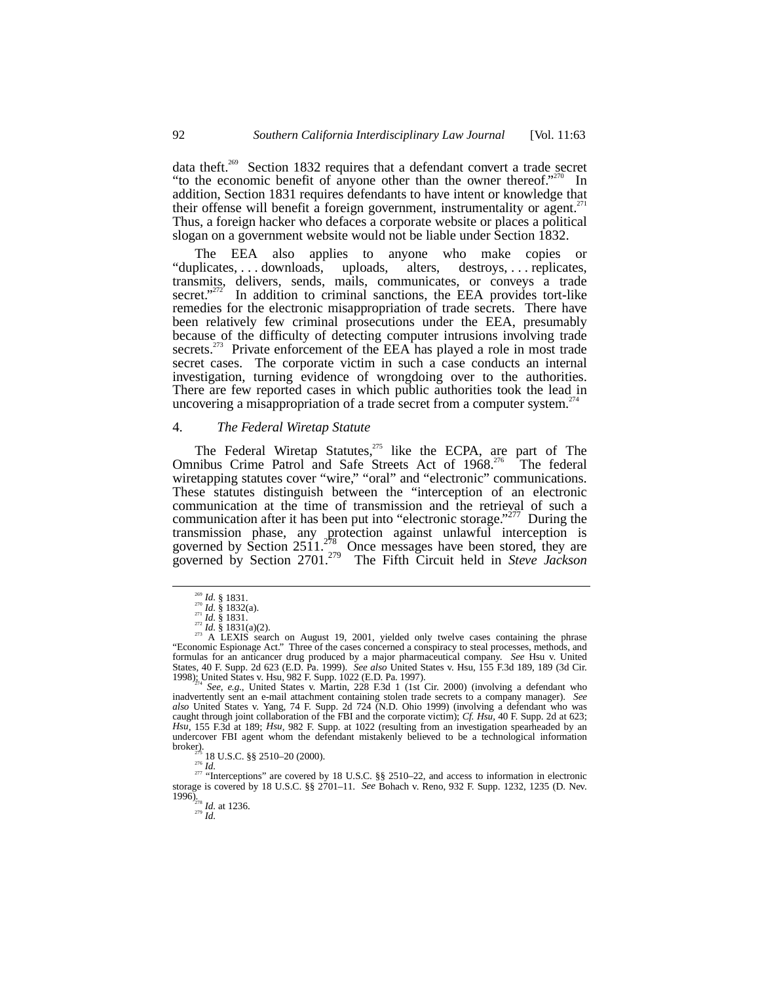data theft.<sup>269</sup> Section 1832 requires that a defendant convert a trade secret "to the economic benefit of anyone other than the owner thereof."<sup>270</sup> In  $\mathrm{m}$  In addition, Section 1831 requires defendants to have intent or knowledge that their offense will benefit a foreign government, instrumentality or agent.<sup>2</sup> Thus, a foreign hacker who defaces a corporate website or places a political slogan on a government website would not be liable under Section 1832.

The EEA also applies to anyone who make copies or "duplicates, . . . downloads, uploads, alters, destroys, . . . replicates, transmits, delivers, sends, mails, communicates, or conveys a trade secret."<sup>272</sup> In addition to criminal sanctions, the EEA provides tort-like remedies for the electronic misappropriation of trade secrets. There have been relatively few criminal prosecutions under the EEA, presumably because of the difficulty of detecting computer intrusions involving trade secrets.<sup>273</sup> Private enforcement of the EEA has played a role in most trade secret cases. The corporate victim in such a case conducts an internal investigation, turning evidence of wrongdoing over to the authorities. There are few reported cases in which public authorities took the lead in uncovering a misappropriation of a trade secret from a computer system.<sup>2</sup>

# 4. *The Federal Wiretap Statute*

The Federal Wiretap Statutes, $275$  like the ECPA, are part of The Omnibus Crime Patrol and Safe Streets Act of 1968.<sup>276</sup> The federal wiretapping statutes cover "wire," "oral" and "electronic" communications. These statutes distinguish between the "interception of an electronic communication at the time of transmission and the retrieval of such a communication after it has been put into "electronic storage."<sup>277</sup> During the transmission phase, any protection against unlawful interception is governed by Section 2511.<sup>278</sup> Once messages have been stored, they are governed by Section 2701.279 The Fifth Circuit held in *Steve Jackson*

storage is covered by 18 U.S.C. §§ 2701–11. *See* Bohach v. Reno, 932 F. Supp. 1232, 1235 (D. Nev.  $\frac{1996}{278}$ <br> $\frac{1}{279}$  *Id.* at 1236.

<sup>&</sup>lt;sup>269</sup> *Id.* § 1831.<br><sup>270</sup> *Id.* § 1832(a).<br><sup>271</sup> *Id.* § 1831.<br><sup>273</sup> *Id.* § 1831(a)(2).<br><sup>273</sup> A LEXIS search on August 19, 2001, yielded only twelve cases containing the phrase "Economic Espionage Act." Three of the cases concerned a conspiracy to steal processes, methods, and formulas for an anticancer drug produced by a major pharmaceutical company. *See* Hsu v. United States, 40 F. Supp. 2d 623 (E.D. Pa. 1999). *See also* United States v. Hsu, 155 F.3d 189, 189 (3d Cir. 1998); United States v. Hsu, 982 F. Supp. 1022 (E.D. Pa. 1997).  $\frac{1}{274}$  See, e.g., United States v. Martin, 228 F.3d 1 (1st Cir. 2000) (involving a defendant who

inadvertently sent an e-mail attachment containing stolen trade secrets to a company manager). *See also* United States v. Yang, 74 F. Supp. 2d 724 (N.D. Ohio 1999) (involving a defendant who was caught through joint collaboration of the FBI and the corporate victim); *Cf. Hsu*, 40 F. Supp. 2d at 623; *Hsu*, 155 F.3d at 189; *Hsu*, 982 F. Supp. at 1022 (resulting from an investigation spearheaded by an undercover FBI agent whom the defendant mistakenly believed to be a technological information broker).<br>  $^{125}$  18 U.S.C. §§ 2510–20 (2000). broker).<br><sup>275</sup> 18 U.S.C. §§ 2510–20 (2000).<br><sup>276</sup> *Id.* "Interceptions" are covered by 18 U.S.C. §§ 2510–22, and access to information in electronic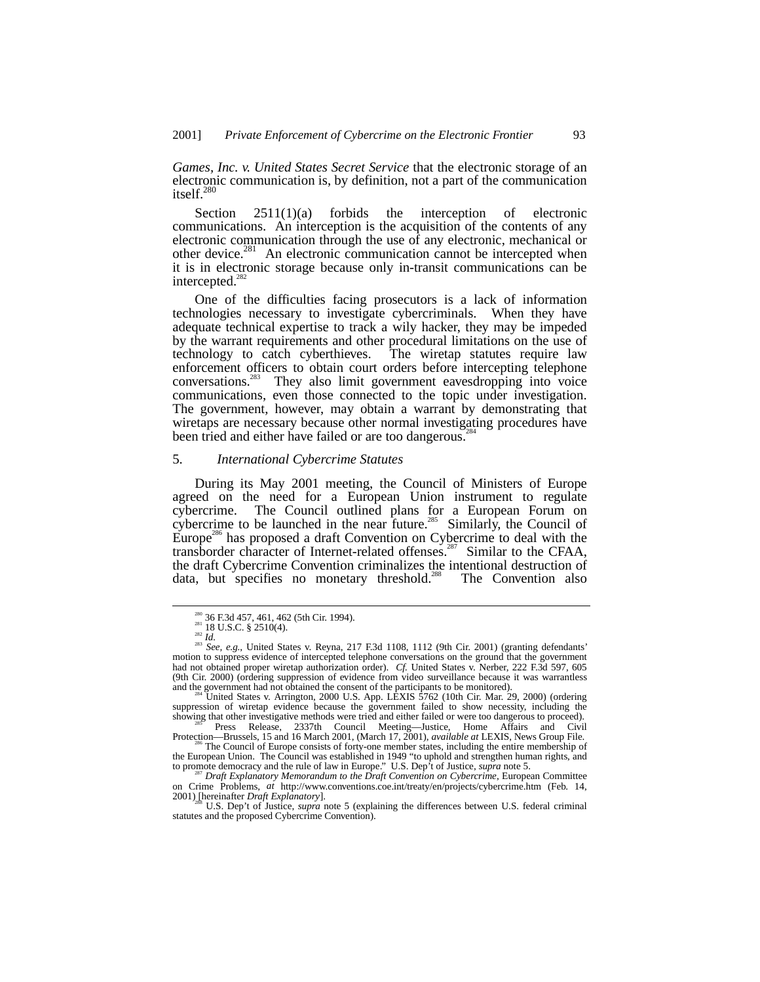*Games, Inc. v. United States Secret Service* that the electronic storage of an electronic communication is, by definition, not a part of the communication itself.<sup>280</sup>

Section 2511(1)(a) forbids the interception of electronic communications. An interception is the acquisition of the contents of any electronic communication through the use of any electronic, mechanical or other device.<sup>281</sup> An electronic communication cannot be intercepted when it is in electronic storage because only in-transit communications can be intercepted.<sup>282</sup>

One of the difficulties facing prosecutors is a lack of information technologies necessary to investigate cybercriminals. When they have adequate technical expertise to track a wily hacker, they may be impeded by the warrant requirements and other procedural limitations on the use of technology to catch cyberthieves. The wiretap statutes require law enforcement officers to obtain court orders before intercepting telephone conversations.283 They also limit government eavesdropping into voice communications, even those connected to the topic under investigation. The government, however, may obtain a warrant by demonstrating that wiretaps are necessary because other normal investigating procedures have been tried and either have failed or are too dangerous.<sup>284</sup>

#### 5. *International Cybercrime Statutes*

During its May 2001 meeting, the Council of Ministers of Europe agreed on the need for a European Union instrument to regulate cybercrime. The Council outlined plans for a European Forum on cybercrime to be launched in the near future.<sup>285</sup> Similarly, the Council of Europe<sup>286</sup> has proposed a draft Convention on Cybercrime to deal with the transborder character of Internet-related offenses.<sup>287</sup> Similar to the CFAA, the draft Cybercrime Convention criminalizes the intentional destruction of data, but specifies no monetary threshold.<sup>288</sup> The Convention also

<sup>&</sup>lt;sup>280</sup> 36 F.3d 457, 461, 462 (5th Cir. 1994).<br><sup>281</sup> 18 U.S.C. § 2510(4).<br><sup>282</sup> *Id.*<br><sup>283</sup> *See, e.g.*, United States v. Reyna, 217 F.3d 1108, 1112 (9th Cir. 2001) (granting defendants' motion to suppress evidence of inter had not obtained proper wiretap authorization order). *Cf.* United States v. Nerber, 222 F.3d 597, 605 (9th Cir. 2000) (ordering suppression of evidence from video surveillance because it was warrantless and the government had not obtained the consent of the participants to be monitored).

 $4\degree$ United States v. Arrington, 2000 U.S. App. LEXIS 5762 (10th Cir. Mar. 29, 2000) (ordering suppression of wiretap evidence because the government failed to show necessity, including the showing that other investigative methods were tried and either failed or were too dangerous to proceed).<br>Press Release, 2337th Council Meeting—Justice, Home Affairs and Civil

Protection—Brussels, 15 and 16 March 2001, (March 17, 2001), *available at* LEXIS, News Group File. <sup>286</sup> The Council of Europe consists of forty-one member states, including the entire membership of

the European Union. The Council was established in 1949 "to uphold and strengthen human rights, and<br>to promote democracy and the rule of law in Europe." U.S. Dep't of Justice, *supra* note 5.<br><sup>287</sup> Draft Explanatory Memora

on Crime Problems, *at* http://www.conventions.coe.int/treaty/en/projects/cybercrime.htm (Feb. 14, 2001) [hereinafter *Draft Explanatory*].<br><sup>288</sup> U.S. Dep't of Justice, *supra* note 5 (explaining the differences between U.S. federal criminal

statutes and the proposed Cybercrime Convention).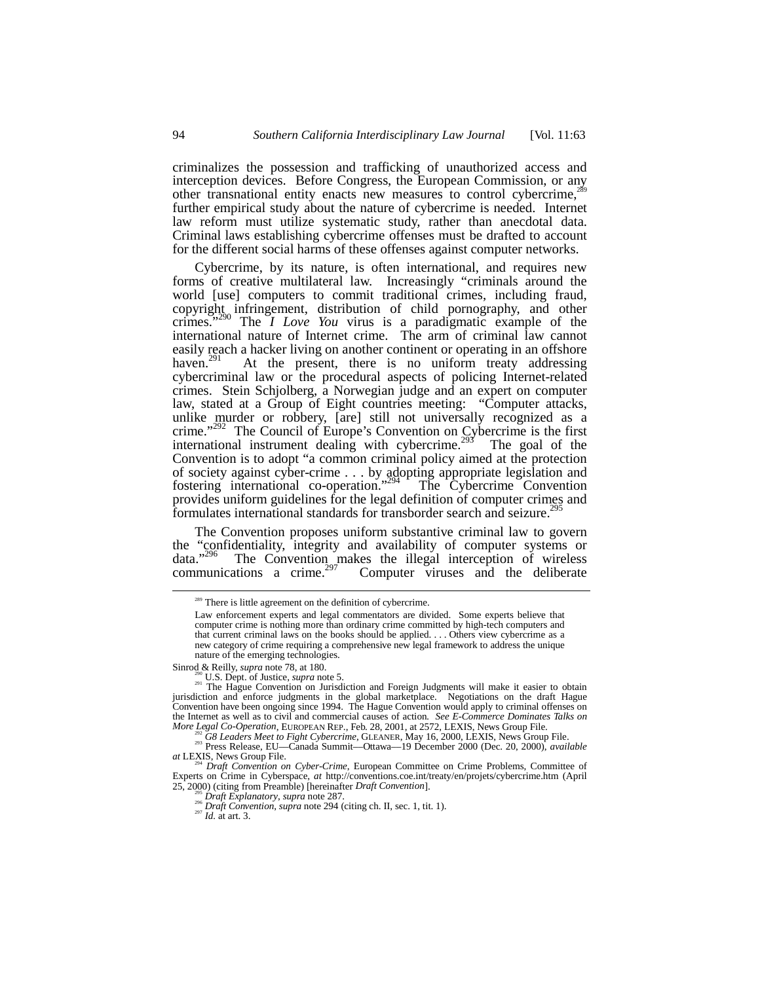criminalizes the possession and trafficking of unauthorized access and interception devices. Before Congress, the European Commission, or any other transnational entity enacts new measures to control cybercrime,<sup>2</sup> further empirical study about the nature of cybercrime is needed. Internet law reform must utilize systematic study, rather than anecdotal data. Criminal laws establishing cybercrime offenses must be drafted to account for the different social harms of these offenses against computer networks.

Cybercrime, by its nature, is often international, and requires new forms of creative multilateral law. Increasingly "criminals around the world [use] computers to commit traditional crimes, including fraud, copyright infringement, distribution of child pornography, and other crimes." 290 The *I Love You* virus is a paradigmatic example of the international nature of Internet crime. The arm of criminal law cannot easily reach a hacker living on another continent or operating in an offshore haven.<sup>291</sup> At the present, there is no uniform treaty addressing At the present, there is no uniform treaty addressing cybercriminal law or the procedural aspects of policing Internet-related crimes. Stein Schjolberg, a Norwegian judge and an expert on computer law, stated at a Group of Eight countries meeting: "Computer attacks, unlike murder or robbery, [are] still not universally recognized as a crime." 292 The Council of Europe's Convention on Cybercrime is the first international instrument dealing with cybercrime.<sup>293</sup> The goal of the Convention is to adopt "a common criminal policy aimed at the protection of society against cyber-crime . . . by adopting appropriate legislation and fostering international co-operation." The Cybercrime Convention provides uniform guidelines for the legal definition of computer crimes and formulates international standards for transborder search and seizure.<sup>2</sup>

The Convention proposes uniform substantive criminal law to govern the "confidentiality, integrity and availability of computer systems or data."<sup>296</sup> The Convention makes the illegal interception of wireless data."<sup>296</sup> The Convention makes the illegal interception of wireless communications a crime.<sup>297</sup> Computer viruses and the deliberate

<sup>&</sup>lt;sup>289</sup> There is little agreement on the definition of cybercrime.

Law enforcement experts and legal commentators are divided. Some experts believe that computer crime is nothing more than ordinary crime committed by high-tech computers and that current criminal laws on the books should be applied. . . . Others view cybercrime as a new category of crime requiring a comprehensive new legal framework to address the unique nature of the emerging technologies.

Sinrod & Reilly, *supra* note 78, at 180.<br><sup>290</sup> U.S. Dept. of Justice, *supra* note 5.<br><sup>291</sup> The Hague Convention on Jurisdiction and Foreign Judgments will make it easier to obtain jurisdiction and enforce judgments in the global marketplace. Negotiations on the draft Hague Convention have been ongoing since 1994. The Hague Convention would apply to criminal offenses on the Internet as well as to civil and commercial causes of action*. See E-Commerce Dominates Talks on*

<sup>&</sup>lt;sup>292</sup> G8 Leaders Meet to Fight Cybercrime, GLEANER, May 16, 2000, LEXIS, News Group File.<br><sup>293</sup> Press Release, EU—Canada Summit—Ottawa—19 December 2000 (Dec. 20, 2000), *available at* LEXIS, News Group File.

*Draft Convention on Cyber-Crime*, European Committee on Crime Problems, Committee of Experts on Crime in Cyberspace, *at* http://conventions.coe.int/treaty/en/projets/cybercrime.htm (April

<sup>&</sup>lt;sup>295</sup> Draft Explanatory, supra note 287.<br><sup>296</sup> Draft Convention, supra note 294 (citing ch. II, sec. 1, tit. 1).<br><sup>297</sup> Id. at art. 3.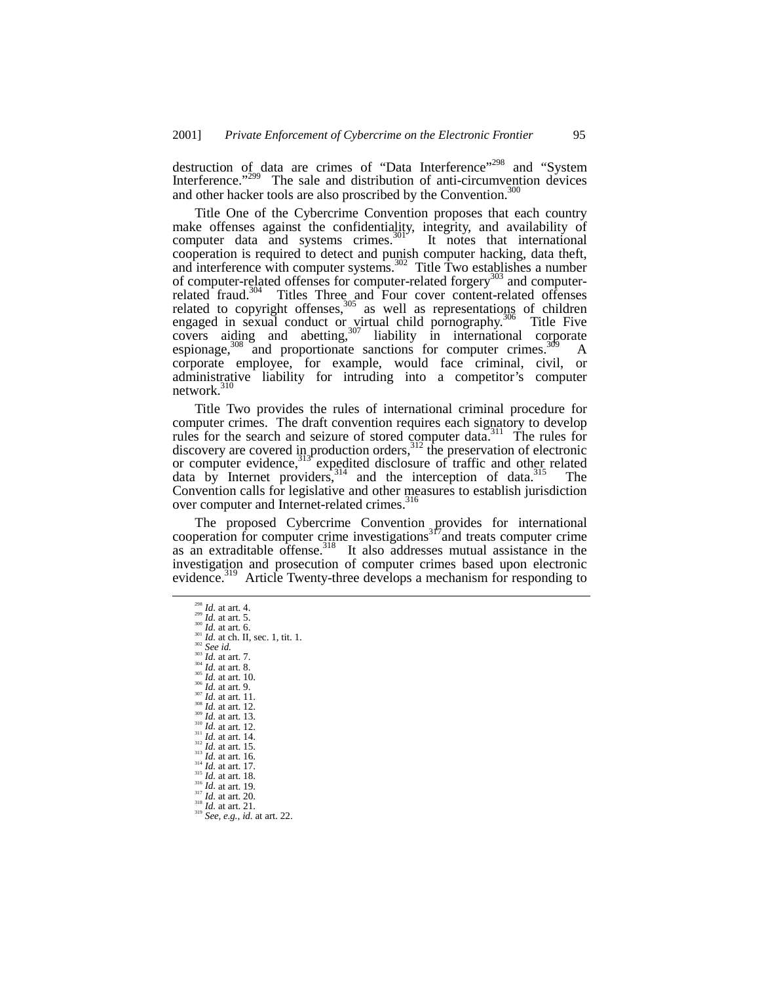destruction of data are crimes of "Data Interference"<sup>298</sup> and "System" Interference."<sup>299</sup> The sale and distribution of anti-circumvention devices and other hacker tools are also proscribed by the Convention.<sup>300</sup>

Title One of the Cybercrime Convention proposes that each country make offenses against the confidentiality, integrity, and availability of computer data and systems crimes. $301$  It notes that international cooperation is required to detect and punish computer hacking, data theft, and interference with computer systems.<sup>302</sup> Title Two establishes a number of computer-related offenses for computer-related forgery $^{303}$  and computerrelated fraud.<sup>304</sup> Titles Three and Four cover content-related offenses related to copyright offenses,  $305$  as well as representations of children engaged in sexual conduct or virtual child pornography.<sup>306</sup> Title Five  $\overline{\text{covers}}$  aiding and abetting,  $307$  liability in international corporate espionage,<sup>308</sup> and proportionate sanctions for computer crimes.<sup>309</sup> A corporate employee, for example, would face criminal, civil, or administrative liability for intruding into a competitor's computer network.<sup>310</sup>

Title Two provides the rules of international criminal procedure for computer crimes. The draft convention requires each signatory to develop rules for the search and seizure of stored computer data.<sup>311</sup> The rules for discovery are covered in production orders,<sup>312</sup> the preservation of electronic or computer evidence,<sup>313</sup> expedited disclosure of traffic and other related data by Internet providers,<sup>314</sup> and the interception of data.<sup>315</sup> The Convention calls for legislative and other measures to establish jurisdiction over computer and Internet-related crimes.<sup>316</sup>

The proposed Cybercrime Convention provides for international cooperation for computer crime investigations<sup>317</sup> and treats computer crime as an extraditable offense.<sup>318</sup> It also addresses mutual assistance in the investigation and prosecution of computer crimes based upon electronic evidence.<sup>319</sup> Article Twenty-three develops a mechanism for responding to

<sup>&</sup>lt;sup>298</sup> *Id.* at art. 4.<br><sup>299</sup> *Id.* at art. 5.<br><sup>309</sup> *Id.* at art. 6.<br><sup>302</sup> *See id.*<br>*Id.* at ch. II, sec. 1, tit. 1.<br><sup>302</sup> *See id.*<br>*Id.* at art. 7.<br><sup>304</sup> *Id.* at art. 8.<br>*30 Id.* at art. 10.<br><sup>307</sup> *Id.* at art. 11.<br>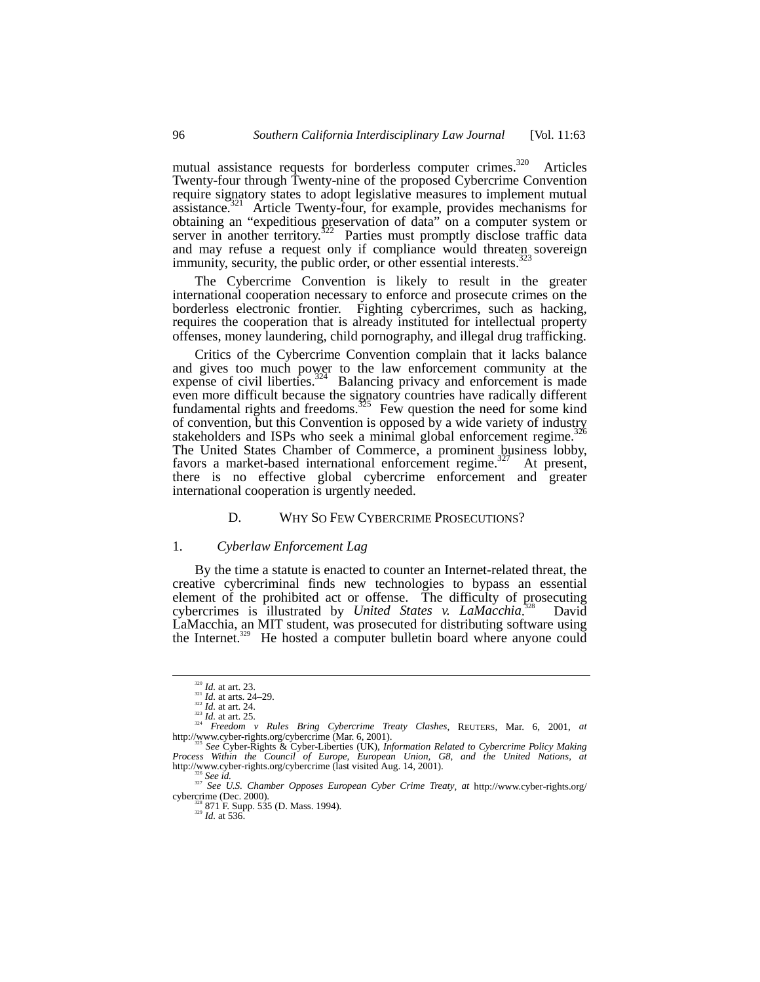mutual assistance requests for borderless computer crimes.<sup>320</sup> Articles Twenty-four through Twenty-nine of the proposed Cybercrime Convention require signatory states to adopt legislative measures to implement mutual assistance.<sup>321</sup> Article Twenty-four, for example, provides mechanisms for obtaining an "expeditious preservation of data" on a computer system or server in another territory.<sup>322</sup> Parties must promptly disclose traffic data and may refuse a request only if compliance would threaten sovereign immunity, security, the public order, or other essential interests.<sup>3</sup>

The Cybercrime Convention is likely to result in the greater international cooperation necessary to enforce and prosecute crimes on the borderless electronic frontier. Fighting cybercrimes, such as hacking, requires the cooperation that is already instituted for intellectual property offenses, money laundering, child pornography, and illegal drug trafficking.

Critics of the Cybercrime Convention complain that it lacks balance and gives too much power to the law enforcement community at the expense of civil liberties. $324$  Balancing privacy and enforcement is made even more difficult because the signatory countries have radically different fundamental rights and freedoms.<sup>325</sup> Few question the need for some kind of convention, but this Convention is opposed by a wide variety of industry stakeholders and ISPs who seek a minimal global enforcement regime.<sup>326</sup> The United States Chamber of Commerce, a prominent business lobby, favors a market-based international enforcement regime.<sup>327</sup> At present, there is no effective global cybercrime enforcement and greater international cooperation is urgently needed.

# D. WHY SO FEW CYBERCRIME PROSECUTIONS?

# 1. *Cyberlaw Enforcement Lag*

By the time a statute is enacted to counter an Internet-related threat, the creative cybercriminal finds new technologies to bypass an essential element of the prohibited act or offense. The difficulty of prosecuting cybercrimes is illustrated by *United States v. LaMacchia*. David LaMacchia, an MIT student, was prosecuted for distributing software using the Internet.<sup>329</sup> He hosted a computer bulletin board where anyone could

<sup>&</sup>lt;sup>320</sup> *Id.* at art. 23.<br><sup>322</sup> *Id.* at arts. 24–29.<br><sup>323</sup> *Id.* at art. 24.  $F$ reedom v Rules Bring Cybercrime Treaty Clashes, REUTERS, Mar. 6, 2001, *at* http://www.cyber-rights.org/cybercrime (Mar. 6, 2001). <sup>325</sup> *See* Cyber-Rights & Cyber-Liberties (UK), *Information Related to Cybercrime Policy Making*

*Process Within the Council of Europe, European Union, G8, and the United Nations, at*<br> *Process Within the Council of Europe, European Union, G8, and the United Nations, at*<br>
http://www.cyber-rights.org/cybercrime (last v

http://www.cyber-rights.org/cybercrime (last visited Aug. 14, 2001). 327 *See U.S. Chamber Opposes European Cyber Crime Treaty, at* http://www.cyber-rights.org/cybercrime (Dec. 2000).

<sup>2000). 338 871</sup> F. Supp. 535 (D. Mass. 1994).<br><sup>329</sup> *Id.* at 536.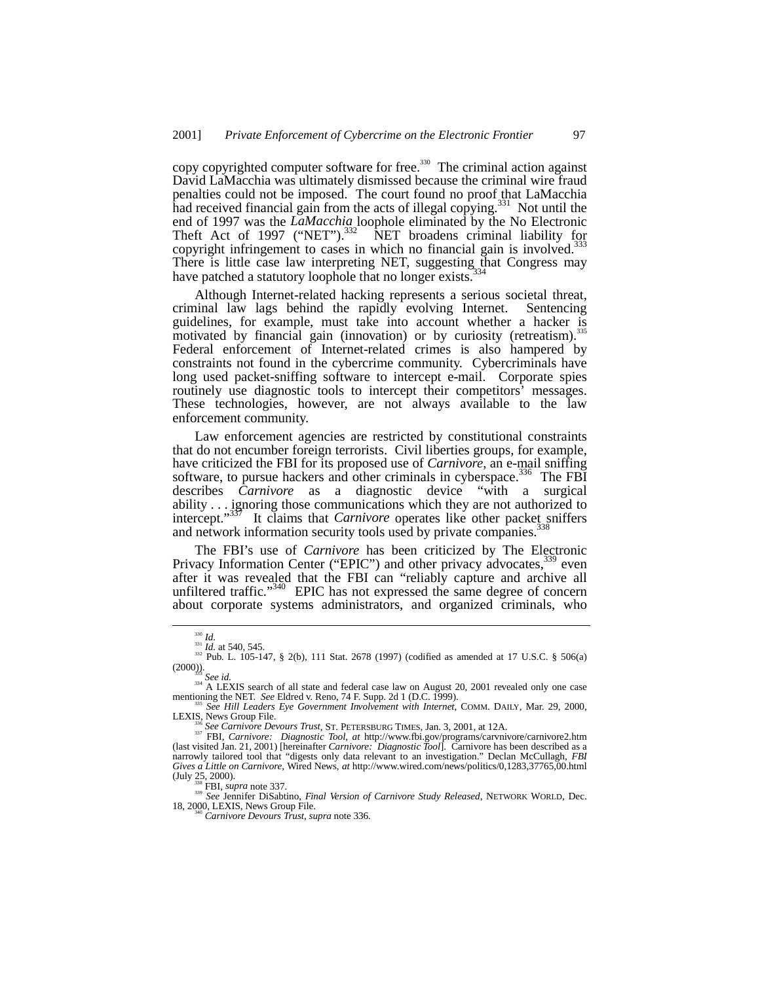copy copyrighted computer software for free.<sup>330</sup> The criminal action against David LaMacchia was ultimately dismissed because the criminal wire fraud penalties could not be imposed. The court found no proof that LaMacchia had received financial gain from the acts of illegal copying.<sup>331</sup> Not until the end of 1997 was the *LaMacchia* loophole eliminated by the No Electronic Theft Act of 1997 ("NET").<sup>332</sup> NET broadens criminal liability for copyright infringement to cases in which no financial gain is involved.<sup>333</sup> There is little case law interpreting NET, suggesting that Congress may have patched a statutory loophole that no longer exists.

Although Internet-related hacking represents a serious societal threat, inal law lags behind the rapidly evolving Internet. Sentencing criminal law lags behind the rapidly evolving Internet. guidelines, for example, must take into account whether a hacker is motivated by financial gain (innovation) or by curiosity (retreatism).<sup>3</sup> Federal enforcement of Internet-related crimes is also hampered by constraints not found in the cybercrime community. Cybercriminals have long used packet-sniffing software to intercept e-mail. Corporate spies routinely use diagnostic tools to intercept their competitors' messages. These technologies, however, are not always available to the law enforcement community.

Law enforcement agencies are restricted by constitutional constraints that do not encumber foreign terrorists. Civil liberties groups, for example, have criticized the FBI for its proposed use of *Carnivore*, an e-mail sniffing software, to pursue hackers and other criminals in cyberspace.<sup>336</sup> The FBI describes *Carnivore* as a diagnostic device "with a surgical ability . . . ignoring those communications which they are not authorized to intercept."<sup>337</sup> It claims that *Carnivore* operates like other packet sniffers and network information security tools used by private companies.<sup>3</sup>

The FBI's use of *Carnivore* has been criticized by The Electronic Privacy Information Center ("EPIC") and other privacy advocates,<sup>339</sup> even after it was revealed that the FBI can "reliably capture and archive all unfiltered traffic."<sup>340</sup> EPIC has not expressed the same degree of concern about corporate systems administrators, and organized criminals, who

(July 25, 2000).<br>
<sup>338</sup> FBI, *supra* note 337.<br>
<sup>339</sup> *See Jennifer DiSabtino, Final Version of Carnivore Study Released*, NETWORK WORLD, Dec.<br>
18, 2000, LEXIS, News Group File.

<sup>&</sup>lt;sup>330</sup> *Id.* 331 *Id.* at 540, 545.<br><sup>332</sup> *Id.* at 540, 545.<br><sup>332</sup> Pub. L. 105-147, § 2(b), 111 Stat. 2678 (1997) (codified as amended at 17 U.S.C. § 506(a) (2000)). <sup>333</sup> *See id.* 334 A LEXIS search of all state and federal case law on August 20, 2001 revealed only one case

mentioning the NET. *See* Eldred v. Reno, 74 F. Supp. 2d 1 (D.C. 1999).<br><sup>335</sup> *See Hill Leaders Eye Government Involvement with Internet*, COMM. DAILY, Mar. 29, 2000,

LEXIS, News Group File.<br>
<sup>336</sup> See Carnivore Devours Trust, ST. PETERSBURG TIMES, Jan. 3, 2001, at 12A.<br>
<sup>337</sup> FBI, *Carnivore: Diagnostic Tool*, at http://www.fbi.gov/programs/carvnivore/carnivore2.htm<br>
(last visited Jan. narrowly tailored tool that "digests only data relevant to an investigation." Declan McCullagh, *FBI Gives a Little on Carnivore*, Wired News, *at* http://www.wired.com/news/politics/0,1283,37765,00.html

<sup>&</sup>lt;sup>140</sup> Carnivore Devours Trust, supra note 336.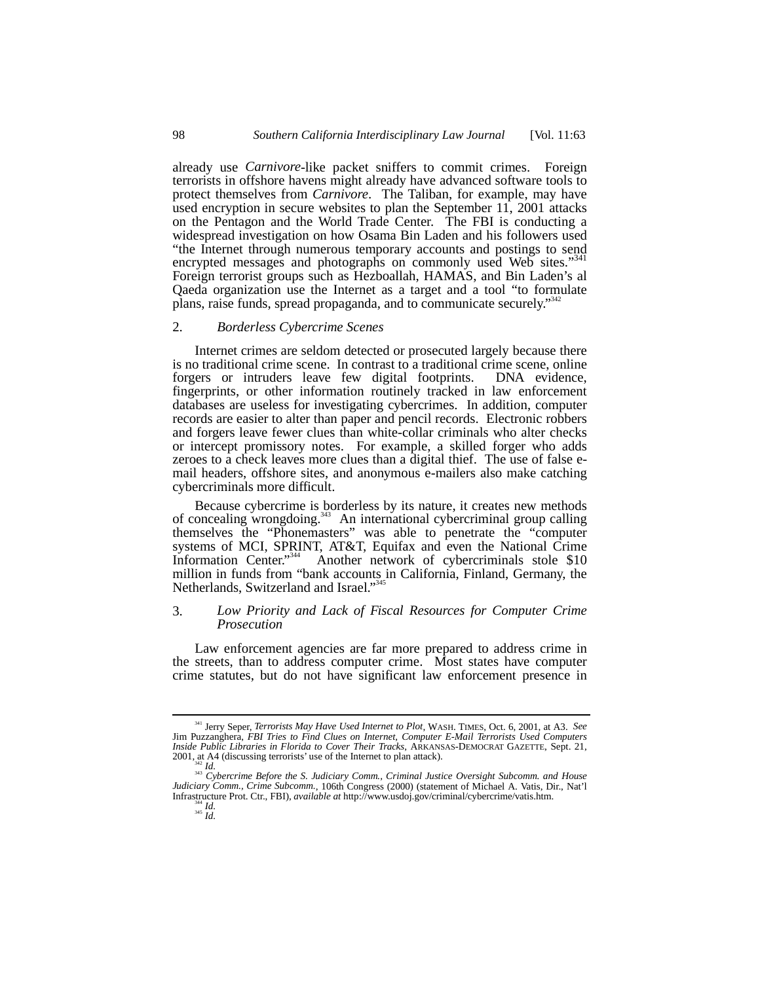already use *Carnivore*-like packet sniffers to commit crimes. Foreign terrorists in offshore havens might already have advanced software tools to protect themselves from *Carnivore*. The Taliban, for example, may have used encryption in secure websites to plan the September 11, 2001 attacks on the Pentagon and the World Trade Center. The FBI is conducting a widespread investigation on how Osama Bin Laden and his followers used "the Internet through numerous temporary accounts and postings to send<br>aparented massages and photographs on commonly used Web sites "341" encrypted messages and photographs on commonly used Web sites." Foreign terrorist groups such as Hezboallah, HAMAS, and Bin Laden's al Qaeda organization use the Internet as a target and a tool "to formulate plans, raise funds, spread propaganda, and to communicate securely." 342

## 2. *Borderless Cybercrime Scenes*

Internet crimes are seldom detected or prosecuted largely because there is no traditional crime scene. In contrast to a traditional crime scene, online forgers or intruders leave few digital footprints. DNA evidence, fingerprints, or other information routinely tracked in law enforcement databases are useless for investigating cybercrimes. In addition, computer records are easier to alter than paper and pencil records. Electronic robbers and forgers leave fewer clues than white-collar criminals who alter checks or intercept promissory notes. For example, a skilled forger who adds zeroes to a check leaves more clues than a digital thief. The use of false email headers, offshore sites, and anonymous e-mailers also make catching cybercriminals more difficult.

Because cybercrime is borderless by its nature, it creates new methods of concealing wrongdoing.<sup>343</sup> An international cybercriminal group calling themselves the "Phonemasters" was able to penetrate the "computer systems of MCI, SPRINT, AT&T, Equifax and even the National Crime Information Center."<sup>344</sup> Another network of cybercriminals stole \$10 million in funds from "bank accounts in California, Finland, Germany, the Netherlands, Switzerland and Israel."<sup>345</sup>

# 3. *Low Priority and Lack of Fiscal Resources for Computer Crime Prosecution*

Law enforcement agencies are far more prepared to address crime in the streets, than to address computer crime. Most states have computer crime statutes, but do not have significant law enforcement presence in

 <sup>341</sup> Jerry Seper, *Terrorists May Have Used Internet to Plot*, WASH. TIMES, Oct. 6, 2001, at A3. *See* Jim Puzzanghera, *FBI Tries to Find Clues on Internet, Computer E-Mail Terrorists Used Computers Inside Public Libraries in Florida to Cover Their Tracks*, ARKANSAS-DEMOCRAT GAZETTE, Sept. 21, 2001, at A4 (discussing terrorists' use of the Internet to plan attack).

<sup>&</sup>lt;sup>342</sup> Id.<br><sup>343</sup> Cybercrime Before the S. Judiciary Comm., Criminal Justice Oversight Subcomm. and House<br>2000). Catacameter of Michael A. Vatis, Dir., Nat'l *Judiciary Comm., Crime Subcomm.*, 106th Congress (2000) (statement of Michael A. Vatis, Dir., Nat'l Infrastructure Prot. Ctr., FBI), *available at* http://www.usdoj.gov/criminal/cybercrime/vatis.htm. <sup>344</sup> *Id.* <sup>345</sup> *Id.*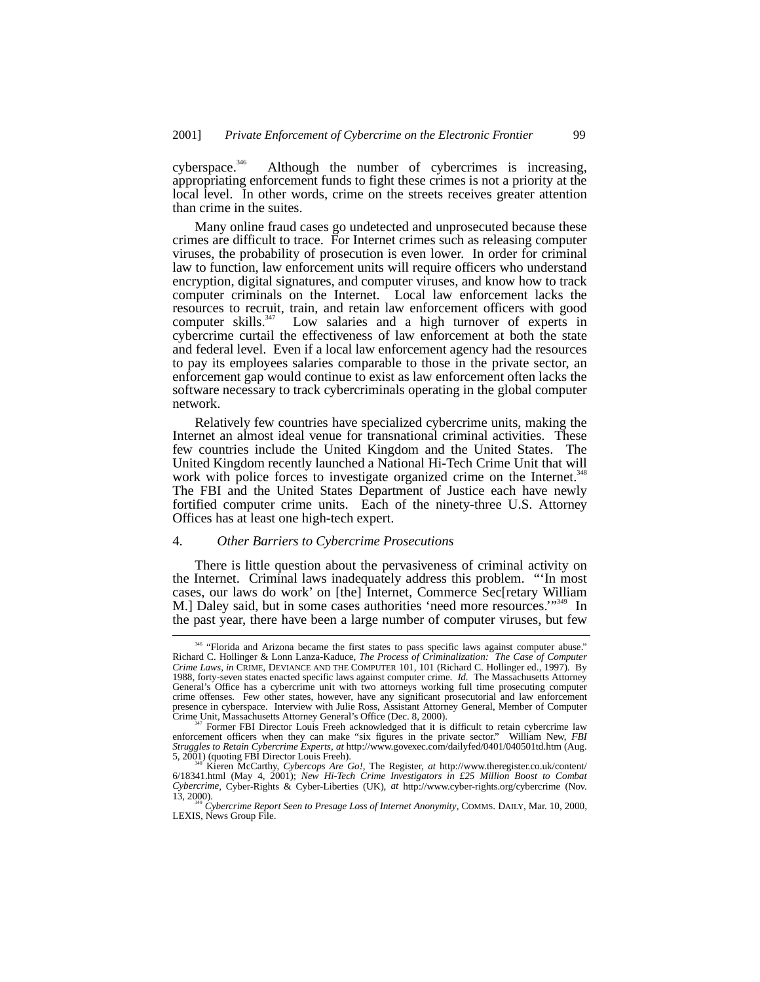cyberspace.<sup>346</sup> Although the number of cybercrimes is increasing, appropriating enforcement funds to fight these crimes is not a priority at the local level. In other words, crime on the streets receives greater attention than crime in the suites.

Many online fraud cases go undetected and unprosecuted because these crimes are difficult to trace. For Internet crimes such as releasing computer viruses, the probability of prosecution is even lower. In order for criminal law to function, law enforcement units will require officers who understand encryption, digital signatures, and computer viruses, and know how to track computer criminals on the Internet. Local law enforcement lacks the resources to recruit, train, and retain law enforcement officers with good computer skills.<sup>347</sup> Low salaries and a high turnover of experts in Low salaries and a high turnover of experts in cybercrime curtail the effectiveness of law enforcement at both the state and federal level. Even if a local law enforcement agency had the resources to pay its employees salaries comparable to those in the private sector, an enforcement gap would continue to exist as law enforcement often lacks the software necessary to track cybercriminals operating in the global computer network.

Relatively few countries have specialized cybercrime units, making the Internet an almost ideal venue for transnational criminal activities. These few countries include the United Kingdom and the United States. The United Kingdom recently launched a National Hi-Tech Crime Unit that will work with police forces to investigate organized crime on the Internet.<sup>348</sup> The FBI and the United States Department of Justice each have newly fortified computer crime units. Each of the ninety-three U.S. Attorney Offices has at least one high-tech expert.

#### 4. *Other Barriers to Cybercrime Prosecutions*

There is little question about the pervasiveness of criminal activity on the Internet. Criminal laws inadequately address this problem. "'In most cases, our laws do work' on [the] Internet, Commerce Sec[retary William M.] Daley said, but in some cases authorities 'need more resources.'"<sup>349</sup> In the past year, there have been a large number of computer viruses, but few

<sup>346</sup> "Florida and Arizona became the first states to pass specific laws against computer abuse." Richard C. Hollinger & Lonn Lanza-Kaduce, *The Process of Criminalization: The Case of Computer Crime Laws*, *in* CRIME, DEVIANCE AND THE COMPUTER 101, 101 (Richard C. Hollinger ed., 1997). By 1988, forty-seven states enacted specific laws against computer crime. *Id.* The Massachusetts Attorney General's Office has a cybercrime unit with two attorneys working full time prosecuting computer crime offenses. Few other states, however, have any significant prosecutorial and law enforcement presence in cyberspace. Interview with Julie Ross, Assistant Attorney General, Member of Computer<br>Crime Unit, Massachusetts Attorney General's Office (Dec. 8, 2000).<br><sup>347</sup> Former FBI Director Louis Freeh acknowledged that

enforcement officers when they can make "six figures in the private sector." William New, *FBI Struggles to Retain Cybercrime Experts*, *at* http://www.govexec.com/dailyfed/0401/040501td.htm (Aug.

<sup>5, 2001) (</sup>quoting FBI Director Louis Freeh).<br><sup>348</sup> Kieren McCarthy, Cybercops Are Go!, The Register, at http://www.theregister.co.uk/content/<br>6/18341.html (May 4, 2001); New Hi-Tech Crime Investigators in £25 Million Boost *Cybercrime*, Cyber-Rights & Cyber-Liberties (UK), *at* http://www.cyber-rights.org/cybercrime (Nov. 13, 2000).

<sup>13, 2000).</sup> <sup>349</sup> *Cybercrime Report Seen to Presage Loss of Internet Anonymity*, COMMS. DAILY, Mar. 10, 2000, LEXIS, News Group File.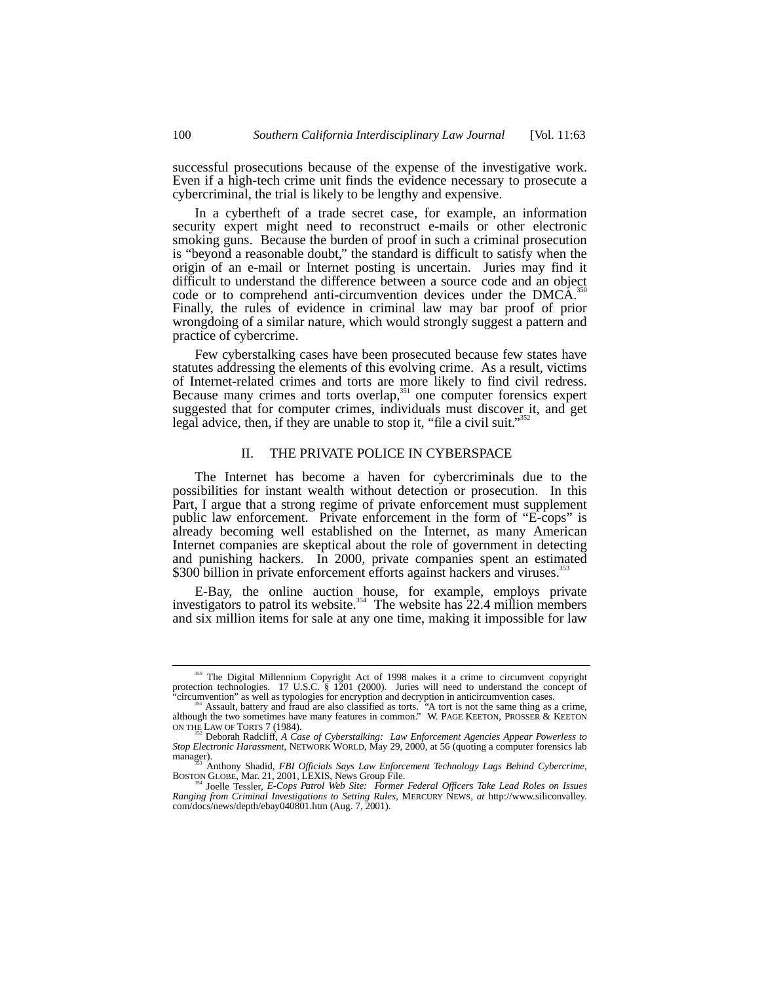successful prosecutions because of the expense of the investigative work. Even if a high-tech crime unit finds the evidence necessary to prosecute a cybercriminal, the trial is likely to be lengthy and expensive.

In a cybertheft of a trade secret case, for example, an information security expert might need to reconstruct e-mails or other electronic smoking guns. Because the burden of proof in such a criminal prosecution is "beyond a reasonable doubt," the standard is difficult to satisfy when the origin of an e-mail or Internet posting is uncertain. Juries may find it difficult to understand the difference between a source code and an object code or to comprehend anti-circumvention devices under the DMCA.<sup>3</sup> Finally, the rules of evidence in criminal law may bar proof of prior wrongdoing of a similar nature, which would strongly suggest a pattern and practice of cybercrime.

Few cyberstalking cases have been prosecuted because few states have statutes addressing the elements of this evolving crime. As a result, victims of Internet-related crimes and torts are more likely to find civil redress. Because many crimes and torts overlap, $351$  one computer forensics expert suggested that for computer crimes, individuals must discover it, and get legal advice, then, if they are unable to stop it, "file a civil suit." 352

## II. THE PRIVATE POLICE IN CYBERSPACE

The Internet has become a haven for cybercriminals due to the possibilities for instant wealth without detection or prosecution. In this Part, I argue that a strong regime of private enforcement must supplement public law enforcement. Private enforcement in the form of "E-cops" is already becoming well established on the Internet, as many American Internet companies are skeptical about the role of government in detecting and punishing hackers. In 2000, private companies spent an estimated \$300 billion in private enforcement efforts against hackers and viruses.<sup>3</sup>

E-Bay, the online auction house, for example, employs private investigators to patrol its website.<sup>354</sup> The website has  $22.4$  million members and six million items for sale at any one time, making it impossible for law

<sup>&</sup>lt;sup>350</sup> The Digital Millennium Copyright Act of 1998 makes it a crime to circumvent copyright protection technologies. 17 U.S.C. § 1201 (2000). Juries will need to understand the concept of

<sup>&</sup>quot;circumvention" as well as typologies for encryption and decryption in anticircumvention cases.<br><sup>351</sup> Assault, battery and fraud are also classified as torts. "A tort is not the same thing as a crime, although the two some ON THE LAW OF TORTS 7 (1984). 352 Deborah Radcliff, *A Case of Cyberstalking: Law Enforcement Agencies Appear Powerless to*

*Stop Electronic Harassment*, NETWORK WORLD, May 29, 2000, at 56 (quoting a computer forensics lab manager).

Anthony Shadid, FBI Officials Says Law Enforcement Technology Lags Behind Cybercrime,<br>BOSTON GLOBE, Mar. 21, 2001, LEXIS, News Group File.<br>Starting Toelle Tessler, E-Cops Patrol Web Site: Former Federal Officers Take Lead

*Ranging from Criminal Investigations to Setting Rules*, MERCURY NEWS, *at* http://www.siliconvalley. com/docs/news/depth/ebay040801.htm (Aug. 7, 2001).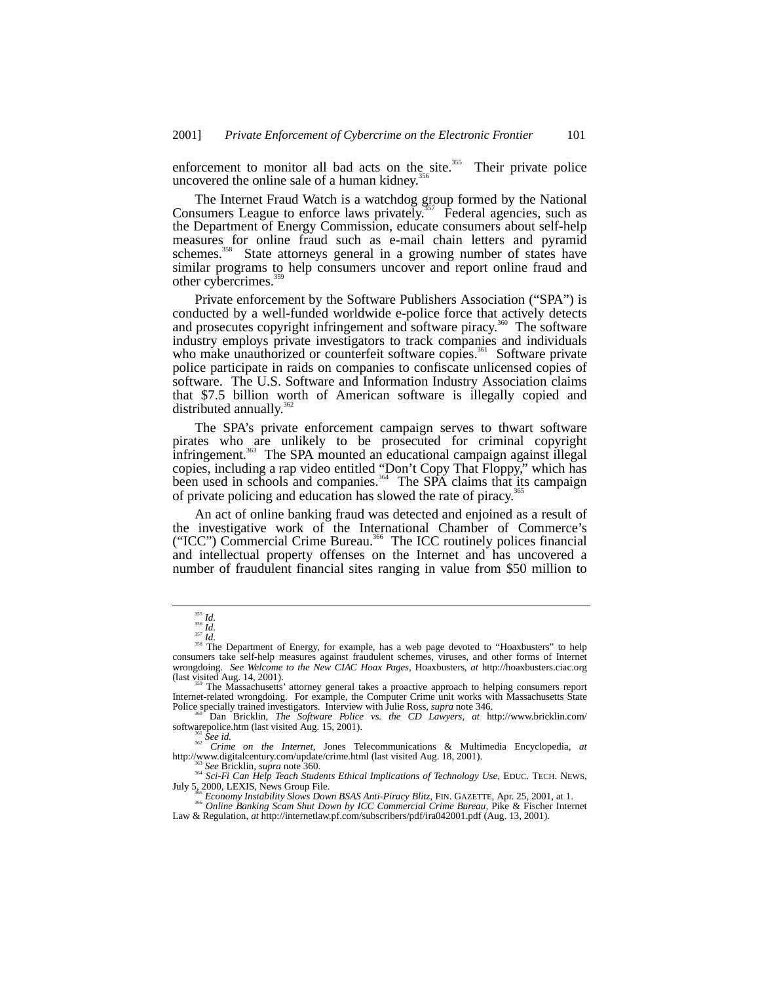enforcement to monitor all bad acts on the site.<sup>355</sup> Their private police uncovered the online sale of a human kidney.<sup>3</sup>

The Internet Fraud Watch is a watchdog group formed by the National Consumers League to enforce laws privately.<sup>357</sup> Federal agencies, such as the Department of Energy Commission, educate consumers about self-help measures for online fraud such as e-mail chain letters and pyramid schemes.<sup>358</sup> State attorneys general in a growing number of states have similar programs to help consumers uncover and report online fraud and other cybercrimes.<sup>35</sup>

Private enforcement by the Software Publishers Association ("SPA") is conducted by a well-funded worldwide e-police force that actively detects and prosecutes copyright infringement and software piracy.<sup>360</sup> The software industry employs private investigators to track companies and individuals who make unauthorized or counterfeit software copies.<sup>361</sup> Software private police participate in raids on companies to confiscate unlicensed copies of software. The U.S. Software and Information Industry Association claims that \$7.5 billion worth of American software is illegally copied and distributed annually.<sup>36</sup>

The SPA's private enforcement campaign serves to thwart software pirates who are unlikely to be prosecuted for criminal copyright infringement.<sup>363</sup> The SPA mounted an educational campaign against illegal copies, including a rap video entitled "Don't Copy That Floppy," which has been used in schools and companies.<sup>364</sup> The SPA claims that its campaign of private policing and education has slowed the rate of piracy.<sup>36</sup>

An act of online banking fraud was detected and enjoined as a result of the investigative work of the International Chamber of Commerce's ("ICC") Commercial Crime Bureau.<sup>366</sup> The ICC routinely polices financial and intellectual property offenses on the Internet and has uncovered a number of fraudulent financial sites ranging in value from \$50 million to

<sup>&</sup>lt;sup>355</sup> Id.<br><sup>355</sup> Id.<br><sup>357</sup> Id.<br><sup>357</sup> Id.<br><sup>357</sup> Id.<br><sup>357</sup> Id.<br><sup>357</sup> Id.<br><sup>357</sup> Id.<br><sup>357</sup> Id.<br><sup>357</sup> Id.<br><sup>357</sup> Id.<br><sup>358</sup> In Department of Energy, for example, has a web page devoted to "Hoaxbusters" to help<br>consumers take self-

<sup>(</sup>last visited Aug. 14, 2001).<br><sup>359</sup> The Massachusetts' attorney general takes a proactive approach to helping consumers report Internet-related wrongdoing. For example, the Computer Crime unit works with Massachusetts State Police specially trained investigators. Interview with Julie Ross, *supra* note 346.

<sup>&</sup>lt;sup>360</sup><sup>t</sup> Dan Bricklin, *The Software Police vs. the CD Lawyers*, *at* http://www.bricklin.com/<br>softwarepolice.htm (last visited Aug. 15, 2001).

software software *software id.*<br><sup>362</sup> *Crime on the Internet*, Jones Telecommunications & Multimedia Encyclopedia, *at*<br>http://www.digitalcentury.com/update/crime.html (last visited Aug. 18, 2001).

See Bricklin, supra note 360.<br>
<sup>364</sup> Sci-Fi Can Help Teach Students Ethical Implications of Technology Use, EDUC. TECH. NEWS,<br>
July 5, 2000, LEXIS, News Group File.<br>
<sup>366</sup> Sci-Fi Can Help Teach Students Ethical Implication

Law & Regulation, *at* http://internetlaw.pf.com/subscribers/pdf/ira042001.pdf (Aug. 13, 2001).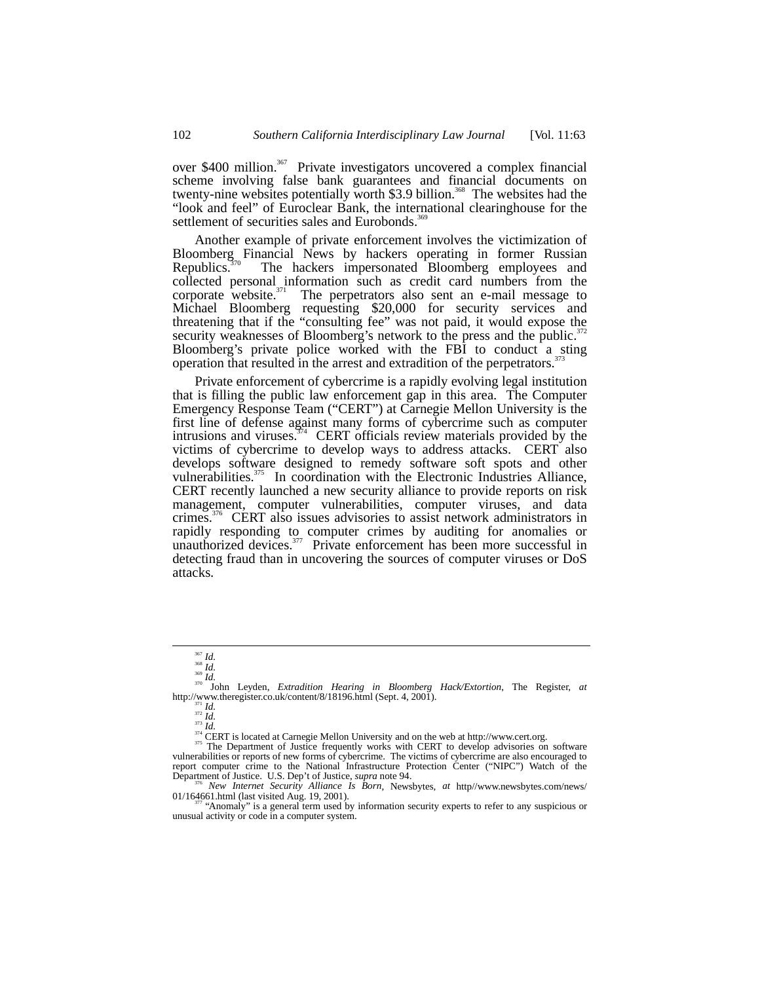over \$400 million.<sup>367</sup> Private investigators uncovered a complex financial scheme involving false bank guarantees and financial documents on twenty-nine websites potentially worth \$3.9 billion.<sup>368</sup> The websites had the "look and feel" of Euroclear Bank, the international clearinghouse for the settlement of securities sales and Eurobonds.<sup>3</sup>

Another example of private enforcement involves the victimization of Bloomberg Financial News by hackers operating in former Russian Republics.<sup>370</sup> The hackers impersonated Bloomberg employees and The hackers impersonated Bloomberg employees and collected personal information such as credit card numbers from the corporate website. $371$  The perpetrators also sent an e-mail message to Michael Bloomberg requesting \$20,000 for security services and threatening that if the "consulting fee" was not paid, it would expose the security weaknesses of Bloomberg's network to the press and the public.<sup>37</sup> Bloomberg's private police worked with the FBI to conduct a sting operation that resulted in the arrest and extradition of the perpetrators.<sup>3</sup>

Private enforcement of cybercrime is a rapidly evolving legal institution that is filling the public law enforcement gap in this area. The Computer Emergency Response Team ("CERT") at Carnegie Mellon University is the first line of defense against many forms of cybercrime such as computer intrusions and viruses. $374$  CERT officials review materials provided by the victims of cybercrime to develop ways to address attacks. CERT also develops software designed to remedy software soft spots and other vulnerabilities.<sup>375</sup> In coordination with the Electronic Industries Alliance, CERT recently launched a new security alliance to provide reports on risk management, computer vulnerabilities, computer viruses, and data crimes.<sup>376</sup> CERT also issues advisories to assist network administrators in rapidly responding to computer crimes by auditing for anomalies or unauthorized devices.<sup>377</sup> Private enforcement has been more successful in detecting fraud than in uncovering the sources of computer viruses or DoS attacks.

<sup>367</sup> *Id.* <sup>369</sup> *Id.* <sup>369</sup> *Id.* <sup>369</sup> *Id.* <sup>370</sup> John Leyden, *Extradition Hearing in Bloomberg Hack/Extortion*, The Register, *at* http://www.theregister.co.uk/content/8/18196.html (Sept. 4, 2001). http://www.theregister.co.uk/content/8/18196.html (Sept. 4, 2001).<br>  $\frac{371}{10}$ <br>  $\frac{1}{374}$  *Id.*<br>  $\frac{374}{100}$  CERT is located at Carnegie Mellon University and on the web at http://www.cert.org.<br>  $\frac{374}{375}$  The De

vulnerabilities or reports of new forms of cybercrime. The victims of cybercrime are also encouraged to report computer crime to the National Infrastructure Protection Center ("NIPC") Watch of the Department of Justice. U.S. Dep't of Justice, *supra* note 94.<br>
<sup>376</sup> *New Internet Security Alliance Is Born*, Newsbytes, *at* h

01/164661.html (last visited Aug. 19, 2001).<br><sup>377</sup> "Anomaly" is a general term used by information security experts to refer to any suspicious or

unusual activity or code in a computer system.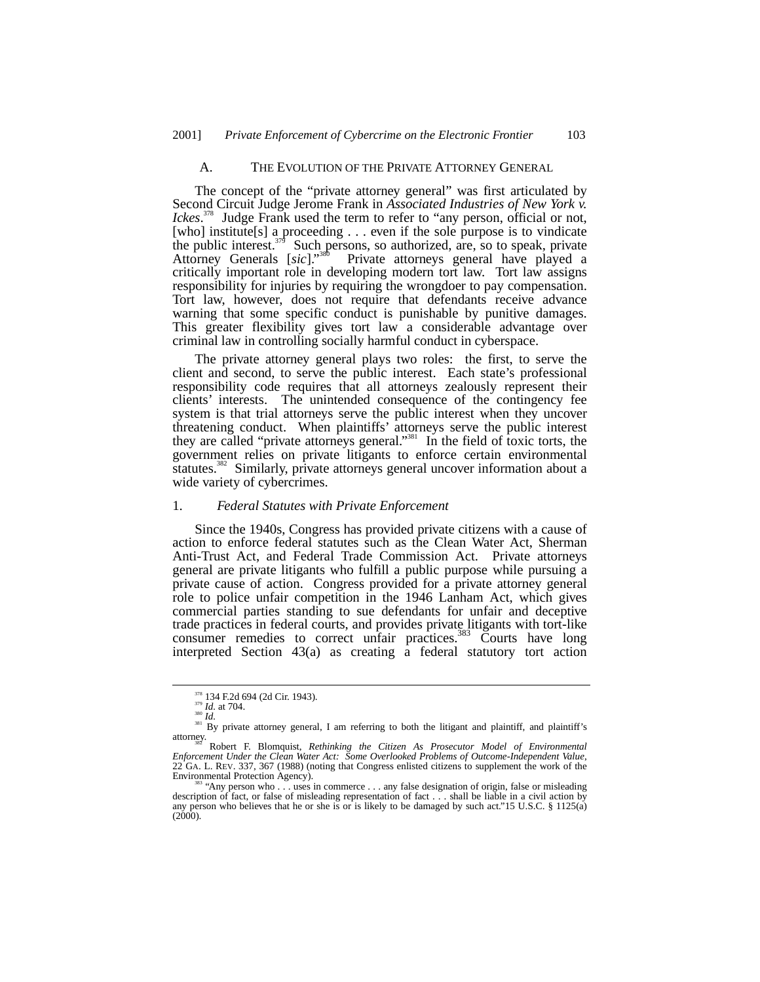#### A. THE EVOLUTION OF THE PRIVATE ATTORNEY GENERAL

The concept of the "private attorney general" was first articulated by Second Circuit Judge Jerome Frank in *Associated Industries of New York v. Ickes*. 378 Judge Frank used the term to refer to "any person, official or not, [who] institute[s] a proceeding  $\dots$  even if the sole purpose is to vindicate the public interest.<sup>379</sup> Such persons, so authorized, are, so to speak, private Such persons, so authorized, are, so to speak, private Attorney Generals [*sic*]." Private attorneys general have played a critically important role in developing modern tort law. Tort law assigns responsibility for injuries by requiring the wrongdoer to pay compensation. Tort law, however, does not require that defendants receive advance warning that some specific conduct is punishable by punitive damages. This greater flexibility gives tort law a considerable advantage over criminal law in controlling socially harmful conduct in cyberspace.

The private attorney general plays two roles: the first, to serve the client and second, to serve the public interest. Each state's professional responsibility code requires that all attorneys zealously represent their clients' interests. The unintended consequence of the contingency fee system is that trial attorneys serve the public interest when they uncover threatening conduct. When plaintiffs' attorneys serve the public interest they are called "private attorneys general."<sup>381</sup> In the field of toxic torts, the government relies on private litigants to enforce certain environmental statutes.<sup>382</sup> Similarly, private attorneys general uncover information about a wide variety of cybercrimes.

# 1. *Federal Statutes with Private Enforcement*

Since the 1940s, Congress has provided private citizens with a cause of action to enforce federal statutes such as the Clean Water Act, Sherman Anti-Trust Act, and Federal Trade Commission Act. Private attorneys general are private litigants who fulfill a public purpose while pursuing a private cause of action. Congress provided for a private attorney general role to police unfair competition in the 1946 Lanham Act, which gives commercial parties standing to sue defendants for unfair and deceptive trade practices in federal courts, and provides private litigants with tort-like consumer remedies to correct unfair practices.<sup>383</sup> Courts have long interpreted Section 43(a) as creating a federal statutory tort action

<sup>&</sup>lt;sup>378</sup> 134 F.2d 694 (2d Cir. 1943).<br><sup>379</sup> *Id.* at 704.<br><sup>381</sup> *Id.* <sup>381</sup> Dy private attorney general, I am referring to both the litigant and plaintiff, and plaintiff's attorney.<br><sup>382</sup> Robert F. Blomquist, *Rethinking the* 

*Enforcement Under the Clean Water Act: Some Overlooked Problems of Outcome-Independent Value*, 22 GA. L. REV. 337, 367 (1988) (noting that Congress enlisted citizens to supplement the work of the Environmental Protection Agency).

<sup>&</sup>quot;Any person who . . . uses in commerce . . . any false designation of origin, false or misleading description of fact, or false of misleading representation of fact . . . shall be liable in a civil action by any person who believes that he or she is or is likely to be damaged by such act."15 U.S.C. § 1125(a)  $(2000).$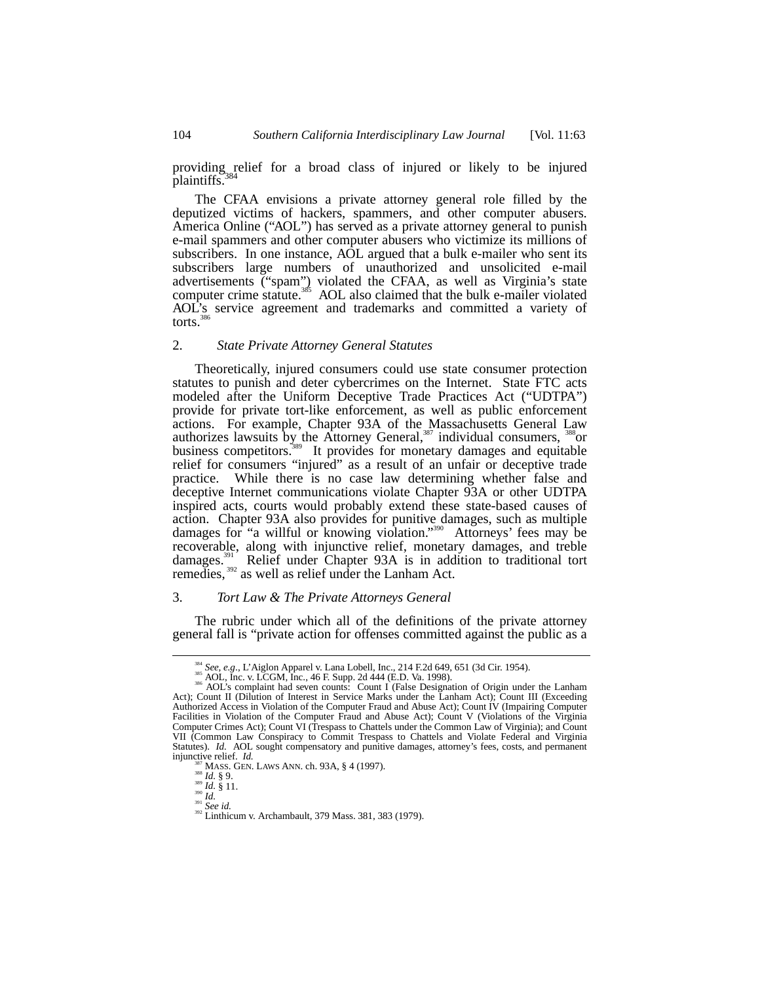providing relief for a broad class of injured or likely to be injured plaintiffs.

The CFAA envisions a private attorney general role filled by the deputized victims of hackers, spammers, and other computer abusers. America Online ("AOL") has served as a private attorney general to punish e-mail spammers and other computer abusers who victimize its millions of subscribers. In one instance, AOL argued that a bulk e-mailer who sent its subscribers large numbers of unauthorized and unsolicited e-mail advertisements ("spam") violated the CFAA, as well as Virginia's state computer crime statute.<sup>385</sup> AOL also claimed that the bulk e-mailer violated AOL's service agreement and trademarks and committed a variety of torts. $3$ 

## 2. *State Private Attorney General Statutes*

Theoretically, injured consumers could use state consumer protection statutes to punish and deter cybercrimes on the Internet. State FTC acts modeled after the Uniform Deceptive Trade Practices Act ("UDTPA") provide for private tort-like enforcement, as well as public enforcement actions. For example, Chapter 93A of the Massachusetts General Law authorizes lawsuits by the Attorney General,<sup>387</sup> individual consumers,  $388$  or business competitors.<sup>389</sup> It provides for monetary damages and equitable relief for consumers "injured" as a result of an unfair or deceptive trade practice. While there is no case law determining whether false and deceptive Internet communications violate Chapter 93A or other UDTPA inspired acts, courts would probably extend these state-based causes of action. Chapter 93A also provides for punitive damages, such as multiple damages for "a willful or knowing violation."<sup>390</sup> Attorneys' fees may be recoverable, along with injunctive relief, monetary damages, and treble Relief under Chapter 93A is in addition to traditional tort damages.<sup>391</sup> Relief under Chapter 93A is in add remedies,<sup>392</sup> as well as relief under the Lanham Act.

#### 3. *Tort Law & The Private Attorneys General*

The rubric under which all of the definitions of the private attorney general fall is "private action for offenses committed against the public as a

<sup>&</sup>lt;sup>384</sup> See, e.g., L'Aiglon Apparel v. Lana Lobell, Inc., 214 F.2d 649, 651 (3d Cir. 1954).<br><sup>385</sup> AOL, Inc. v. LCGM, Inc., 46 F. Supp. 2d 444 (E.D. Va. 1998).<br><sup>386</sup> AOL's complaint had seven counts: Count I (False Designatio Act); Count II (Dilution of Interest in Service Marks under the Lanham Act); Count III (Exceeding Authorized Access in Violation of the Computer Fraud and Abuse Act); Count IV (Impairing Computer Facilities in Violation of the Computer Fraud and Abuse Act); Count V (Violations of the Virginia Computer Crimes Act); Count VI (Trespass to Chattels under the Common Law of Virginia); and Count VII (Common Law Conspiracy to Commit Trespass to Chattels and Violate Federal and Virginia Statutes). *Id.* AOL sought compensatory and punitive damages, attorney's fees, costs, and permanent injunctive relief. *Id.* **EXECUTE RELIGER.** *Id.* 387 MASS. GEN. LAWS ANN. ch. 93A, § 4 (1997).<br>
388 *Id.* § 9.<br>
399 *Id.* § 11.<br>
391 *Id. See id.* 392 *Inthicum v. Archambault, 379 Mass. 381, 383 (1979).*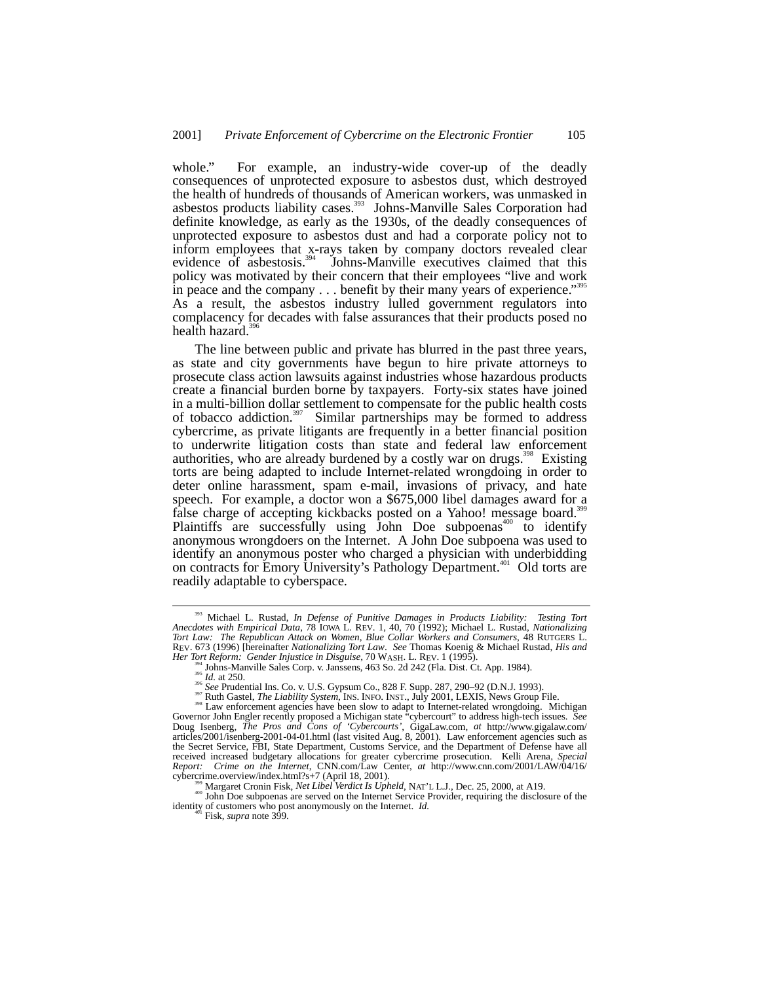whole." For example, an industry-wide cover-up of the deadly consequences of unprotected exposure to asbestos dust, which destroyed the health of hundreds of thousands of American workers, was unmasked in asbestos products liability cases.<sup>393</sup> Johns-Manville Sales Corporation had definite knowledge, as early as the 1930s, of the deadly consequences of unprotected exposure to asbestos dust and had a corporate policy not to inform employees that x-rays taken by company doctors revealed clear evidence of asbestosis. $394$  Johns-Manville executives claimed that this policy was motivated by their concern that their employees "live and work in peace and the company . . . benefit by their many years of experience."<sup>395</sup> As a result, the asbestos industry lulled government regulators into complacency for decades with false assurances that their products posed no health hazard.<sup>3</sup>

The line between public and private has blurred in the past three years, as state and city governments have begun to hire private attorneys to prosecute class action lawsuits against industries whose hazardous products create a financial burden borne by taxpayers. Forty-six states have joined in a multi-billion dollar settlement to compensate for the public health costs of tobacco addiction.<sup>397</sup> Similar partnerships may be formed to address cybercrime, as private litigants are frequently in a better financial position to underwrite litigation costs than state and federal law enforcement authorities, who are already burdened by a costly war on drugs.<sup>398</sup> Existing torts are being adapted to include Internet-related wrongdoing in order to deter online harassment, spam e-mail, invasions of privacy, and hate speech. For example, a doctor won a \$675,000 libel damages award for a false charge of accepting kickbacks posted on a Yahoo! message board.<sup>399</sup> Plaintiffs are successfully using  $John$  Doe subpoenas<sup> $400$ </sup> to identify anonymous wrongdoers on the Internet. A John Doe subpoena was used to identify an anonymous poster who charged a physician with underbidding on contracts for Emory University's Pathology Department.<sup>401</sup> Old torts are readily adaptable to cyberspace.

 <sup>393</sup> Michael L. Rustad, *In Defense of Punitive Damages in Products Liability: Testing Tort Anecdotes with Empirical Data*, 78 IOWA L. REV. 1, 40, 70 (1992); Michael L. Rustad, *Nationalizing Tort Law: The Republican Attack on Women*, *Blue Collar Workers and Consumers*, 48 RUTGERS L. REV. 673 (1996) [hereinafter *Nationalizing Tort Law*. *See* Thomas Koenig & Michael Rustad, *His and*

Her Tort Reform: Gender Injustice in Disguise, 70 WASH. L. REV. 1 (1995).<br>
<sup>394</sup> Johns-Manville Sales Corp. v. Janssens, 463 So. 2d 242 (Fla. Dist. Ct. App. 1984).<br>
<sup>395</sup> *Id.* at 250.<br>
<sup>396</sup> *See* Prudential Ins. Co. v. U Doug Isenberg, *The Pros and Cons of 'Cybercourts'*, GigaLaw.com, *at* http://www.gigalaw.com/ articles/2001/isenberg-2001-04-01.html (last visited Aug. 8, 2001). Law enforcement agencies such as the Secret Service, FBI, State Department, Customs Service, and the Department of Defense have all received increased budgetary allocations for greater cybercrime prosecution. Kelli Arena, *Special Report: Crime on the Internet*, CNN.com/Law Center, *at* http://www.cnn.com/2001/LAW/04/16/<br>cybercrime.overview/index.html?s+7 (April 18, 2001).

Margaret Cronin Fisk, *Net Libel Verdict Is Upheld*, NAT'L L.J., Dec. 25, 2000, at A19.<br><sup>400</sup> John Doe subpoenas are served on the Internet Service Provider, requiring the disclosure of the identity of customers who post anonymously on the Internet. *Id.* 401 Fisk, *supra* note 399.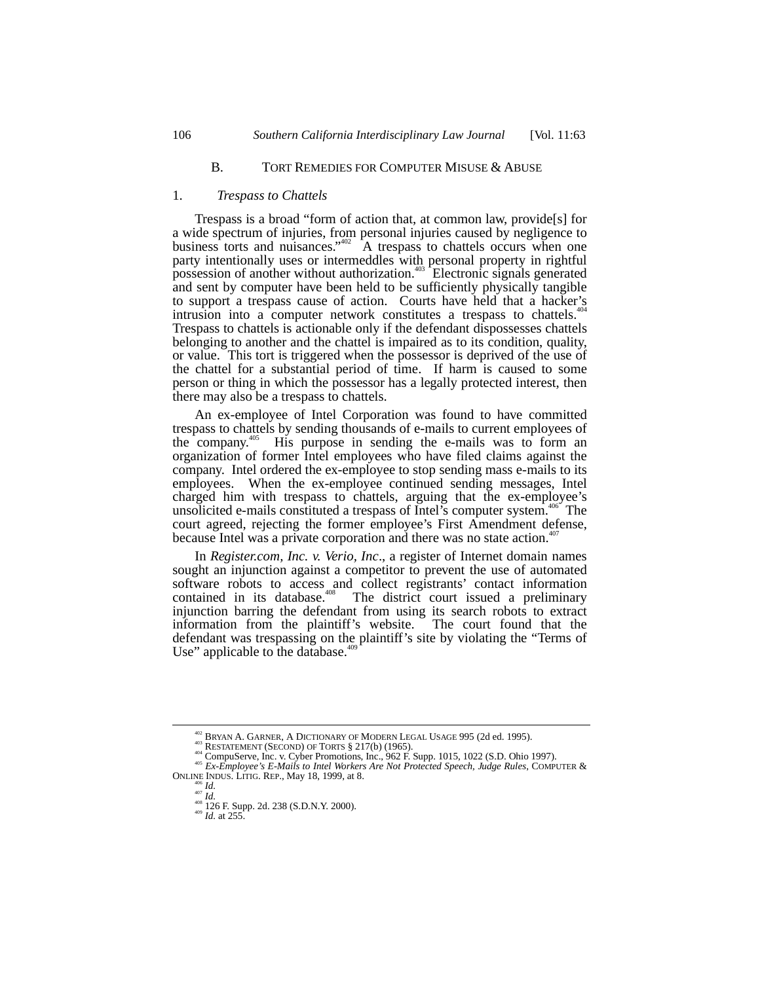# B. TORT REMEDIES FOR COMPUTER MISUSE & ABUSE

#### 1. *Trespass to Chattels*

Trespass is a broad "form of action that, at common law, provide[s] for a wide spectrum of injuries, from personal injuries caused by negligence to business torts and nuisances." 402 A trespass to chattels occurs when one party intentionally uses or intermeddles with personal property in rightful possession of another without authorization.<sup>403</sup> Electronic signals generated and sent by computer have been held to be sufficiently physically tangible to support a trespass cause of action. Courts have held that a hacker's intrusion into a computer network constitutes a trespass to chattels.<sup>4</sup> Trespass to chattels is actionable only if the defendant dispossesses chattels belonging to another and the chattel is impaired as to its condition, quality, or value. This tort is triggered when the possessor is deprived of the use of the chattel for a substantial period of time. If harm is caused to some person or thing in which the possessor has a legally protected interest, then there may also be a trespass to chattels.

An ex-employee of Intel Corporation was found to have committed trespass to chattels by sending thousands of e-mails to current employees of the company.<sup>405</sup> His purpose in sending the e-mails was to form an His purpose in sending the e-mails was to form an organization of former Intel employees who have filed claims against the company. Intel ordered the ex-employee to stop sending mass e-mails to its employees. When the ex-employee continued sending messages, Intel charged him with trespass to chattels, arguing that the ex-employee's unsolicited e-mails constituted a trespass of Intel's computer system.<sup>406</sup> The court agreed, rejecting the former employee's First Amendment defense, because Intel was a private corporation and there was no state action.<sup>4</sup>

In *Register.com, Inc. v. Verio, Inc*., a register of Internet domain names sought an injunction against a competitor to prevent the use of automated software robots to access and collect registrants' contact information contained in its database.<sup>408</sup> The district court issued a preliminary injunction barring the defendant from using its search robots to extract information from the plaintiff's website. The court found that the defendant was trespassing on the plaintiff's site by violating the "Terms of Use" applicable to the database. $409$ 

<sup>&</sup>lt;sup>402</sup> BRYAN A. GARNER, A DICTIONARY OF MODERN LEGAL USAGE 995 (2d ed. 1995).<br><sup>403</sup> RESTATEMENT (SECOND) OF TORTS § 217(b) (1965).<br><sup>404</sup> CompuServe, Inc. v. Cyber Promotions, Inc., 962 F. Supp. 1015, 1022 (S.D. Ohio 1997).

And *Id.* 407 *Id.*<br>  $\frac{408}{408}$  *Id.* 126 F. Supp. 2d. 238 (S.D.N.Y. 2000). <br> *Id.* at 255.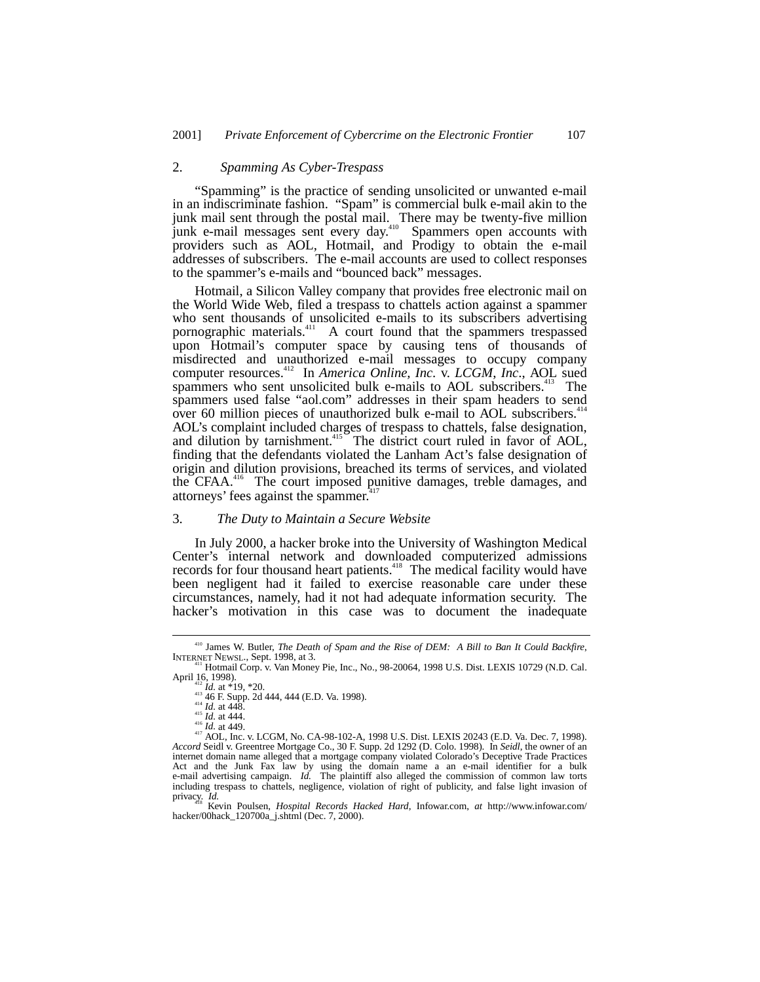# 2. *Spamming As Cyber-Trespass*

"Spamming" is the practice of sending unsolicited or unwanted e-mail in an indiscriminate fashion. "Spam" is commercial bulk e-mail akin to the junk mail sent through the postal mail. There may be twenty-five million junk e-mail messages sent every day.<sup>410</sup> Spammers open accounts with providers such as AOL, Hotmail, and Prodigy to obtain the e-mail addresses of subscribers. The e-mail accounts are used to collect responses to the spammer's e-mails and "bounced back" messages.

Hotmail, a Silicon Valley company that provides free electronic mail on the World Wide Web, filed a trespass to chattels action against a spammer who sent thousands of unsolicited e-mails to its subscribers advertising pornographic materials.<sup>411</sup> A court found that the spammers trespassed upon Hotmail's computer space by causing tens of thousands of misdirected and unauthorized e-mail messages to occupy company computer resources.412 In *America Online, Inc.* v. *LCGM*, *Inc*., AOL sued spammers who sent unsolicited bulk e-mails to AOL subscribers.<sup>413</sup> The spammers used false "aol.com" addresses in their spam headers to send over 60 million pieces of unauthorized bulk e-mail to AOL subscribers.<sup>41</sup> AOL's complaint included charges of trespass to chattels, false designation, and dilution by tarnishment.<sup>415</sup> The district court ruled in favor of AOL, finding that the defendants violated the Lanham Act's false designation of origin and dilution provisions, breached its terms of services, and violated the CFAA<sup>416</sup> The court imposed punitive damages, treble damages, and attorneys' fees against the spammer.<sup>41</sup>

# 3. *The Duty to Maintain a Secure Website*

In July 2000, a hacker broke into the University of Washington Medical Center's internal network and downloaded computerized admissions records for four thousand heart patients.<sup>418</sup> The medical facility would have been negligent had it failed to exercise reasonable care under these circumstances, namely, had it not had adequate information security. The hacker's motivation in this case was to document the inadequate

<sup>&</sup>lt;sup>410</sup> James W. Butler, *The Death of Spam and the Rise of DEM*: *A Bill to Ban It Could Backfire*, INTERNET NEWSL., Sept. 1998, at 3.<br><sup>411</sup> Hotmail Corp. v. Van Money Pie, Inc., No., 98-20064, 1998 U.S. Dist. LEXIS 10729

April 16, 1998).<br>
<sup>412</sup> *Id.* at \*19, \*20.<br>
<sup>414</sup> *Id.* at 448.<br>
<sup>414</sup> *Id.* at 448.<br>
<sup>414</sup> *Id.* at 444.<br>
<sup>415</sup> *Id.* at 444.<br>
<sup>415</sup> *Id.* at 444.<br>
<sup>415</sup> *Id.* at 444.<br>
<sup>417</sup> AOL, Inc. v. LCGM, No. CA-98-102-A, 1998 U.S. internet domain name alleged that a mortgage company violated Colorado's Deceptive Trade Practices Act and the Junk Fax law by using the domain name a an e-mail identifier for a bulk e-mail advertising campaign. *Id.* The plaintiff also alleged the commission of common law torts including trespass to chattels, negligence, violation of right of publicity, and false light invasion of privacy. *Id.* 418 Kevin Poulsen, *Hospital Records Hacked Hard*, Infowar.com, *at* http://www.infowar.com/

hacker/00hack\_120700a\_j.shtml (Dec. 7, 2000).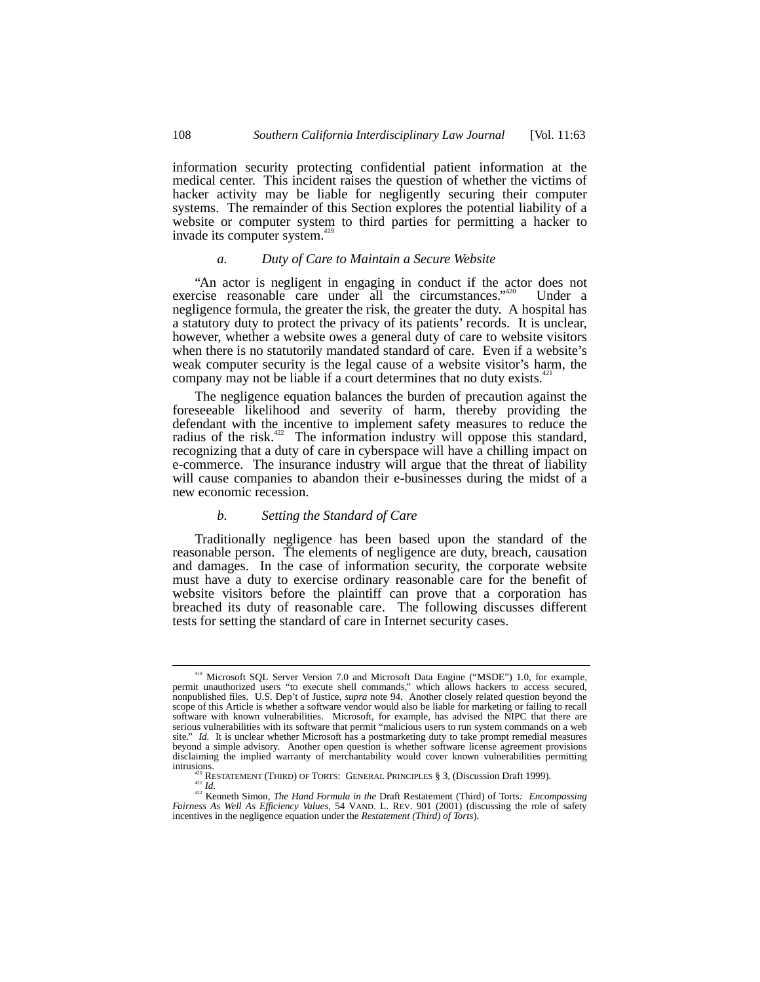information security protecting confidential patient information at the medical center. This incident raises the question of whether the victims of hacker activity may be liable for negligently securing their computer systems. The remainder of this Section explores the potential liability of a website or computer system to third parties for permitting a hacker to invade its computer system.<sup>419</sup>

# *a. Duty of Care to Maintain a Secure Website*

"An actor is negligent in engaging in conduct if the actor does not exercise reasonable care under all the circumstances."<sup>420</sup> Under a negligence formula, the greater the risk, the greater the duty. A hospital has a statutory duty to protect the privacy of its patients' records. It is unclear, however, whether a website owes a general duty of care to website visitors when there is no statutorily mandated standard of care. Even if a website's weak computer security is the legal cause of a website visitor's harm, the company may not be liable if a court determines that no duty exists.<sup>42</sup>

The negligence equation balances the burden of precaution against the foreseeable likelihood and severity of harm, thereby providing the defendant with the incentive to implement safety measures to reduce the radius of the risk.<sup>422</sup> The information industry will oppose this standard, recognizing that a duty of care in cyberspace will have a chilling impact on e-commerce. The insurance industry will argue that the threat of liability will cause companies to abandon their e-businesses during the midst of a new economic recession.

## *b. Setting the Standard of Care*

Traditionally negligence has been based upon the standard of the reasonable person. The elements of negligence are duty, breach, causation and damages. In the case of information security, the corporate website must have a duty to exercise ordinary reasonable care for the benefit of website visitors before the plaintiff can prove that a corporation has breached its duty of reasonable care. The following discusses different tests for setting the standard of care in Internet security cases.

<sup>&</sup>lt;sup>419</sup> Microsoft SQL Server Version 7.0 and Microsoft Data Engine ("MSDE") 1.0, for example, permit unauthorized users "to execute shell commands," which allows hackers to access secured, nonpublished files. U.S. Dep't of J scope of this Article is whether a software vendor would also be liable for marketing or failing to recall software with known vulnerabilities. Microsoft, for example, has advised the NIPC that there are serious vulnerabilities with its software that permit "malicious users to run system commands on a web site." *Id.* It is unclear whether Microsoft has a postmarketing duty to take prompt remedial measures beyond a simple advisory. Another open question is whether software license agreement provisions disclaiming the implied warranty of merchantability would cover known vulnerabilities permitting

intrusions.<br>
<sup>421</sup> RESTATEMENT (THIRD) OF TORTS: GENERAL PRINCIPLES § 3, (Discussion Draft 1999).<br>
<sup>421</sup> *Id.*<br>
<sup>422</sup> Kenneth Simon, *The Hand Formula in the* Draft Restatement (Third) of Torts: *Encompassing*<br> *Fairness A* incentives in the negligence equation under the *Restatement (Third) of Torts*)*.*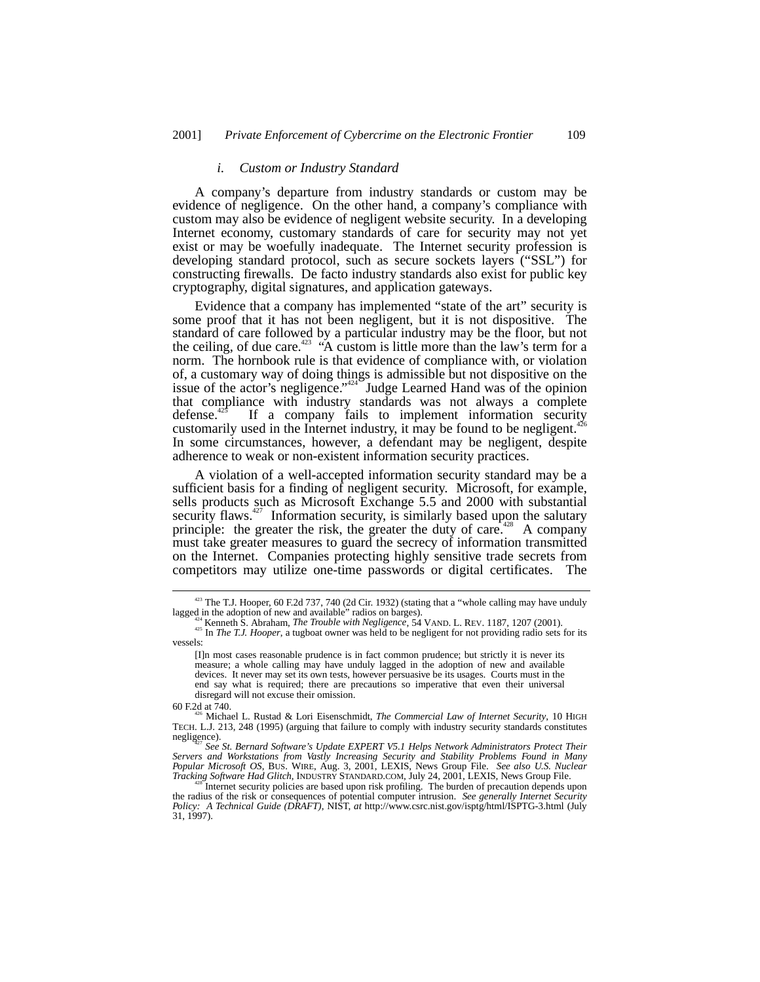### *i. Custom or Industry Standard*

A company's departure from industry standards or custom may be evidence of negligence. On the other hand, a company's compliance with custom may also be evidence of negligent website security. In a developing Internet economy, customary standards of care for security may not yet exist or may be woefully inadequate. The Internet security profession is developing standard protocol, such as secure sockets layers ("SSL") for constructing firewalls. De facto industry standards also exist for public key cryptography, digital signatures, and application gateways.

Evidence that a company has implemented "state of the art" security is some proof that it has not been negligent, but it is not dispositive. The standard of care followed by a particular industry may be the floor, but not the ceiling, of due care.<sup>423</sup> "A custom is little more than the law's term for a norm. The hornbook rule is that evidence of compliance with, or violation of, a customary way of doing things is admissible but not dispositive on the issue of the actor's negligence."<sup>424</sup> Judge Learned Hand was of the opinion that compliance with industry standards was not always a complete defense.<sup>425</sup> If a company fails to implement information security customarily used in the Internet industry, it may be found to be negligent.<sup> $426$ </sup> In some circumstances, however, a defendant may be negligent, despite adherence to weak or non-existent information security practices.

A violation of a well-accepted information security standard may be a sufficient basis for a finding of negligent security. Microsoft, for example, sells products such as Microsoft Exchange 5.5 and 2000 with substantial security flaws.<sup>427</sup> Information security, is similarly based upon the salutary principle: the greater the risk, the greater the duty of care.<sup>428</sup> A company must take greater measures to guard the secrecy of information transmitted on the Internet. Companies protecting highly sensitive trade secrets from competitors may utilize one-time passwords or digital certificates. The

<sup>&</sup>lt;sup>423</sup> The T.J. Hooper, 60 F.2d 737, 740 (2d Cir. 1932) (stating that a "whole calling may have unduly lagged in the adoption of new and available" radios on barges).

<sup>&</sup>lt;sup>424</sup> Kenneth S. Abraham, *The Trouble with Negligence*, 54 VAND. L. REV. 1187, 1207 (2001).<br><sup>425</sup> In *The T.J. Hooper*, a tugboat owner was held to be negligent for not providing radio sets for its vessels:

<sup>[</sup>I]n most cases reasonable prudence is in fact common prudence; but strictly it is never its measure; a whole calling may have unduly lagged in the adoption of new and available devices. It never may set its own tests, however persuasive be its usages. Courts must in the end say what is required; there are precautions so imperative that even their universal disregard will not excuse their omission.

<sup>60</sup> F.2d at 740. 426 Michael L. Rustad & Lori Eisenschmidt, *The Commercial Law of Internet Security*, 10 HIGH TECH. L.J. 213, 248 (1995) (arguing that failure to comply with industry security standards constitutes negligence). <sup>427</sup> *See St. Bernard Software's Update EXPERT V5.1 Helps Network Administrators Protect Their*

*Servers and Workstations from Vastly Increasing Security and Stability Problems Found in Many* Popular Microsoft OS, BUS. WIRE, Aug. 3, 2001, LEXIS, News Group File. See also U.S. Nuclear Tracking Software Had Glitch, INDUSTRY STANDARD.COM, July 24, 2001, LEXIS, News Group File.<br><sup>428</sup> Internet security policies are

the radius of the risk or consequences of potential computer intrusion. See generally Internet Security<br>Policy: A Technical Guide (DRAFT), NIST, at http://www.csrc.nist.gov/isptg/html/ISPTG-3.html (July 31, 1997).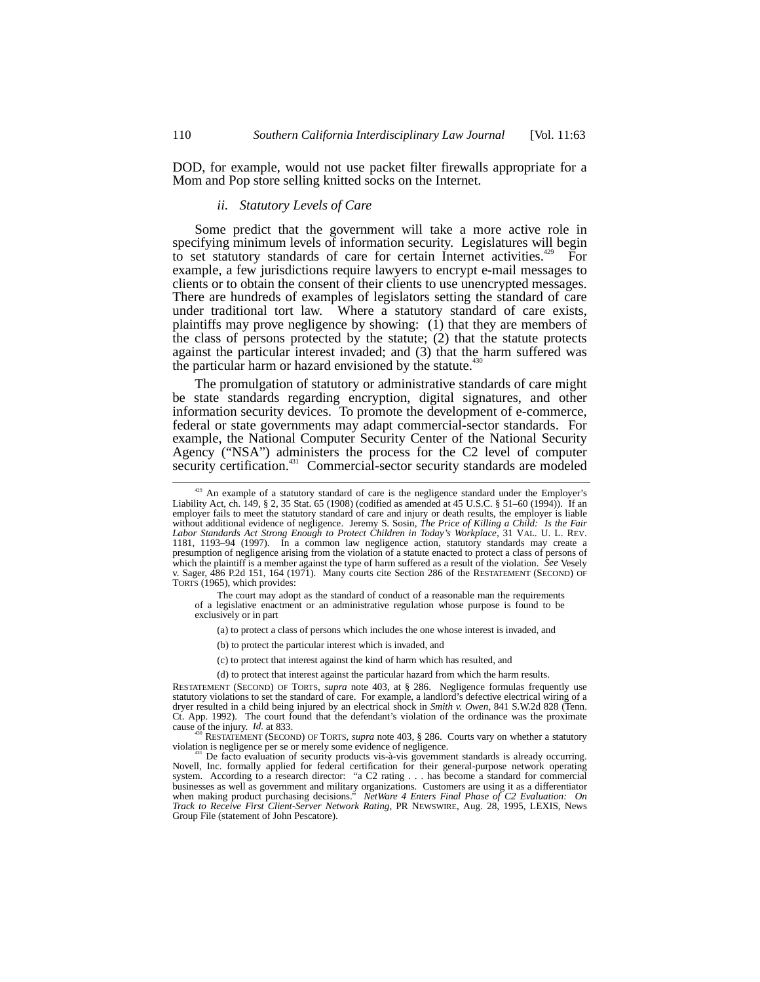DOD, for example, would not use packet filter firewalls appropriate for a Mom and Pop store selling knitted socks on the Internet.

# *ii. Statutory Levels of Care*

Some predict that the government will take a more active role in specifying minimum levels of information security. Legislatures will begin to set statutory standards of care for certain Internet activities.<sup>429</sup> For example, a few jurisdictions require lawyers to encrypt e-mail messages to clients or to obtain the consent of their clients to use unencrypted messages. There are hundreds of examples of legislators setting the standard of care under traditional tort law. Where a statutory standard of care exists, plaintiffs may prove negligence by showing: (1) that they are members of the class of persons protected by the statute; (2) that the statute protects against the particular interest invaded; and (3) that the harm suffered was the particular harm or hazard envisioned by the statute.<sup>430</sup>

The promulgation of statutory or administrative standards of care might be state standards regarding encryption, digital signatures, and other information security devices. To promote the development of e-commerce, federal or state governments may adapt commercial-sector standards. For example, the National Computer Security Center of the National Security Agency ("NSA") administers the process for the C2 level of computer security certification.<sup>431</sup> Commercial-sector security standards are modeled

The court may adopt as the standard of conduct of a reasonable man the requirements of a legislative enactment or an administrative regulation whose purpose is found to be exclusively or in part

(a) to protect a class of persons which includes the one whose interest is invaded, and

(b) to protect the particular interest which is invaded, and

(c) to protect that interest against the kind of harm which has resulted, and

(d) to protect that interest against the particular hazard from which the harm results.

cause of the injury. *Id.* at 833.<br><sup>430</sup> RESTATEMENT (SECOND) OF TORTS, *supra* note 403, § 286. Courts vary on whether a statutory violation is negligence per se or merely some evidence of negligence.

<sup>429</sup> An example of a statutory standard of care is the negligence standard under the Employer's Liability Act, ch. 149, § 2, 35 Stat. 65 (1908) (codified as amended at 45 U.S.C. § 51–60 (1994)). If an employer fails to meet the statutory standard of care and injury or death results, the employer is liable without additional evidence of negligence. Jeremy S. Sosin, *The Price of Killing a Child: Is the Fair Labor Standards Act Strong Enough to Protect Children in Today's Workplace*, 31 VAL. U. L. REV. 1181, 1193–94 (1997). In a common law negligence action, statutory standards may create a presumption of negligence arising from the violation of a statute enacted to protect a class of persons of which the plaintiff is a member against the type of harm suffered as a result of the violation. *See* Vesely v. Sager, 486 P.2d 151, 164 (1971). Many courts cite Section 286 of the RESTATEMENT (SECOND) OF TORTS (1965), which provides:

RESTATEMENT (SECOND) OF TORTS, *supra* note 403, at § 286. Negligence formulas frequently use statutory violations to set the standard of care. For example, a landlord's defective electrical wiring of a dryer resulted in a child being injured by an electrical shock in *Smith v. Owen*, 841 S.W.2d 828 (Tenn. Ct. App. 1992). The court found that the defendant's violation of the ordinance was the proximate

<sup>&</sup>lt;sup>431</sup> De facto evaluation of security products vis-à-vis government standards is already occurring. Novell, Inc. formally applied for federal certification for their general-purpose network operating system. According to a research director: "a C2 rating . . . has become a standard for commercial businesses as well as government and military organizations. Customers are using it as a differentiator<br>when making product purchasing decisions." *NetWare 4 Enters Final Phase of C2 Evaluation: On*<br>*Track to Receive First* Group File (statement of John Pescatore).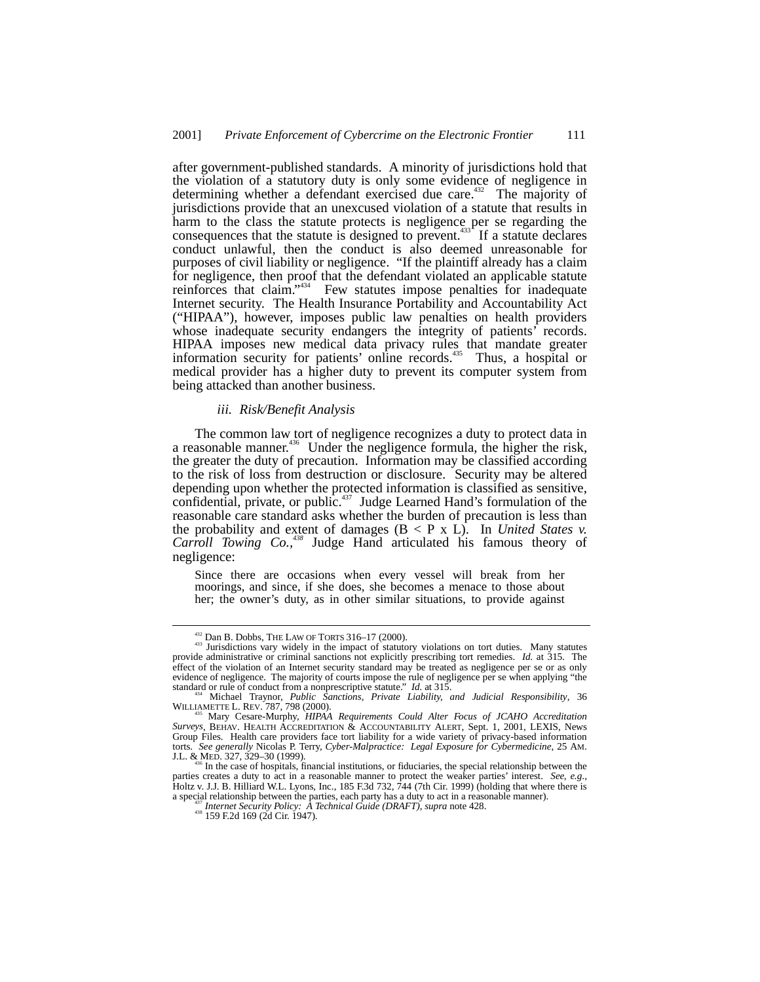after government-published standards. A minority of jurisdictions hold that the violation of a statutory duty is only some evidence of negligence in determining whether a defendant exercised due care.<sup>432</sup> The majority of jurisdictions provide that an unexcused violation of a statute that results in harm to the class the statute protects is negligence per se regarding the consequences that the statute is designed to prevent.<sup>433</sup> If a statute declares conduct unlawful, then the conduct is also deemed unreasonable for purposes of civil liability or negligence. "If the plaintiff already has a claim for negligence, then proof that the defendant violated an applicable statute reinforces that claim."<sup>34</sup> Few statutes impose penalties for inadequate Internet security. The Health Insurance Portability and Accountability Act ("HIPAA"), however, imposes public law penalties on health providers whose inadequate security endangers the integrity of patients' records. HIPAA imposes new medical data privacy rules that mandate greater information security for patients' online records.<sup>435</sup> Thus, a hospital or medical provider has a higher duty to prevent its computer system from being attacked than another business.

#### *iii. Risk/Benefit Analysis*

The common law tort of negligence recognizes a duty to protect data in a reasonable manner.<sup>436</sup> Under the negligence formula, the higher the risk, the greater the duty of precaution. Information may be classified according to the risk of loss from destruction or disclosure. Security may be altered depending upon whether the protected information is classified as sensitive, confidential, private, or public.<sup>437</sup> Judge Learned Hand's formulation of the reasonable care standard asks whether the burden of precaution is less than the probability and extent of damages  $(B < P \times L)$ . In *United States v. Carroll Towing Co.,438* Judge Hand articulated his famous theory of negligence:

Since there are occasions when every vessel will break from her moorings, and since, if she does, she becomes a menace to those about her; the owner's duty, as in other similar situations, to provide against

<sup>&</sup>lt;sup>432</sup> Dan B. Dobbs, THE LAW OF TORTS 316–17 (2000).<br>
<sup>433</sup> Jurisdictions vary widely in the impact of statutory violations on tort duties. Many statutes provide administrative or criminal sanctions not explicitly prescribing tort remedies. *Id.* at 315. The effect of the violation of an Internet security standard may be treated as negligence per se or as only evidence of negligence. The majority of courts impose the rule of negligence per se when applying "the standard or rule of conduct from a nonprescriptive statute."  $Id$ . at 315.

<sup>&</sup>lt;sup>434</sup> Michael Traynor, *Public Sanctions, Private Liability, and Judicial Responsibility, 36* WILLIAMETTE L. REV. 787, 798 (2000).

Mary Cesare-Murphy, *HIPAA Requirements Could Alter Focus of JCAHO Accreditation Surveys*, BEHAV. HEALTH ACCREDITATION & ACCOUNTABILITY ALERT, Sept. 1, 2001, LEXIS, News Group Files. Health care providers face tort liability for a wide variety of privacy-based information torts. *See generally* Nicolas P. Terry, *Cyber-Malpractice: Legal Exposure for Cybermedicine*, 25 AM.

In the case of hospitals, financial institutions, or fiduciaries, the special relationship between the parties creates a duty to act in a reasonable manner to protect the weaker parties' interest. *See, e.g*., Holtz v. J.J. B. Hilliard W.L. Lyons, Inc., 185 F.3d 732, 744 (7th Cir. 1999) (holding that where there is a special relationship between the parties, each party has a duty to act in a reasonable manner). <sup>437</sup> *Internet Security Policy: A Technical Guide (DRAFT)*, *supra* note 428. 438 159 F.2d 169 (2d Cir. 1947).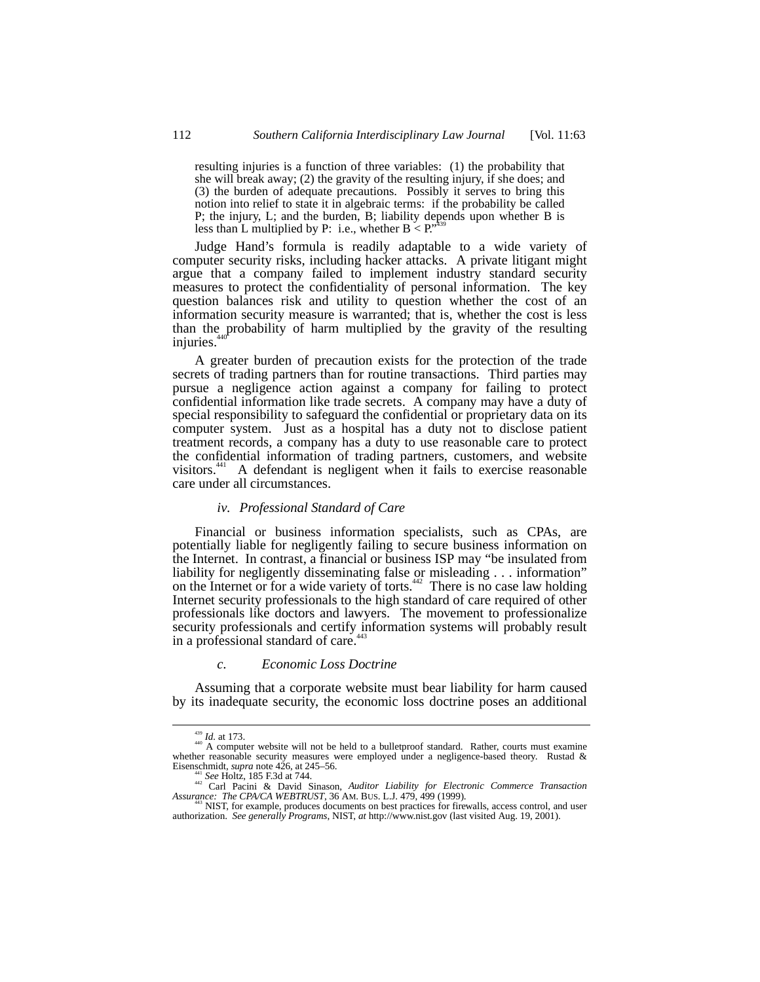resulting injuries is a function of three variables: (1) the probability that she will break away; (2) the gravity of the resulting injury, if she does; and (3) the burden of adequate precautions. Possibly it serves to bring this notion into relief to state it in algebraic terms: if the probability be called P; the injury, L; and the burden, B; liability depends upon whether B is less than L multiplied by P: i.e., whether  $B < P^{(439)}$ .

Judge Hand's formula is readily adaptable to a wide variety of computer security risks, including hacker attacks. A private litigant might argue that a company failed to implement industry standard security measures to protect the confidentiality of personal information. The key question balances risk and utility to question whether the cost of an information security measure is warranted; that is, whether the cost is less than the probability of harm multiplied by the gravity of the resulting injuries.

A greater burden of precaution exists for the protection of the trade secrets of trading partners than for routine transactions. Third parties may pursue a negligence action against a company for failing to protect confidential information like trade secrets. A company may have a duty of special responsibility to safeguard the confidential or proprietary data on its computer system. Just as a hospital has a duty not to disclose patient treatment records, a company has a duty to use reasonable care to protect the confidential information of trading partners, customers, and website visitors.441 A defendant is negligent when it fails to exercise reasonable care under all circumstances.

#### *iv. Professional Standard of Care*

Financial or business information specialists, such as CPAs, are potentially liable for negligently failing to secure business information on the Internet. In contrast, a financial or business ISP may "be insulated from liability for negligently disseminating false or misleading . . . information" on the Internet or for a wide variety of torts.<sup>442</sup> There is no case law holding Internet security professionals to the high standard of care required of other professionals like doctors and lawyers. The movement to professionalize security professionals and certify information systems will probably result in a professional standard of care.<sup>443</sup>

#### *c. Economic Loss Doctrine*

Assuming that a corporate website must bear liability for harm caused by its inadequate security, the economic loss doctrine poses an additional

<sup>&</sup>lt;sup>439</sup> *Id.* at 173.<br><sup>440</sup> A computer website will not be held to a bulletproof standard. Rather, courts must examine whether reasonable security measures were employed under a negligence-based theory. Rustad &

Eisenschmidt, *supra* note 426, at 245–56.<br><sup>441</sup> *See* Holtz, 185 F.3d at 744.<br><sup>442</sup> Carl Pacini & David Sinason, *Auditor Liability for Electronic Commerce Transaction*<br>Assurance: The CPA/CA WEBTRUST, 36 AM. BUS. L.J. 479

*Assurance: The CPA/CA WEBTRUST*, 36 AM. BUS. L.J. 479, 499 (1999). 443 NIST, for example, produces documents on best practices for firewalls, access control, and user authorization. *See generally Programs*, NIST, *at* http://www.nist.gov (last visited Aug. 19, 2001).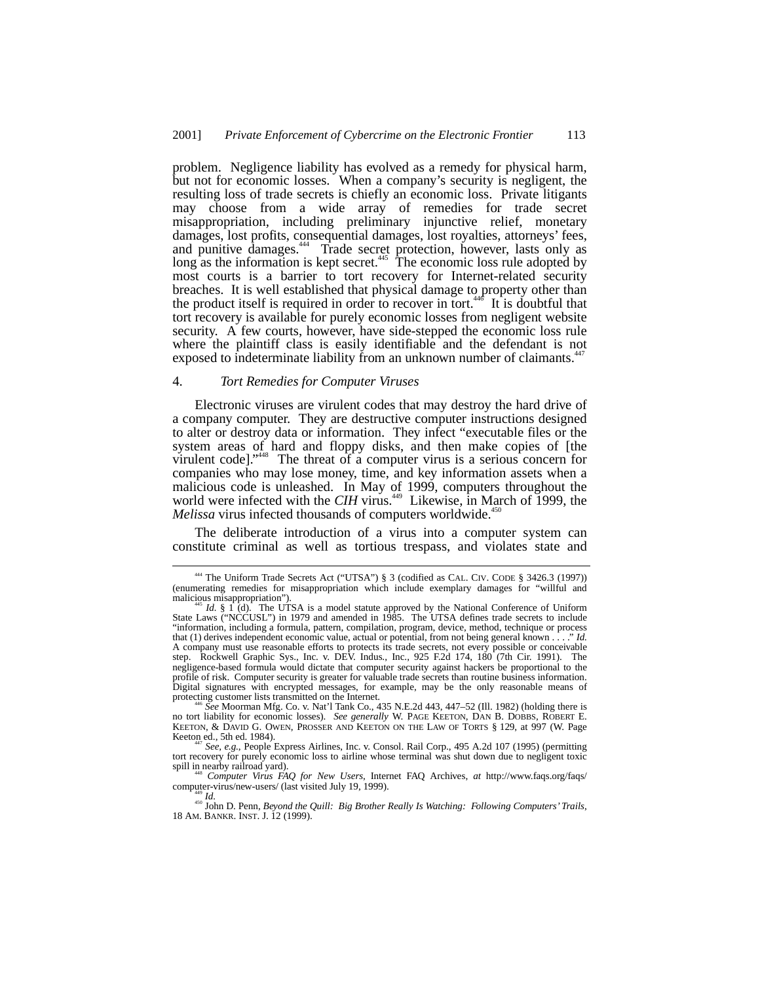problem. Negligence liability has evolved as a remedy for physical harm, but not for economic losses. When a company's security is negligent, the resulting loss of trade secrets is chiefly an economic loss. Private litigants may choose from a wide array of remedies for trade secret misappropriation, including preliminary injunctive relief, monetary damages, lost profits, consequential damages, lost royalties, attorneys' fees, and punitive damages.<sup>444</sup> Trade secret protection, however, lasts only as long as the information is kept secret.<sup>445</sup> The economic loss rule adopted by most courts is a barrier to tort recovery for Internet-related security breaches. It is well established that physical damage to property other than the product itself is required in order to recover in tort.<sup> $440$ </sup> It is doubtful that tort recovery is available for purely economic losses from negligent website security. A few courts, however, have side-stepped the economic loss rule where the plaintiff class is easily identifiable and the defendant is not exposed to indeterminate liability from an unknown number of claimants.<sup>447</sup>

#### 4. *Tort Remedies for Computer Viruses*

Electronic viruses are virulent codes that may destroy the hard drive of a company computer. They are destructive computer instructions designed to alter or destroy data or information. They infect "executable files or the system areas of hard and floppy disks, and then make copies of [the virulent code]." 448 The threat of a computer virus is a serious concern for companies who may lose money, time, and key information assets when a malicious code is unleashed. In May of 1999, computers throughout the world were infected with the *CIH* virus.<sup>449</sup> Likewise, in March of 1999, the *Melissa* virus infected thousands of computers worldwide.<sup>450</sup>

The deliberate introduction of a virus into a computer system can constitute criminal as well as tortious trespass, and violates state and

no tort liability for economic losses). *See generally* W. PAGE KEETON, DAN B. DOBBS, ROBERT E. KEETON, & DAVID G. OWEN, PROSSER AND KEETON ON THE LAW OF TORTS § 129, at 997 (W. Page Keeton ed., 5th ed. 1984).

See, e.g., People Express Airlines, Inc. v. Consol. Rail Corp., 495 A.2d 107 (1995) (permitting tort recovery for purely economic loss to airline whose terminal was shut down due to negligent toxic

spill in nearby railroad yard).<br><sup>448</sup> *Computer Virus FAQ for New Users*, Internet FAQ Archives, *at* http://www.faqs.org/faqs/<br>computer-virus/new-users/ (last visited July 19, 1999).

<sup>449</sup> Id.<br><sup>450</sup> John D. Penn, *Beyond the Quill: Big Brother Really Is Watching: Following Computers' Trails,* 18 AM. BANKR. INST. J. 12 (1999).

 <sup>444</sup> The Uniform Trade Secrets Act ("UTSA") § 3 (codified as CAL. CIV. CODE § 3426.3 (1997)) (enumerating remedies for misappropriation which include exemplary damages for "willful and

<sup>&</sup>lt;sup>445</sup> *Id.* §  $\hat{\Gamma}$  (d). The UTSA is a model statute approved by the National Conference of Uniform State Laws ("NCCUSL") in 1979 and amended in 1985. The UTSA defines trade secrets to include "information, including a formula, pattern, compilation, program, device, method, technique or process that (1) derives independent economic value, actual or potential, from not being general known . . . ." *Id.* A company must use reasonable efforts to protects its trade secrets, not every possible or conceivable step. Rockwell Graphic Sys., Inc. v. DEV. Indus., Inc., 925 F.2d 174, 180 (7th Cir. 1991). The negligence-based formula would dictate that computer security against hackers be proportional to the profile of risk. Computer security is greater for valuable trade secrets than routine business information. Digital signatures with encrypted messages, for example, may be the only reasonable means of protecting customer lists transmitted on the Internet.<br><sup>446</sup> *See* Moorman Mfg. Co. v. Nat'l Tank Co., 435 N.E.2d 443, 447–52 (Ill. 1982) (holding there is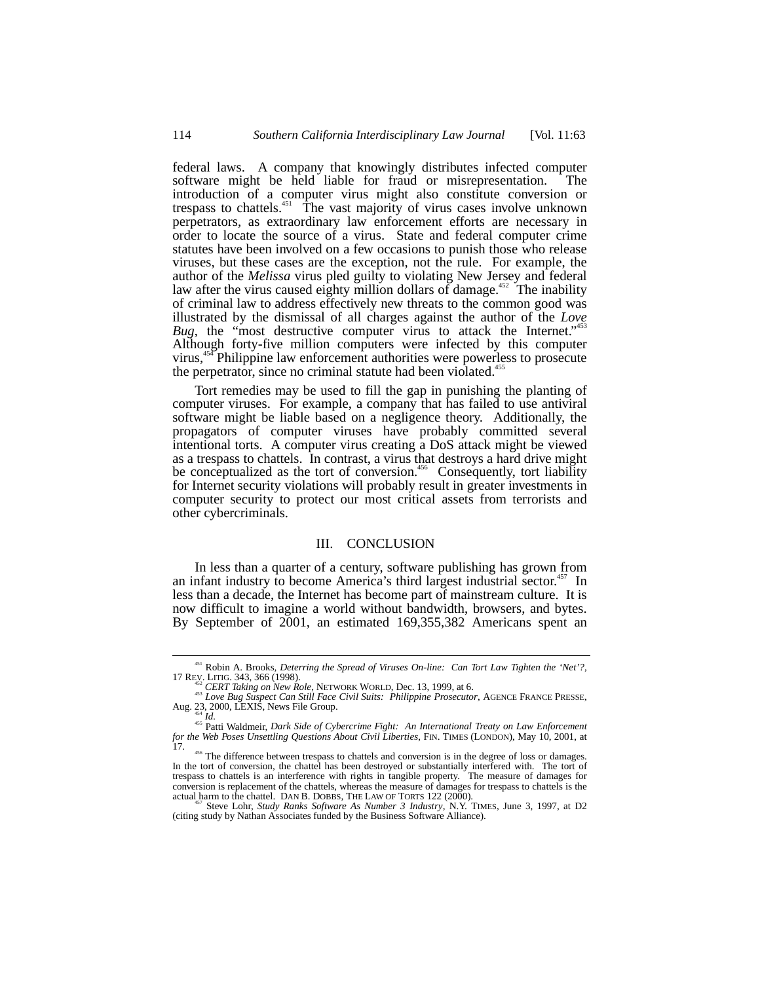federal laws. A company that knowingly distributes infected computer software might be held liable for fraud or misrepresentation. The introduction of a computer virus might also constitute conversion or trespass to chattels.<sup>451</sup> The vast majority of virus cases involve unknown perpetrators, as extraordinary law enforcement efforts are necessary in order to locate the source of a virus. State and federal computer crime statutes have been involved on a few occasions to punish those who release viruses, but these cases are the exception, not the rule. For example, the author of the *Melissa* virus pled guilty to violating New Jersey and federal law after the virus caused eighty million dollars of damage.<sup>452</sup> The inability of criminal law to address effectively new threats to the common good was illustrated by the dismissal of all charges against the author of the *Love* Bug, the "most destructive computer virus to attack the Internet."<sup>453</sup> Although forty-five million computers were infected by this computer virus,454 Philippine law enforcement authorities were powerless to prosecute the perpetrator, since no criminal statute had been violated.<sup>4</sup>

Tort remedies may be used to fill the gap in punishing the planting of computer viruses. For example, a company that has failed to use antiviral software might be liable based on a negligence theory. Additionally, the propagators of computer viruses have probably committed several intentional torts. A computer virus creating a DoS attack might be viewed as a trespass to chattels. In contrast, a virus that destroys a hard drive might be conceptualized as the tort of conversion.<sup>456</sup> Consequently, tort liability for Internet security violations will probably result in greater investments in computer security to protect our most critical assets from terrorists and other cybercriminals.

# III. CONCLUSION

In less than a quarter of a century, software publishing has grown from an infant industry to become America's third largest industrial sector.<sup>457</sup> In less than a decade, the Internet has become part of mainstream culture. It is now difficult to imagine a world without bandwidth, browsers, and bytes. By September of 2001, an estimated 169,355,382 Americans spent an

<sup>&</sup>lt;sup>451</sup> Robin A. Brooks, *Deterring the Spread of Viruses On-line: Can Tort Law Tighten the 'Net'?*,<br>
17 REV. LITIG. 343, 366 (1998).<br>
<sup>452</sup> *CERT Taking on New Role*, NETWORK WORLD, Dec. 13, 1999, at 6.<br>
<sup>453</sup> *LOO Bug S* 

*for the Web Poses Unsettling Questions About Civil Liberties*, FIN. TIMES (LONDON), May 10, 2001, at 17.

<sup>456</sup> The difference between trespass to chattels and conversion is in the degree of loss or damages. In the tort of conversion, the chattel has been destroyed or substantially interfered with. The tort of trespass to chattels is an interference with rights in tangible property. The measure of damages for conversion is replacement of the chattels, whereas the measure of damages for trespass to chattels is the actual harm to the chattel. DAN B. DOBBS, THE LAW OF TORTS 122 (2000). 457 Steve Lohr, *Study Ranks Software As Number 3 Industry*, N.Y. TIMES, June 3, 1997, at D2

<sup>(</sup>citing study by Nathan Associates funded by the Business Software Alliance).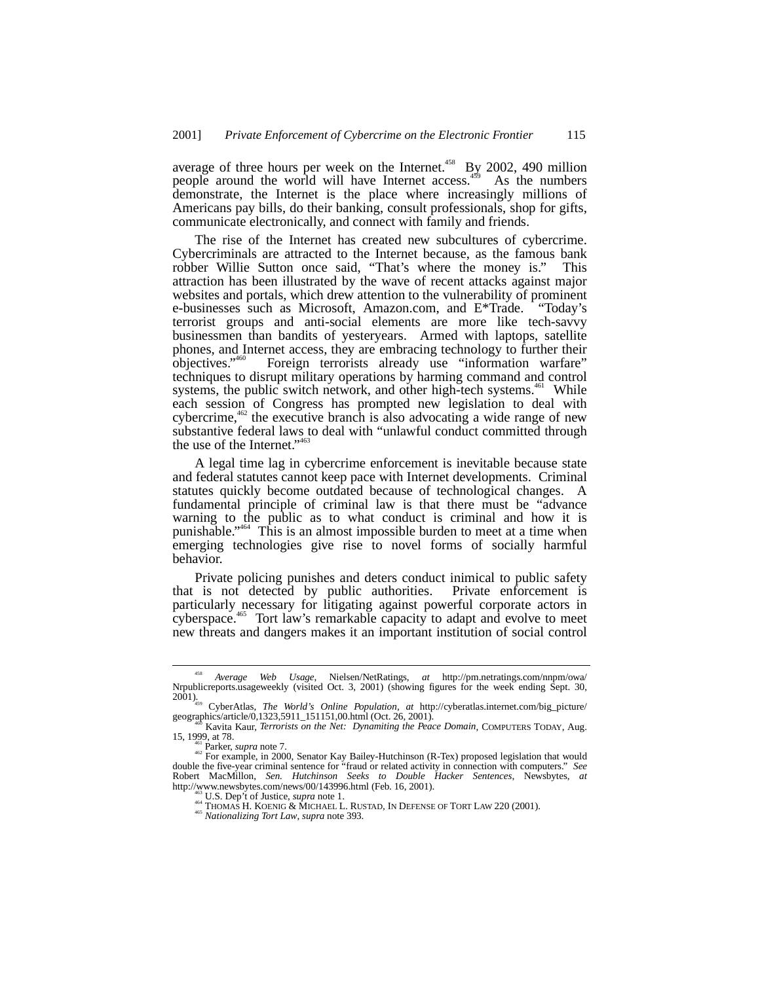average of three hours per week on the Internet.<sup>458</sup> By 2002, 490 million people around the world will have Internet access.<sup>459</sup> As the numbers demonstrate, the Internet is the place where increasingly millions of Americans pay bills, do their banking, consult professionals, shop for gifts, communicate electronically, and connect with family and friends.

The rise of the Internet has created new subcultures of cybercrime. Cybercriminals are attracted to the Internet because, as the famous bank robber Willie Sutton once said, "That's where the money is." This attraction has been illustrated by the wave of recent attacks against major websites and portals, which drew attention to the vulnerability of prominent e-businesses such as Microsoft, Amazon.com, and E\*Trade. "Today's terrorist groups and anti-social elements are more like tech-savvy businessmen than bandits of yesteryears. Armed with laptops, satellite phones, and Internet access, they are embracing technology to further their objectives." Foreign terrorists already use "information warfare" techniques to disrupt military operations by harming command and control systems, the public switch network, and other high-tech systems.<sup>461</sup> While each session of Congress has prompted new legislation to deal with cybercrime, $462$  the executive branch is also advocating a wide range of new substantive federal laws to deal with "unlawful conduct committed through the use of the Internet." <sup>463</sup>

A legal time lag in cybercrime enforcement is inevitable because state and federal statutes cannot keep pace with Internet developments. Criminal statutes quickly become outdated because of technological changes. A fundamental principle of criminal law is that there must be "advance warning to the public as to what conduct is criminal and how it is punishable." 464 This is an almost impossible burden to meet at a time when emerging technologies give rise to novel forms of socially harmful behavior.

Private policing punishes and deters conduct inimical to public safety that is not detected by public authorities. Private enforcement is particularly necessary for litigating against powerful corporate actors in cyberspace.<sup>465</sup> Tort law's remarkable capacity to adapt and evolve to meet new threats and dangers makes it an important institution of social control

 <sup>458</sup> *Average Web Usage*, Nielsen/NetRatings, *at* http://pm.netratings.com/nnpm/owa/ Nrpublicreports.usageweekly (visited Oct. 3, 2001) (showing figures for the week ending Sept. 30, 2001).459 CyberAtlas, *The World's Online Population*, *at* http://cyberatlas.internet.com/big\_picture/

geographics/article/0,1323,5911\_151151,00.html (Oct. 26, 2001).<br><sup>460</sup> Kavita Kaur, *Terrorists on the Net: Dynamiting the Peace Domain*, COMPUTERS TODAY, Aug.

<sup>15, 1999,</sup> at 78.<br><sup>461</sup> Parker, *supra* note 7.<br><sup>462</sup> For example, in 2000, Senator Kay Bailey-Hutchinson (R-Tex) proposed legislation that would double the five-year criminal sentence for "fraud or related activity in connection with computers." *See* Robert MacMillon, *Sen. Hutchinson Seeks to Double Hacker Sentences*, Newsbytes, *at* http://www.newsbytes.com/news/00/143996.html (Feb. 16, 2001).<br>
<sup>463</sup> U.S. Dep't of Justice, *supra* note 1.<br>
<sup>464</sup> THOMAS H. KOENIG & MICHAEL L. RUSTAD, IN DEFENSE OF TORT LAW 220 (2001).<br>
<sup>465</sup> Nationalizing Tort Law, sup